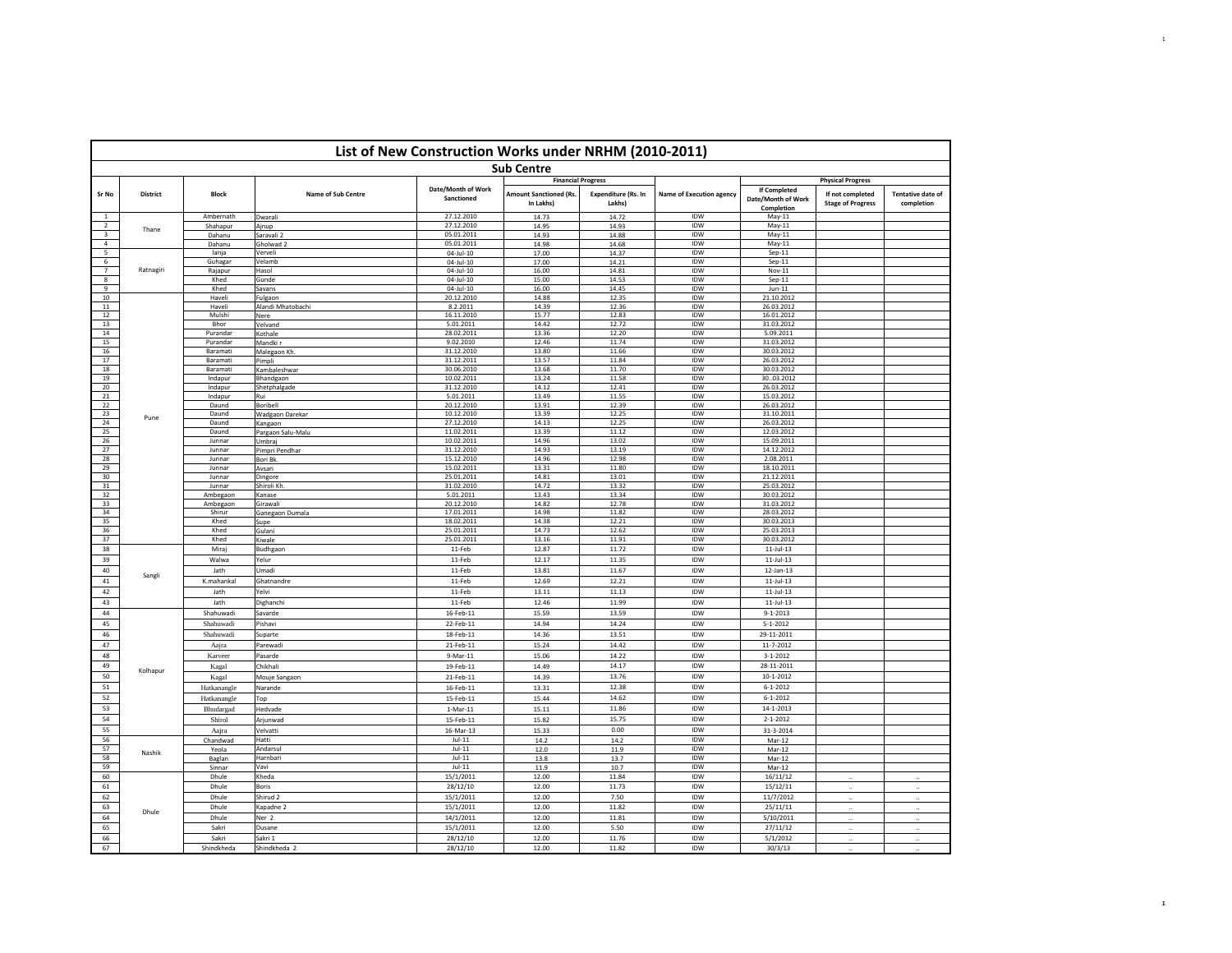|                                  | List of New Construction Works under NRHM (2010-2011)<br><b>Sub Centre</b> |                          |                               |                                  |                                                                                                                                                                                                                                                                                                                                                                                                                                                                                                                                                                                                                                                                                                                                                                                                                                                                                                                                                                                                                                                                                                                                                                                                                                                                                                                                                                                                                                                                                                                                                                                                                                                                                                                                                                                                                                                                                                                                                                                                                                                                                                                                                                                                                                                                                                                                                                                                                                                                                                                                                                                                                                                                                                                                                                                                                                                                                                                                                                                                                                                                                                                                                                                                                                                                                                                                                                                                                                                               |                               |                                 |                                                  |                                              |                                        |  |  |
|----------------------------------|----------------------------------------------------------------------------|--------------------------|-------------------------------|----------------------------------|---------------------------------------------------------------------------------------------------------------------------------------------------------------------------------------------------------------------------------------------------------------------------------------------------------------------------------------------------------------------------------------------------------------------------------------------------------------------------------------------------------------------------------------------------------------------------------------------------------------------------------------------------------------------------------------------------------------------------------------------------------------------------------------------------------------------------------------------------------------------------------------------------------------------------------------------------------------------------------------------------------------------------------------------------------------------------------------------------------------------------------------------------------------------------------------------------------------------------------------------------------------------------------------------------------------------------------------------------------------------------------------------------------------------------------------------------------------------------------------------------------------------------------------------------------------------------------------------------------------------------------------------------------------------------------------------------------------------------------------------------------------------------------------------------------------------------------------------------------------------------------------------------------------------------------------------------------------------------------------------------------------------------------------------------------------------------------------------------------------------------------------------------------------------------------------------------------------------------------------------------------------------------------------------------------------------------------------------------------------------------------------------------------------------------------------------------------------------------------------------------------------------------------------------------------------------------------------------------------------------------------------------------------------------------------------------------------------------------------------------------------------------------------------------------------------------------------------------------------------------------------------------------------------------------------------------------------------------------------------------------------------------------------------------------------------------------------------------------------------------------------------------------------------------------------------------------------------------------------------------------------------------------------------------------------------------------------------------------------------------------------------------------------------------------------------------------------------|-------------------------------|---------------------------------|--------------------------------------------------|----------------------------------------------|----------------------------------------|--|--|
|                                  |                                                                            |                          |                               |                                  |                                                                                                                                                                                                                                                                                                                                                                                                                                                                                                                                                                                                                                                                                                                                                                                                                                                                                                                                                                                                                                                                                                                                                                                                                                                                                                                                                                                                                                                                                                                                                                                                                                                                                                                                                                                                                                                                                                                                                                                                                                                                                                                                                                                                                                                                                                                                                                                                                                                                                                                                                                                                                                                                                                                                                                                                                                                                                                                                                                                                                                                                                                                                                                                                                                                                                                                                                                                                                                                               |                               |                                 |                                                  |                                              |                                        |  |  |
| Sr No                            | <b>District</b>                                                            | <b>Block</b>             | Name of Sub Centre            | Date/Month of Work<br>Sanctioned | <b>Amount Sanctioned (Rs.</b><br>In Lakhs)                                                                                                                                                                                                                                                                                                                                                                                                                                                                                                                                                                                                                                                                                                                                                                                                                                                                                                                                                                                                                                                                                                                                                                                                                                                                                                                                                                                                                                                                                                                                                                                                                                                                                                                                                                                                                                                                                                                                                                                                                                                                                                                                                                                                                                                                                                                                                                                                                                                                                                                                                                                                                                                                                                                                                                                                                                                                                                                                                                                                                                                                                                                                                                                                                                                                                                                                                                                                                    | Expenditure (Rs. In<br>Lakhs) | <b>Name of Execution agency</b> | If Completed<br>Date/Month of Work<br>Completion | If not completed<br><b>Stage of Progress</b> | <b>Tentative date of</b><br>completion |  |  |
| $\overline{1}$<br>$\overline{2}$ |                                                                            | Ambernath                | Dwarali                       |                                  | <b>Financial Progress</b><br><b>Physical Progress</b><br>27.12.2010<br>IDW<br>14.73<br>14.72<br>May-11<br>27.12.2010<br>14.95<br>14.93<br>IDW<br>$May-11$<br>05.01.2011<br>14.93<br>14.88<br><b>IDW</b><br>May-11<br>05.01.2011<br><b>IDW</b><br>$May-11$<br>14.98<br>14.68<br>IDW<br>$Sep-11$<br>$04 - 11 - 10$<br>17.00<br>14.37<br>17.00<br>IDW<br>04-Jul-10<br>14.21<br>$Sep-11$<br>04-Jul-10<br>16.00<br>14.81<br><b>IDW</b><br>Nov-11<br>14.53<br>IDW<br>$Sep-11$<br>$04 - 111 - 10$<br>15.00<br>04-Jul-10<br>16.00<br>14.45<br>IDW<br>$Jun-11$<br>20.12.2010<br>14.88<br>12.35<br>IDW<br>21.10.2012<br>8.2.2011<br>14.39<br>12.36<br>IDW<br>26.03.2012<br>16.11.2010<br>15.77<br>12.83<br>IDW<br>16.01.2012<br>5.01.2011<br>14.42<br>12.72<br>IDW<br>31.03.2012<br>28.02.2011<br>13.36<br>12.20<br>IDW<br>5.09.2011<br>9.02.2010<br>12.46<br>11.74<br>IDW<br>31.03.2012<br>31.12.2010<br>13.80<br>11.66<br>IDW<br>30.03.2012<br>31.12.2011<br>13.57<br>11.84<br>IDW<br>26.03.2012<br>30.06.2010<br>13.68<br>11.70<br><b>IDW</b><br>30.03.2012<br>13.24<br>11.58<br>30.03.2012<br>10.02.2011<br>IDW<br>31.12.2010<br>14.12<br>12.41<br>IDW<br>26.03.2012<br>11.55<br>5.01.2011<br>13.49<br>IDW<br>15.03.2012<br>20.12.2010<br>13.91<br>12.39<br>IDW<br>26.03.2012<br>10.12.2010<br>13.39<br>12.25<br>IDW<br>31.10.2011<br>27.12.2010<br>14.13<br>12.25<br><b>IDW</b><br>26.03.2012<br>11.02.2011<br>13.39<br>11.12<br>IDW<br>12.03.2012<br>14.96<br>13.02<br>IDW<br>10.02.2011<br>15.09.2011<br>31.12.2010<br>14.93<br>13.19<br>IDW<br>14.12.2012<br>15.12.2010<br>14.96<br>12.98<br>IDW<br>2.08.2011<br>15.02.2011<br>13.31<br>11.80<br>IDW<br>18.10.2011<br>25.01.2011<br>14.81<br>13.01<br>IDW<br>21.12.2011<br>25.03.2012<br>31.02.2010<br>14.72<br>13.32<br>IDW<br>5.01.2011<br>13.34<br>IDW<br>13.43<br>30.03.2012<br>20.12.2010<br>14.82<br>12.78<br>IDW<br>31.03.2012<br>17.01.2011<br>14.98<br>11.82<br>IDW<br>28.03.2012<br>14.38<br>12.21<br>30.03.2013<br>18.02.2011<br><b>IDW</b><br>25.01.2011<br>14.73<br>12.62<br>IDW<br>25.03.2013<br>25.01.2011<br>13.16<br>11.91<br>IDW<br>30.03.2012<br>11-Feb<br>12.87<br>11.72<br>IDW<br>$11$ -Jul-13<br>12.17<br>11.35<br>IDW<br>11-Feb<br>$11$ -Jul-13<br>IDW<br>11-Feb<br>13.81<br>11.67<br>12-Jan-13<br>12.69<br>12.21<br>IDW<br>11-Feb<br>$11$ -Jul-13<br>11-Feb<br>13.11<br>11.13<br><b>IDW</b><br>$11$ -Jul-13<br>11-Feb<br>12.46<br>11.99<br>IDW<br>$11$ -Jul-13<br>13.59<br>IDW<br>$9 - 1 - 2013$<br>15.59<br>16-Feb-11<br>14.24<br>IDW<br>$5 - 1 - 2012$<br>22-Feb-11<br>14.94<br>13.51<br>IDW<br>29-11-2011<br>18-Feb-11<br>14.36<br>14.42<br>IDW<br>11-7-2012<br>21-Feb-11<br>15.24<br>14.22<br>IDW<br>$3 - 1 - 2012$<br>15.06<br>9-Mar-11<br>14.17<br>IDW<br>28-11-2011<br>14.49<br>19-Feb-11<br>IDW<br>$10 - 1 - 2012$<br>21-Feb-11<br>14.39<br>13.76<br>12.38<br>IDW<br>$6 - 1 - 2012$<br>13.31<br>16-Feb-11<br>14.62<br>IDW<br>$6 - 1 - 2012$<br>15-Feb-11<br>15.44<br>11.86<br>IDW<br>14-1-2013<br>$1-Mar-11$<br>15.11<br>15.75<br><b>IDW</b><br>$2 - 1 - 2012$<br>15.82<br>15-Feb-11<br>15.33<br>0.00<br>IDW<br>16-Mar-13<br>31-3-2014<br>IDW<br>$Jul-11$<br>14.2<br>14.2<br>Mar-12<br>$Jul-11$<br>12.0<br>11.9<br>IDW<br>Mar-12<br>$Jul-11$<br>IDW<br>13.7<br>13.8<br>Mar-12<br>$Jul-11$<br>IDW<br>11.9<br>10.7<br>Mar-12<br>15/1/2011<br>12.00<br>11.84<br>IDW<br>16/11/12<br>28/12/10<br>12.00<br>11.73<br>IDW<br>15/12/11<br>15/1/2011<br>12.00<br>7.50<br>IDW<br>11/7/2012 |                               |                                 |                                                  |                                              |                                        |  |  |
| $\overline{\mathbf{3}}$          | Thane                                                                      | Shahapur<br>Dahanu       | Ajnup<br>Saravali 2           |                                  |                                                                                                                                                                                                                                                                                                                                                                                                                                                                                                                                                                                                                                                                                                                                                                                                                                                                                                                                                                                                                                                                                                                                                                                                                                                                                                                                                                                                                                                                                                                                                                                                                                                                                                                                                                                                                                                                                                                                                                                                                                                                                                                                                                                                                                                                                                                                                                                                                                                                                                                                                                                                                                                                                                                                                                                                                                                                                                                                                                                                                                                                                                                                                                                                                                                                                                                                                                                                                                                               |                               |                                 |                                                  |                                              |                                        |  |  |
| $\overline{4}$                   |                                                                            | Dahanu                   | Gholwad 2                     |                                  |                                                                                                                                                                                                                                                                                                                                                                                                                                                                                                                                                                                                                                                                                                                                                                                                                                                                                                                                                                                                                                                                                                                                                                                                                                                                                                                                                                                                                                                                                                                                                                                                                                                                                                                                                                                                                                                                                                                                                                                                                                                                                                                                                                                                                                                                                                                                                                                                                                                                                                                                                                                                                                                                                                                                                                                                                                                                                                                                                                                                                                                                                                                                                                                                                                                                                                                                                                                                                                                               |                               |                                 |                                                  |                                              |                                        |  |  |
| 5                                |                                                                            | lania                    | Verveli                       |                                  |                                                                                                                                                                                                                                                                                                                                                                                                                                                                                                                                                                                                                                                                                                                                                                                                                                                                                                                                                                                                                                                                                                                                                                                                                                                                                                                                                                                                                                                                                                                                                                                                                                                                                                                                                                                                                                                                                                                                                                                                                                                                                                                                                                                                                                                                                                                                                                                                                                                                                                                                                                                                                                                                                                                                                                                                                                                                                                                                                                                                                                                                                                                                                                                                                                                                                                                                                                                                                                                               |                               |                                 |                                                  |                                              |                                        |  |  |
| 6<br>$\overline{7}$              | Ratnagiri                                                                  | Guhagar                  | Velamb                        |                                  |                                                                                                                                                                                                                                                                                                                                                                                                                                                                                                                                                                                                                                                                                                                                                                                                                                                                                                                                                                                                                                                                                                                                                                                                                                                                                                                                                                                                                                                                                                                                                                                                                                                                                                                                                                                                                                                                                                                                                                                                                                                                                                                                                                                                                                                                                                                                                                                                                                                                                                                                                                                                                                                                                                                                                                                                                                                                                                                                                                                                                                                                                                                                                                                                                                                                                                                                                                                                                                                               |                               |                                 |                                                  |                                              |                                        |  |  |
| $\overline{\mathbf{8}}$          |                                                                            | Rajapur<br>Khed          | Hasol<br>Gunde                |                                  |                                                                                                                                                                                                                                                                                                                                                                                                                                                                                                                                                                                                                                                                                                                                                                                                                                                                                                                                                                                                                                                                                                                                                                                                                                                                                                                                                                                                                                                                                                                                                                                                                                                                                                                                                                                                                                                                                                                                                                                                                                                                                                                                                                                                                                                                                                                                                                                                                                                                                                                                                                                                                                                                                                                                                                                                                                                                                                                                                                                                                                                                                                                                                                                                                                                                                                                                                                                                                                                               |                               |                                 |                                                  |                                              |                                        |  |  |
| 9                                |                                                                            | Khed                     | Savans                        |                                  |                                                                                                                                                                                                                                                                                                                                                                                                                                                                                                                                                                                                                                                                                                                                                                                                                                                                                                                                                                                                                                                                                                                                                                                                                                                                                                                                                                                                                                                                                                                                                                                                                                                                                                                                                                                                                                                                                                                                                                                                                                                                                                                                                                                                                                                                                                                                                                                                                                                                                                                                                                                                                                                                                                                                                                                                                                                                                                                                                                                                                                                                                                                                                                                                                                                                                                                                                                                                                                                               |                               |                                 |                                                  |                                              |                                        |  |  |
| 10                               |                                                                            | Haveli                   | Fulgaon                       |                                  |                                                                                                                                                                                                                                                                                                                                                                                                                                                                                                                                                                                                                                                                                                                                                                                                                                                                                                                                                                                                                                                                                                                                                                                                                                                                                                                                                                                                                                                                                                                                                                                                                                                                                                                                                                                                                                                                                                                                                                                                                                                                                                                                                                                                                                                                                                                                                                                                                                                                                                                                                                                                                                                                                                                                                                                                                                                                                                                                                                                                                                                                                                                                                                                                                                                                                                                                                                                                                                                               |                               |                                 |                                                  |                                              |                                        |  |  |
| 11                               |                                                                            | Haveli                   | Alandi Mhatobachi             |                                  |                                                                                                                                                                                                                                                                                                                                                                                                                                                                                                                                                                                                                                                                                                                                                                                                                                                                                                                                                                                                                                                                                                                                                                                                                                                                                                                                                                                                                                                                                                                                                                                                                                                                                                                                                                                                                                                                                                                                                                                                                                                                                                                                                                                                                                                                                                                                                                                                                                                                                                                                                                                                                                                                                                                                                                                                                                                                                                                                                                                                                                                                                                                                                                                                                                                                                                                                                                                                                                                               |                               |                                 |                                                  |                                              |                                        |  |  |
| 12<br>13                         |                                                                            | Mulshi<br>Bhor           | Nere<br>Velvand               |                                  |                                                                                                                                                                                                                                                                                                                                                                                                                                                                                                                                                                                                                                                                                                                                                                                                                                                                                                                                                                                                                                                                                                                                                                                                                                                                                                                                                                                                                                                                                                                                                                                                                                                                                                                                                                                                                                                                                                                                                                                                                                                                                                                                                                                                                                                                                                                                                                                                                                                                                                                                                                                                                                                                                                                                                                                                                                                                                                                                                                                                                                                                                                                                                                                                                                                                                                                                                                                                                                                               |                               |                                 |                                                  |                                              |                                        |  |  |
| 14                               |                                                                            | Purandar                 | Kothale                       |                                  |                                                                                                                                                                                                                                                                                                                                                                                                                                                                                                                                                                                                                                                                                                                                                                                                                                                                                                                                                                                                                                                                                                                                                                                                                                                                                                                                                                                                                                                                                                                                                                                                                                                                                                                                                                                                                                                                                                                                                                                                                                                                                                                                                                                                                                                                                                                                                                                                                                                                                                                                                                                                                                                                                                                                                                                                                                                                                                                                                                                                                                                                                                                                                                                                                                                                                                                                                                                                                                                               |                               |                                 |                                                  |                                              |                                        |  |  |
| 15                               |                                                                            | Purandar                 | Mandki r                      |                                  |                                                                                                                                                                                                                                                                                                                                                                                                                                                                                                                                                                                                                                                                                                                                                                                                                                                                                                                                                                                                                                                                                                                                                                                                                                                                                                                                                                                                                                                                                                                                                                                                                                                                                                                                                                                                                                                                                                                                                                                                                                                                                                                                                                                                                                                                                                                                                                                                                                                                                                                                                                                                                                                                                                                                                                                                                                                                                                                                                                                                                                                                                                                                                                                                                                                                                                                                                                                                                                                               |                               |                                 |                                                  |                                              |                                        |  |  |
| 16                               |                                                                            | Baramati                 | Malegaon Kh                   |                                  |                                                                                                                                                                                                                                                                                                                                                                                                                                                                                                                                                                                                                                                                                                                                                                                                                                                                                                                                                                                                                                                                                                                                                                                                                                                                                                                                                                                                                                                                                                                                                                                                                                                                                                                                                                                                                                                                                                                                                                                                                                                                                                                                                                                                                                                                                                                                                                                                                                                                                                                                                                                                                                                                                                                                                                                                                                                                                                                                                                                                                                                                                                                                                                                                                                                                                                                                                                                                                                                               |                               |                                 |                                                  |                                              |                                        |  |  |
| 17<br>18                         |                                                                            | Baramati                 | Pimpli                        |                                  |                                                                                                                                                                                                                                                                                                                                                                                                                                                                                                                                                                                                                                                                                                                                                                                                                                                                                                                                                                                                                                                                                                                                                                                                                                                                                                                                                                                                                                                                                                                                                                                                                                                                                                                                                                                                                                                                                                                                                                                                                                                                                                                                                                                                                                                                                                                                                                                                                                                                                                                                                                                                                                                                                                                                                                                                                                                                                                                                                                                                                                                                                                                                                                                                                                                                                                                                                                                                                                                               |                               |                                 |                                                  |                                              |                                        |  |  |
| 19                               |                                                                            | Baramati<br>Indapur      | Kambaleshwar<br>Bhandgaon     |                                  |                                                                                                                                                                                                                                                                                                                                                                                                                                                                                                                                                                                                                                                                                                                                                                                                                                                                                                                                                                                                                                                                                                                                                                                                                                                                                                                                                                                                                                                                                                                                                                                                                                                                                                                                                                                                                                                                                                                                                                                                                                                                                                                                                                                                                                                                                                                                                                                                                                                                                                                                                                                                                                                                                                                                                                                                                                                                                                                                                                                                                                                                                                                                                                                                                                                                                                                                                                                                                                                               |                               |                                 |                                                  |                                              |                                        |  |  |
| 20                               |                                                                            | Indapur                  | Shetphalgade                  |                                  |                                                                                                                                                                                                                                                                                                                                                                                                                                                                                                                                                                                                                                                                                                                                                                                                                                                                                                                                                                                                                                                                                                                                                                                                                                                                                                                                                                                                                                                                                                                                                                                                                                                                                                                                                                                                                                                                                                                                                                                                                                                                                                                                                                                                                                                                                                                                                                                                                                                                                                                                                                                                                                                                                                                                                                                                                                                                                                                                                                                                                                                                                                                                                                                                                                                                                                                                                                                                                                                               |                               |                                 |                                                  |                                              |                                        |  |  |
| 21                               |                                                                            | Indapur                  | Rui                           |                                  |                                                                                                                                                                                                                                                                                                                                                                                                                                                                                                                                                                                                                                                                                                                                                                                                                                                                                                                                                                                                                                                                                                                                                                                                                                                                                                                                                                                                                                                                                                                                                                                                                                                                                                                                                                                                                                                                                                                                                                                                                                                                                                                                                                                                                                                                                                                                                                                                                                                                                                                                                                                                                                                                                                                                                                                                                                                                                                                                                                                                                                                                                                                                                                                                                                                                                                                                                                                                                                                               |                               |                                 |                                                  |                                              |                                        |  |  |
| 22                               |                                                                            | Daund                    | Boribell                      |                                  |                                                                                                                                                                                                                                                                                                                                                                                                                                                                                                                                                                                                                                                                                                                                                                                                                                                                                                                                                                                                                                                                                                                                                                                                                                                                                                                                                                                                                                                                                                                                                                                                                                                                                                                                                                                                                                                                                                                                                                                                                                                                                                                                                                                                                                                                                                                                                                                                                                                                                                                                                                                                                                                                                                                                                                                                                                                                                                                                                                                                                                                                                                                                                                                                                                                                                                                                                                                                                                                               |                               |                                 |                                                  |                                              |                                        |  |  |
| 23<br>24                         | Pune                                                                       | Daund<br>Daund           | <b>Wadgaon Darekar</b>        |                                  |                                                                                                                                                                                                                                                                                                                                                                                                                                                                                                                                                                                                                                                                                                                                                                                                                                                                                                                                                                                                                                                                                                                                                                                                                                                                                                                                                                                                                                                                                                                                                                                                                                                                                                                                                                                                                                                                                                                                                                                                                                                                                                                                                                                                                                                                                                                                                                                                                                                                                                                                                                                                                                                                                                                                                                                                                                                                                                                                                                                                                                                                                                                                                                                                                                                                                                                                                                                                                                                               |                               |                                 |                                                  |                                              |                                        |  |  |
| 25                               |                                                                            | Daund                    | Kangaon<br>Pargaon Salu-Malu  |                                  |                                                                                                                                                                                                                                                                                                                                                                                                                                                                                                                                                                                                                                                                                                                                                                                                                                                                                                                                                                                                                                                                                                                                                                                                                                                                                                                                                                                                                                                                                                                                                                                                                                                                                                                                                                                                                                                                                                                                                                                                                                                                                                                                                                                                                                                                                                                                                                                                                                                                                                                                                                                                                                                                                                                                                                                                                                                                                                                                                                                                                                                                                                                                                                                                                                                                                                                                                                                                                                                               |                               |                                 |                                                  |                                              |                                        |  |  |
| 26                               |                                                                            | Junnar                   | Umbrai                        |                                  |                                                                                                                                                                                                                                                                                                                                                                                                                                                                                                                                                                                                                                                                                                                                                                                                                                                                                                                                                                                                                                                                                                                                                                                                                                                                                                                                                                                                                                                                                                                                                                                                                                                                                                                                                                                                                                                                                                                                                                                                                                                                                                                                                                                                                                                                                                                                                                                                                                                                                                                                                                                                                                                                                                                                                                                                                                                                                                                                                                                                                                                                                                                                                                                                                                                                                                                                                                                                                                                               |                               |                                 |                                                  |                                              |                                        |  |  |
| 27                               |                                                                            | Junnar                   | Pimpri Pendhar                |                                  |                                                                                                                                                                                                                                                                                                                                                                                                                                                                                                                                                                                                                                                                                                                                                                                                                                                                                                                                                                                                                                                                                                                                                                                                                                                                                                                                                                                                                                                                                                                                                                                                                                                                                                                                                                                                                                                                                                                                                                                                                                                                                                                                                                                                                                                                                                                                                                                                                                                                                                                                                                                                                                                                                                                                                                                                                                                                                                                                                                                                                                                                                                                                                                                                                                                                                                                                                                                                                                                               |                               |                                 |                                                  |                                              |                                        |  |  |
| 28<br>29                         |                                                                            | Junnar                   | Bori Bk.                      |                                  |                                                                                                                                                                                                                                                                                                                                                                                                                                                                                                                                                                                                                                                                                                                                                                                                                                                                                                                                                                                                                                                                                                                                                                                                                                                                                                                                                                                                                                                                                                                                                                                                                                                                                                                                                                                                                                                                                                                                                                                                                                                                                                                                                                                                                                                                                                                                                                                                                                                                                                                                                                                                                                                                                                                                                                                                                                                                                                                                                                                                                                                                                                                                                                                                                                                                                                                                                                                                                                                               |                               |                                 |                                                  |                                              |                                        |  |  |
| 30                               |                                                                            | Junnar<br>Junnar         | Avsari<br>Dingore             |                                  |                                                                                                                                                                                                                                                                                                                                                                                                                                                                                                                                                                                                                                                                                                                                                                                                                                                                                                                                                                                                                                                                                                                                                                                                                                                                                                                                                                                                                                                                                                                                                                                                                                                                                                                                                                                                                                                                                                                                                                                                                                                                                                                                                                                                                                                                                                                                                                                                                                                                                                                                                                                                                                                                                                                                                                                                                                                                                                                                                                                                                                                                                                                                                                                                                                                                                                                                                                                                                                                               |                               |                                 |                                                  |                                              |                                        |  |  |
| 31                               |                                                                            | Junnar                   | Shiroli Kh.                   |                                  |                                                                                                                                                                                                                                                                                                                                                                                                                                                                                                                                                                                                                                                                                                                                                                                                                                                                                                                                                                                                                                                                                                                                                                                                                                                                                                                                                                                                                                                                                                                                                                                                                                                                                                                                                                                                                                                                                                                                                                                                                                                                                                                                                                                                                                                                                                                                                                                                                                                                                                                                                                                                                                                                                                                                                                                                                                                                                                                                                                                                                                                                                                                                                                                                                                                                                                                                                                                                                                                               |                               |                                 |                                                  |                                              |                                        |  |  |
| 32                               |                                                                            | Ambegaon                 | Kanase                        |                                  |                                                                                                                                                                                                                                                                                                                                                                                                                                                                                                                                                                                                                                                                                                                                                                                                                                                                                                                                                                                                                                                                                                                                                                                                                                                                                                                                                                                                                                                                                                                                                                                                                                                                                                                                                                                                                                                                                                                                                                                                                                                                                                                                                                                                                                                                                                                                                                                                                                                                                                                                                                                                                                                                                                                                                                                                                                                                                                                                                                                                                                                                                                                                                                                                                                                                                                                                                                                                                                                               |                               |                                 |                                                  |                                              |                                        |  |  |
| 33                               |                                                                            | Ambegaon                 | Girawali                      |                                  |                                                                                                                                                                                                                                                                                                                                                                                                                                                                                                                                                                                                                                                                                                                                                                                                                                                                                                                                                                                                                                                                                                                                                                                                                                                                                                                                                                                                                                                                                                                                                                                                                                                                                                                                                                                                                                                                                                                                                                                                                                                                                                                                                                                                                                                                                                                                                                                                                                                                                                                                                                                                                                                                                                                                                                                                                                                                                                                                                                                                                                                                                                                                                                                                                                                                                                                                                                                                                                                               |                               |                                 |                                                  |                                              |                                        |  |  |
| 34<br>35                         |                                                                            | Shirur<br>Khed           | Ganegaon Dumala               |                                  |                                                                                                                                                                                                                                                                                                                                                                                                                                                                                                                                                                                                                                                                                                                                                                                                                                                                                                                                                                                                                                                                                                                                                                                                                                                                                                                                                                                                                                                                                                                                                                                                                                                                                                                                                                                                                                                                                                                                                                                                                                                                                                                                                                                                                                                                                                                                                                                                                                                                                                                                                                                                                                                                                                                                                                                                                                                                                                                                                                                                                                                                                                                                                                                                                                                                                                                                                                                                                                                               |                               |                                 |                                                  |                                              |                                        |  |  |
| 36                               |                                                                            | Khed                     | Supe<br>Gulani                |                                  |                                                                                                                                                                                                                                                                                                                                                                                                                                                                                                                                                                                                                                                                                                                                                                                                                                                                                                                                                                                                                                                                                                                                                                                                                                                                                                                                                                                                                                                                                                                                                                                                                                                                                                                                                                                                                                                                                                                                                                                                                                                                                                                                                                                                                                                                                                                                                                                                                                                                                                                                                                                                                                                                                                                                                                                                                                                                                                                                                                                                                                                                                                                                                                                                                                                                                                                                                                                                                                                               |                               |                                 |                                                  |                                              |                                        |  |  |
| 37                               |                                                                            | Khed                     | Kiwale                        |                                  |                                                                                                                                                                                                                                                                                                                                                                                                                                                                                                                                                                                                                                                                                                                                                                                                                                                                                                                                                                                                                                                                                                                                                                                                                                                                                                                                                                                                                                                                                                                                                                                                                                                                                                                                                                                                                                                                                                                                                                                                                                                                                                                                                                                                                                                                                                                                                                                                                                                                                                                                                                                                                                                                                                                                                                                                                                                                                                                                                                                                                                                                                                                                                                                                                                                                                                                                                                                                                                                               |                               |                                 |                                                  |                                              |                                        |  |  |
| 38                               |                                                                            | Miraj                    | Budhgaon                      |                                  |                                                                                                                                                                                                                                                                                                                                                                                                                                                                                                                                                                                                                                                                                                                                                                                                                                                                                                                                                                                                                                                                                                                                                                                                                                                                                                                                                                                                                                                                                                                                                                                                                                                                                                                                                                                                                                                                                                                                                                                                                                                                                                                                                                                                                                                                                                                                                                                                                                                                                                                                                                                                                                                                                                                                                                                                                                                                                                                                                                                                                                                                                                                                                                                                                                                                                                                                                                                                                                                               |                               |                                 |                                                  |                                              |                                        |  |  |
| 39                               |                                                                            | Walwa                    | Yelur                         |                                  |                                                                                                                                                                                                                                                                                                                                                                                                                                                                                                                                                                                                                                                                                                                                                                                                                                                                                                                                                                                                                                                                                                                                                                                                                                                                                                                                                                                                                                                                                                                                                                                                                                                                                                                                                                                                                                                                                                                                                                                                                                                                                                                                                                                                                                                                                                                                                                                                                                                                                                                                                                                                                                                                                                                                                                                                                                                                                                                                                                                                                                                                                                                                                                                                                                                                                                                                                                                                                                                               |                               |                                 |                                                  |                                              |                                        |  |  |
| 40                               | Sangli                                                                     | Jath                     | Umadi                         |                                  |                                                                                                                                                                                                                                                                                                                                                                                                                                                                                                                                                                                                                                                                                                                                                                                                                                                                                                                                                                                                                                                                                                                                                                                                                                                                                                                                                                                                                                                                                                                                                                                                                                                                                                                                                                                                                                                                                                                                                                                                                                                                                                                                                                                                                                                                                                                                                                                                                                                                                                                                                                                                                                                                                                                                                                                                                                                                                                                                                                                                                                                                                                                                                                                                                                                                                                                                                                                                                                                               |                               |                                 |                                                  |                                              |                                        |  |  |
| 41                               |                                                                            | K.mahankal               | Ghatnandre                    |                                  |                                                                                                                                                                                                                                                                                                                                                                                                                                                                                                                                                                                                                                                                                                                                                                                                                                                                                                                                                                                                                                                                                                                                                                                                                                                                                                                                                                                                                                                                                                                                                                                                                                                                                                                                                                                                                                                                                                                                                                                                                                                                                                                                                                                                                                                                                                                                                                                                                                                                                                                                                                                                                                                                                                                                                                                                                                                                                                                                                                                                                                                                                                                                                                                                                                                                                                                                                                                                                                                               |                               |                                 |                                                  |                                              |                                        |  |  |
| 42                               |                                                                            | lath                     | Yelvi                         |                                  |                                                                                                                                                                                                                                                                                                                                                                                                                                                                                                                                                                                                                                                                                                                                                                                                                                                                                                                                                                                                                                                                                                                                                                                                                                                                                                                                                                                                                                                                                                                                                                                                                                                                                                                                                                                                                                                                                                                                                                                                                                                                                                                                                                                                                                                                                                                                                                                                                                                                                                                                                                                                                                                                                                                                                                                                                                                                                                                                                                                                                                                                                                                                                                                                                                                                                                                                                                                                                                                               |                               |                                 |                                                  |                                              |                                        |  |  |
| 43                               |                                                                            | Jath                     | Dighanchi                     |                                  |                                                                                                                                                                                                                                                                                                                                                                                                                                                                                                                                                                                                                                                                                                                                                                                                                                                                                                                                                                                                                                                                                                                                                                                                                                                                                                                                                                                                                                                                                                                                                                                                                                                                                                                                                                                                                                                                                                                                                                                                                                                                                                                                                                                                                                                                                                                                                                                                                                                                                                                                                                                                                                                                                                                                                                                                                                                                                                                                                                                                                                                                                                                                                                                                                                                                                                                                                                                                                                                               |                               |                                 |                                                  |                                              |                                        |  |  |
| 44                               |                                                                            | Shahuwadi                | Savarde                       |                                  |                                                                                                                                                                                                                                                                                                                                                                                                                                                                                                                                                                                                                                                                                                                                                                                                                                                                                                                                                                                                                                                                                                                                                                                                                                                                                                                                                                                                                                                                                                                                                                                                                                                                                                                                                                                                                                                                                                                                                                                                                                                                                                                                                                                                                                                                                                                                                                                                                                                                                                                                                                                                                                                                                                                                                                                                                                                                                                                                                                                                                                                                                                                                                                                                                                                                                                                                                                                                                                                               |                               |                                 |                                                  |                                              |                                        |  |  |
| 45                               |                                                                            | Shahuwadi                | Pishavi                       |                                  |                                                                                                                                                                                                                                                                                                                                                                                                                                                                                                                                                                                                                                                                                                                                                                                                                                                                                                                                                                                                                                                                                                                                                                                                                                                                                                                                                                                                                                                                                                                                                                                                                                                                                                                                                                                                                                                                                                                                                                                                                                                                                                                                                                                                                                                                                                                                                                                                                                                                                                                                                                                                                                                                                                                                                                                                                                                                                                                                                                                                                                                                                                                                                                                                                                                                                                                                                                                                                                                               |                               |                                 |                                                  |                                              |                                        |  |  |
| 46                               |                                                                            | Shahuwadi                | Suparte                       |                                  |                                                                                                                                                                                                                                                                                                                                                                                                                                                                                                                                                                                                                                                                                                                                                                                                                                                                                                                                                                                                                                                                                                                                                                                                                                                                                                                                                                                                                                                                                                                                                                                                                                                                                                                                                                                                                                                                                                                                                                                                                                                                                                                                                                                                                                                                                                                                                                                                                                                                                                                                                                                                                                                                                                                                                                                                                                                                                                                                                                                                                                                                                                                                                                                                                                                                                                                                                                                                                                                               |                               |                                 |                                                  |                                              |                                        |  |  |
| 47                               |                                                                            | Aajra                    | Parewadi                      |                                  |                                                                                                                                                                                                                                                                                                                                                                                                                                                                                                                                                                                                                                                                                                                                                                                                                                                                                                                                                                                                                                                                                                                                                                                                                                                                                                                                                                                                                                                                                                                                                                                                                                                                                                                                                                                                                                                                                                                                                                                                                                                                                                                                                                                                                                                                                                                                                                                                                                                                                                                                                                                                                                                                                                                                                                                                                                                                                                                                                                                                                                                                                                                                                                                                                                                                                                                                                                                                                                                               |                               |                                 |                                                  |                                              |                                        |  |  |
| 48                               |                                                                            | Karveer                  | Pasarde                       |                                  |                                                                                                                                                                                                                                                                                                                                                                                                                                                                                                                                                                                                                                                                                                                                                                                                                                                                                                                                                                                                                                                                                                                                                                                                                                                                                                                                                                                                                                                                                                                                                                                                                                                                                                                                                                                                                                                                                                                                                                                                                                                                                                                                                                                                                                                                                                                                                                                                                                                                                                                                                                                                                                                                                                                                                                                                                                                                                                                                                                                                                                                                                                                                                                                                                                                                                                                                                                                                                                                               |                               |                                 |                                                  |                                              |                                        |  |  |
| 49                               | Kolhapur                                                                   | Kagal                    | Chikhali                      |                                  |                                                                                                                                                                                                                                                                                                                                                                                                                                                                                                                                                                                                                                                                                                                                                                                                                                                                                                                                                                                                                                                                                                                                                                                                                                                                                                                                                                                                                                                                                                                                                                                                                                                                                                                                                                                                                                                                                                                                                                                                                                                                                                                                                                                                                                                                                                                                                                                                                                                                                                                                                                                                                                                                                                                                                                                                                                                                                                                                                                                                                                                                                                                                                                                                                                                                                                                                                                                                                                                               |                               |                                 |                                                  |                                              |                                        |  |  |
| 50                               |                                                                            | Kagal                    | Mouje Sangaon                 |                                  |                                                                                                                                                                                                                                                                                                                                                                                                                                                                                                                                                                                                                                                                                                                                                                                                                                                                                                                                                                                                                                                                                                                                                                                                                                                                                                                                                                                                                                                                                                                                                                                                                                                                                                                                                                                                                                                                                                                                                                                                                                                                                                                                                                                                                                                                                                                                                                                                                                                                                                                                                                                                                                                                                                                                                                                                                                                                                                                                                                                                                                                                                                                                                                                                                                                                                                                                                                                                                                                               |                               |                                 |                                                  |                                              |                                        |  |  |
| $51\,$<br>52                     |                                                                            | Hatkanangle              | Narande                       |                                  |                                                                                                                                                                                                                                                                                                                                                                                                                                                                                                                                                                                                                                                                                                                                                                                                                                                                                                                                                                                                                                                                                                                                                                                                                                                                                                                                                                                                                                                                                                                                                                                                                                                                                                                                                                                                                                                                                                                                                                                                                                                                                                                                                                                                                                                                                                                                                                                                                                                                                                                                                                                                                                                                                                                                                                                                                                                                                                                                                                                                                                                                                                                                                                                                                                                                                                                                                                                                                                                               |                               |                                 |                                                  |                                              |                                        |  |  |
| 53                               |                                                                            | Hatkanangle<br>Bhudargad | Top                           |                                  |                                                                                                                                                                                                                                                                                                                                                                                                                                                                                                                                                                                                                                                                                                                                                                                                                                                                                                                                                                                                                                                                                                                                                                                                                                                                                                                                                                                                                                                                                                                                                                                                                                                                                                                                                                                                                                                                                                                                                                                                                                                                                                                                                                                                                                                                                                                                                                                                                                                                                                                                                                                                                                                                                                                                                                                                                                                                                                                                                                                                                                                                                                                                                                                                                                                                                                                                                                                                                                                               |                               |                                 |                                                  |                                              |                                        |  |  |
| 54                               |                                                                            | Shirol                   | Hedvade                       |                                  |                                                                                                                                                                                                                                                                                                                                                                                                                                                                                                                                                                                                                                                                                                                                                                                                                                                                                                                                                                                                                                                                                                                                                                                                                                                                                                                                                                                                                                                                                                                                                                                                                                                                                                                                                                                                                                                                                                                                                                                                                                                                                                                                                                                                                                                                                                                                                                                                                                                                                                                                                                                                                                                                                                                                                                                                                                                                                                                                                                                                                                                                                                                                                                                                                                                                                                                                                                                                                                                               |                               |                                 |                                                  |                                              |                                        |  |  |
| 55                               |                                                                            | Aajra                    | Arjunwad<br>Velvatti          |                                  |                                                                                                                                                                                                                                                                                                                                                                                                                                                                                                                                                                                                                                                                                                                                                                                                                                                                                                                                                                                                                                                                                                                                                                                                                                                                                                                                                                                                                                                                                                                                                                                                                                                                                                                                                                                                                                                                                                                                                                                                                                                                                                                                                                                                                                                                                                                                                                                                                                                                                                                                                                                                                                                                                                                                                                                                                                                                                                                                                                                                                                                                                                                                                                                                                                                                                                                                                                                                                                                               |                               |                                 |                                                  |                                              |                                        |  |  |
| 56                               |                                                                            | Chandwad                 | Hatti                         |                                  |                                                                                                                                                                                                                                                                                                                                                                                                                                                                                                                                                                                                                                                                                                                                                                                                                                                                                                                                                                                                                                                                                                                                                                                                                                                                                                                                                                                                                                                                                                                                                                                                                                                                                                                                                                                                                                                                                                                                                                                                                                                                                                                                                                                                                                                                                                                                                                                                                                                                                                                                                                                                                                                                                                                                                                                                                                                                                                                                                                                                                                                                                                                                                                                                                                                                                                                                                                                                                                                               |                               |                                 |                                                  |                                              |                                        |  |  |
| 57                               | Nashik                                                                     | Yeola                    | Andarsul                      |                                  |                                                                                                                                                                                                                                                                                                                                                                                                                                                                                                                                                                                                                                                                                                                                                                                                                                                                                                                                                                                                                                                                                                                                                                                                                                                                                                                                                                                                                                                                                                                                                                                                                                                                                                                                                                                                                                                                                                                                                                                                                                                                                                                                                                                                                                                                                                                                                                                                                                                                                                                                                                                                                                                                                                                                                                                                                                                                                                                                                                                                                                                                                                                                                                                                                                                                                                                                                                                                                                                               |                               |                                 |                                                  |                                              |                                        |  |  |
| 58                               |                                                                            | Baglan                   | Harnbari                      |                                  |                                                                                                                                                                                                                                                                                                                                                                                                                                                                                                                                                                                                                                                                                                                                                                                                                                                                                                                                                                                                                                                                                                                                                                                                                                                                                                                                                                                                                                                                                                                                                                                                                                                                                                                                                                                                                                                                                                                                                                                                                                                                                                                                                                                                                                                                                                                                                                                                                                                                                                                                                                                                                                                                                                                                                                                                                                                                                                                                                                                                                                                                                                                                                                                                                                                                                                                                                                                                                                                               |                               |                                 |                                                  |                                              |                                        |  |  |
| 59                               |                                                                            | Sinnar                   | Vavi                          |                                  |                                                                                                                                                                                                                                                                                                                                                                                                                                                                                                                                                                                                                                                                                                                                                                                                                                                                                                                                                                                                                                                                                                                                                                                                                                                                                                                                                                                                                                                                                                                                                                                                                                                                                                                                                                                                                                                                                                                                                                                                                                                                                                                                                                                                                                                                                                                                                                                                                                                                                                                                                                                                                                                                                                                                                                                                                                                                                                                                                                                                                                                                                                                                                                                                                                                                                                                                                                                                                                                               |                               |                                 |                                                  |                                              |                                        |  |  |
| 60                               |                                                                            | Dhule                    | Kheda                         |                                  |                                                                                                                                                                                                                                                                                                                                                                                                                                                                                                                                                                                                                                                                                                                                                                                                                                                                                                                                                                                                                                                                                                                                                                                                                                                                                                                                                                                                                                                                                                                                                                                                                                                                                                                                                                                                                                                                                                                                                                                                                                                                                                                                                                                                                                                                                                                                                                                                                                                                                                                                                                                                                                                                                                                                                                                                                                                                                                                                                                                                                                                                                                                                                                                                                                                                                                                                                                                                                                                               |                               |                                 |                                                  |                                              |                                        |  |  |
| 61                               |                                                                            | Dhule                    | <b>Boris</b>                  |                                  |                                                                                                                                                                                                                                                                                                                                                                                                                                                                                                                                                                                                                                                                                                                                                                                                                                                                                                                                                                                                                                                                                                                                                                                                                                                                                                                                                                                                                                                                                                                                                                                                                                                                                                                                                                                                                                                                                                                                                                                                                                                                                                                                                                                                                                                                                                                                                                                                                                                                                                                                                                                                                                                                                                                                                                                                                                                                                                                                                                                                                                                                                                                                                                                                                                                                                                                                                                                                                                                               |                               |                                 |                                                  |                                              |                                        |  |  |
| 62                               |                                                                            | Dhule                    | Shirud <sub>2</sub>           |                                  |                                                                                                                                                                                                                                                                                                                                                                                                                                                                                                                                                                                                                                                                                                                                                                                                                                                                                                                                                                                                                                                                                                                                                                                                                                                                                                                                                                                                                                                                                                                                                                                                                                                                                                                                                                                                                                                                                                                                                                                                                                                                                                                                                                                                                                                                                                                                                                                                                                                                                                                                                                                                                                                                                                                                                                                                                                                                                                                                                                                                                                                                                                                                                                                                                                                                                                                                                                                                                                                               |                               |                                 |                                                  |                                              |                                        |  |  |
| 63<br>64                         | Dhule                                                                      | Dhule<br>Dhule           | Kapadne 2<br>Ner <sub>2</sub> | 15/1/2011<br>14/1/2011           | 12.00<br>12.00                                                                                                                                                                                                                                                                                                                                                                                                                                                                                                                                                                                                                                                                                                                                                                                                                                                                                                                                                                                                                                                                                                                                                                                                                                                                                                                                                                                                                                                                                                                                                                                                                                                                                                                                                                                                                                                                                                                                                                                                                                                                                                                                                                                                                                                                                                                                                                                                                                                                                                                                                                                                                                                                                                                                                                                                                                                                                                                                                                                                                                                                                                                                                                                                                                                                                                                                                                                                                                                | 11.82<br>11.81                | IDW<br>IDW                      | 25/11/11<br>5/10/2011                            | $\ddot{\phantom{a}}$                         | $\ddot{\phantom{a}}$                   |  |  |
| 65                               |                                                                            | Sakri                    | Dusane                        | 15/1/2011                        | 12.00                                                                                                                                                                                                                                                                                                                                                                                                                                                                                                                                                                                                                                                                                                                                                                                                                                                                                                                                                                                                                                                                                                                                                                                                                                                                                                                                                                                                                                                                                                                                                                                                                                                                                                                                                                                                                                                                                                                                                                                                                                                                                                                                                                                                                                                                                                                                                                                                                                                                                                                                                                                                                                                                                                                                                                                                                                                                                                                                                                                                                                                                                                                                                                                                                                                                                                                                                                                                                                                         | 5.50                          | IDW                             | 27/11/12                                         |                                              |                                        |  |  |
| 66                               |                                                                            | Sakri                    | Sakri 1                       | 28/12/10                         | 12.00                                                                                                                                                                                                                                                                                                                                                                                                                                                                                                                                                                                                                                                                                                                                                                                                                                                                                                                                                                                                                                                                                                                                                                                                                                                                                                                                                                                                                                                                                                                                                                                                                                                                                                                                                                                                                                                                                                                                                                                                                                                                                                                                                                                                                                                                                                                                                                                                                                                                                                                                                                                                                                                                                                                                                                                                                                                                                                                                                                                                                                                                                                                                                                                                                                                                                                                                                                                                                                                         | 11.76                         | <b>IDW</b>                      | 5/1/2012                                         | $\cdot$<br>$\ldots$                          | $\sim$<br>$\sim$                       |  |  |
|                                  |                                                                            |                          |                               | 28/12/10                         | 12.00                                                                                                                                                                                                                                                                                                                                                                                                                                                                                                                                                                                                                                                                                                                                                                                                                                                                                                                                                                                                                                                                                                                                                                                                                                                                                                                                                                                                                                                                                                                                                                                                                                                                                                                                                                                                                                                                                                                                                                                                                                                                                                                                                                                                                                                                                                                                                                                                                                                                                                                                                                                                                                                                                                                                                                                                                                                                                                                                                                                                                                                                                                                                                                                                                                                                                                                                                                                                                                                         | 11.82                         | IDW                             | 30/3/13                                          |                                              |                                        |  |  |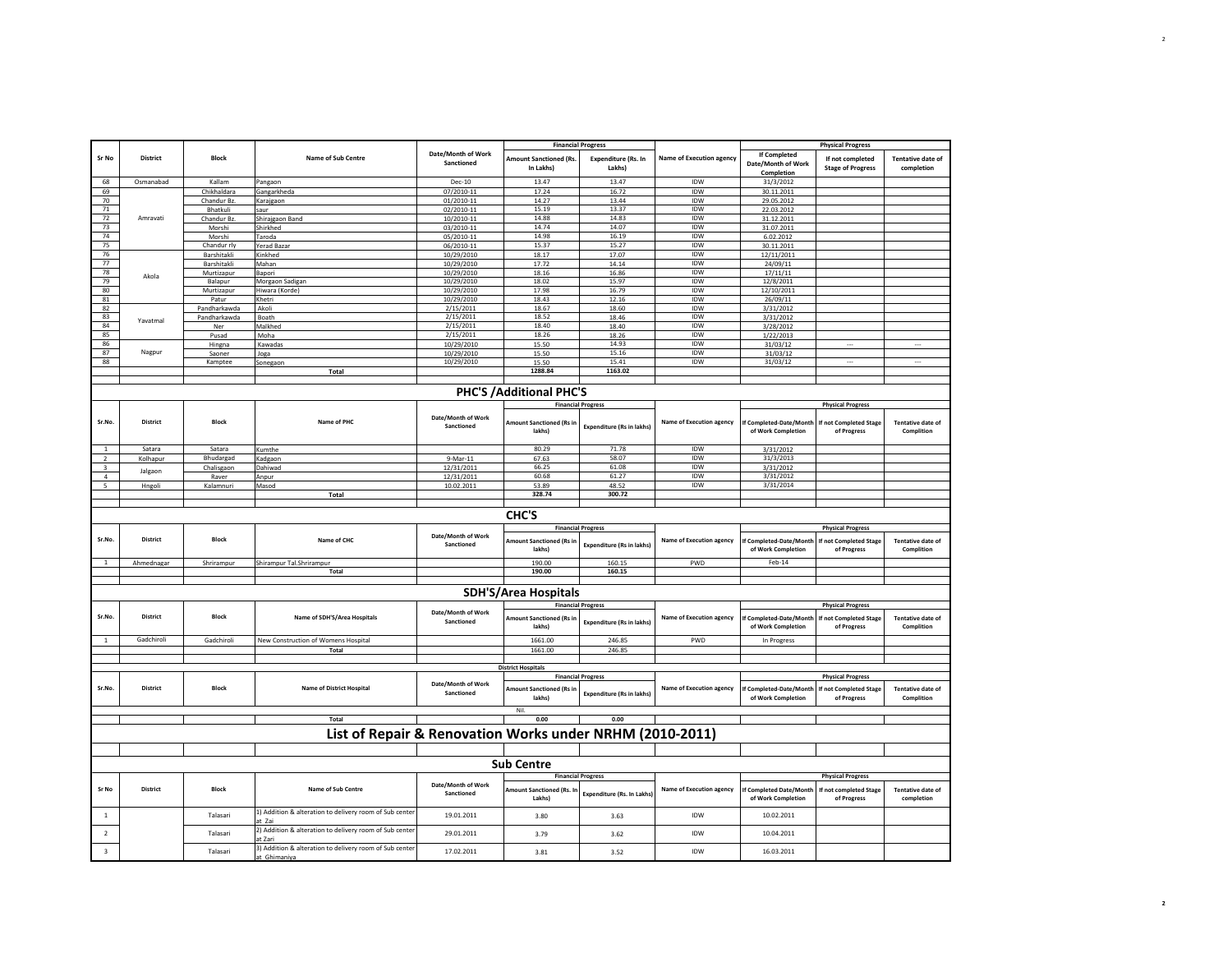|                |                 |                       |                                                                         |                                  |                                            | <b>Financial Progress</b>        |                                 |                                               | <b>Physical Progress</b>                     |                                        |
|----------------|-----------------|-----------------------|-------------------------------------------------------------------------|----------------------------------|--------------------------------------------|----------------------------------|---------------------------------|-----------------------------------------------|----------------------------------------------|----------------------------------------|
| Sr No          | District        | <b>Block</b>          | Name of Sub Centre                                                      | Date/Month of Work<br>Sanctioned | <b>Amount Sanctioned (Rs.</b><br>In Lakhs) | Expenditure (Rs. In<br>Lakhs)    | <b>Name of Execution agency</b> | <b>If Completed</b><br>Date/Month of Work     | If not completed<br><b>Stage of Progress</b> | <b>Tentative date of</b><br>completion |
| 68             | Osmanabad       | Kallam                | Pangaon                                                                 | <b>Dec-10</b>                    | 13.47                                      | 13.47                            | IDW                             | Completion<br>31/3/2012                       |                                              |                                        |
| 69             |                 | Chikhaldara           | Gangarkheda                                                             | 07/2010-11                       | 17.24                                      | 16.72                            | <b>IDW</b>                      | 30.11.2011                                    |                                              |                                        |
| 70             |                 | Chandur Bz.           | Karajgaon                                                               | 01/2010-11                       | 14.27                                      | 13.44                            | IDW                             | 29.05.2012                                    |                                              |                                        |
| 71             |                 | Bhatkuli              | saur                                                                    | 02/2010-11                       | 15.19                                      | 13.37                            | <b>IDW</b>                      | 22.03.2012                                    |                                              |                                        |
| $72\,$         | Amravati        | Chandur Bz.           | Shirajgaon Band                                                         | 10/2010-11                       | 14.88                                      | 14.83                            | IDW                             | 31.12.2011                                    |                                              |                                        |
| 73             |                 | Morshi                | Shirkhed                                                                | 03/2010-11                       | 14.74                                      | 14.07                            | IDW                             | 31.07.2011                                    |                                              |                                        |
| 74             |                 | Morshi                | Taroda                                                                  | 05/2010-11                       | 14.98                                      | 16.19                            | IDW                             | 6.02.2012                                     |                                              |                                        |
| 75             |                 | Chandur rly           | Yerad Bazar                                                             | 06/2010-11                       | 15.37                                      | 15.27                            | IDW                             | 30.11.2011                                    |                                              |                                        |
| 76             |                 | Barshitakli           | Kinkhed                                                                 | 10/29/2010                       | 18.17                                      | 17.07                            | <b>IDW</b>                      | 12/11/2011                                    |                                              |                                        |
| 77             |                 | Barshitakli           | Mahan                                                                   | 10/29/2010                       | 17.72                                      | 14.14                            | IDW                             | 24/09/11                                      |                                              |                                        |
| 78             | Akola           | Murtizapur            | Bapori                                                                  | 10/29/2010                       | 18.16                                      | 16.86                            | IDW                             | 17/11/11                                      |                                              |                                        |
| 79             |                 | Balapur               | Morgaon Sadigan                                                         | 10/29/2010                       | 18.02                                      | 15.97                            | <b>IDW</b>                      | 12/8/2011                                     |                                              |                                        |
| 80<br>81       |                 | Murtizapur            | Hiwara (Korde)                                                          | 10/29/2010                       | 17.98                                      | 16.79                            | <b>IDW</b><br><b>IDW</b>        | 12/10/2011                                    |                                              |                                        |
| 82             |                 | Patur<br>Pandharkawda | Khetri<br>Akoli                                                         | 10/29/2010<br>2/15/2011          | 18.43<br>18.67                             | 12.16<br>18.60                   | <b>IDW</b>                      | 26/09/11<br>3/31/2012                         |                                              |                                        |
| 83             |                 |                       | Boath                                                                   | 2/15/2011                        | 18.52                                      | 18.46                            | <b>IDW</b>                      |                                               |                                              |                                        |
| 84             | Yavatmal        | Pandharkawda<br>Ner   | Malkhed                                                                 | 2/15/2011                        | 18.40                                      | 18.40                            | IDW                             | 3/31/2012<br>3/28/2012                        |                                              |                                        |
| 85             |                 | Pusad                 | Moha                                                                    | 2/15/2011                        | 18.26                                      | 18.26                            | IDW                             | 1/22/2013                                     |                                              |                                        |
| 86             |                 | Hingna                | Kawadas                                                                 | 10/29/2010                       | 15.50                                      | 14.93                            | IDW                             | 31/03/12                                      | $\sim$                                       | $\cdots$                               |
| 87             | Nagpur          | Saoner                | Joga                                                                    | 10/29/2010                       | 15.50                                      | 15.16                            | IDW                             | 31/03/12                                      |                                              |                                        |
| 88             |                 | Kamptee               | Sonegaon                                                                | 10/29/2010                       | 15.50                                      | 15.41                            | IDW                             | 31/03/12                                      | $\cdots$                                     | $\cdots$                               |
|                |                 |                       | <b>Total</b>                                                            |                                  | 1288.84                                    | 1163.02                          |                                 |                                               |                                              |                                        |
|                |                 |                       |                                                                         |                                  |                                            |                                  |                                 |                                               |                                              |                                        |
|                |                 |                       |                                                                         |                                  | <b>PHC'S /Additional PHC'S</b>             |                                  |                                 |                                               |                                              |                                        |
|                |                 |                       |                                                                         |                                  |                                            | <b>Financial Progress</b>        |                                 |                                               | <b>Physical Progress</b>                     |                                        |
| Sr.No.         | District        | <b>Block</b>          | Name of PHC                                                             | Date/Month of Work<br>Sanctioned | Amount Sanctioned (Rs in<br>lakhs)         | <b>Expenditure (Rs in lakhs)</b> | <b>Name of Execution agency</b> | f Completed-Date/Month<br>of Work Completion  | f not Completed Stage<br>of Progress         | <b>Tentative date of</b><br>Complition |
| $\mathbf{1}$   | Satara          | Satara                | Kumthe                                                                  |                                  | 80.29                                      | 71.78                            | IDW                             | 3/31/2012                                     |                                              |                                        |
| $\overline{2}$ | Kolhapur        | Bhudargad             | Kadgaon                                                                 | 9-Mar-11                         | 67.63                                      | 58.07                            | IDW                             | 31/3/2013                                     |                                              |                                        |
| 3              |                 | Chalisgaon            | Dahiwad                                                                 | 12/31/2011                       | 66.25                                      | 61.08                            | <b>IDW</b>                      | 3/31/2012                                     |                                              |                                        |
| $\mathfrak{a}$ | Jalgaon         | Raver                 | Anpur                                                                   | 12/31/2011                       | 60.68                                      | 61.27                            | <b>IDW</b>                      | 3/31/2012                                     |                                              |                                        |
| 5              | Hngoli          | Kalamnuri             | Masod                                                                   | 10.02.2011                       | 53.89                                      | 48.52                            | IDW                             | 3/31/2014                                     |                                              |                                        |
|                |                 |                       | Total                                                                   |                                  | 328.74                                     | 300.72                           |                                 |                                               |                                              |                                        |
|                |                 |                       |                                                                         |                                  | CHC'S                                      |                                  |                                 |                                               |                                              |                                        |
|                |                 |                       |                                                                         |                                  |                                            | <b>Financial Progress</b>        |                                 |                                               | <b>Physical Progress</b>                     |                                        |
| Sr.No          | <b>District</b> | <b>Block</b>          | Name of CHC                                                             | Date/Month of Work<br>Sanctioned | Amount Sanctioned (Rs in<br>lakhs)         | Expenditure (Rs in lakhs)        | Name of Execution agency        | If Completed-Date/Month<br>of Work Completion | f not Completed Stage<br>of Progress         | Tentative date of<br>Complition        |
|                | Ahmednagar      | Shrirampur            | Shirampur Tal.Shrirampur                                                |                                  | 190.00                                     | 160.15                           | PWD                             | $Feb-14$                                      |                                              |                                        |
|                |                 |                       | Total                                                                   |                                  | 190.00                                     | 160.15                           |                                 |                                               |                                              |                                        |
|                |                 |                       |                                                                         |                                  | <b>SDH'S/Area Hospitals</b>                |                                  |                                 |                                               |                                              |                                        |
|                |                 |                       |                                                                         |                                  |                                            | <b>Financial Progress</b>        |                                 |                                               | <b>Physical Progress</b>                     |                                        |
| Sr.No          | <b>District</b> | <b>Block</b>          | Name of SDH'S/Area Hospitals                                            | Date/Month of Work<br>Sanctioned | Amount Sanctioned (Rs in<br>lakhs)         | <b>Expenditure (Rs in lakhs)</b> | <b>Name of Execution agency</b> | f Completed-Date/Month<br>of Work Completion  | <b>f</b> not Completed Stage<br>of Progress  | Tentative date of<br>Complition        |
| $\mathbf{1}$   | Gadchiroli      | Gadchiroli            | New Construction of Womens Hospital                                     |                                  | 1661.00                                    | 246.85                           | PWD                             | In Progress                                   |                                              |                                        |
|                |                 |                       | Total                                                                   |                                  | 1661.00                                    | 246.85                           |                                 |                                               |                                              |                                        |
|                |                 |                       |                                                                         |                                  | <b>District Hospitals</b>                  |                                  |                                 |                                               |                                              |                                        |
|                |                 |                       |                                                                         |                                  |                                            | <b>Financial Progress</b>        |                                 |                                               | <b>Physical Progress</b>                     |                                        |
| Sr.No.         | District        | <b>Block</b>          | <b>Name of District Hospital</b>                                        | Date/Month of Work<br>Sanctioned | Amount Sanctioned (Rs in<br>lakhs)         | <b>Expenditure (Rs in lakhs)</b> | <b>Name of Execution agency</b> | If Completed-Date/Month<br>of Work Completion | If not Completed Stage<br>of Progress        | <b>Tentative date of</b><br>Complition |
|                |                 |                       | Total                                                                   |                                  | Nil.<br>0.00                               | 0.00                             |                                 |                                               |                                              |                                        |
|                |                 |                       | List of Repair & Renovation Works under NRHM (2010-2011)                |                                  |                                            |                                  |                                 |                                               |                                              |                                        |
|                |                 |                       |                                                                         |                                  |                                            |                                  |                                 |                                               |                                              |                                        |
|                |                 |                       |                                                                         |                                  | <b>Sub Centre</b>                          |                                  |                                 |                                               |                                              |                                        |
|                |                 |                       |                                                                         |                                  |                                            | <b>Financial Progress</b>        |                                 |                                               | <b>Physical Progress</b>                     |                                        |
| Sr No          | <b>District</b> | Block                 | Name of Sub Centre                                                      | Date/Month of Work<br>Sanctioned | <b>Imount Sanctioned (Rs. In</b><br>Lakhs  | Expenditure (Rs. In Lakhs)       | <b>Name of Execution agency</b> | f Completed Date/Month<br>of Work Completion  | If not completed Stage<br>of Progress        | <b>Tentative date of</b><br>completion |
| <sup>1</sup>   |                 | Talasari              | 1) Addition & alteration to delivery room of Sub center<br>at Zai       | 19.01.2011                       | 3.80                                       | 3.63                             | IDW                             | 10.02.2011                                    |                                              |                                        |
| $\overline{2}$ |                 | Talasari              | 2) Addition & alteration to delivery room of Sub center<br>at Zari      | 29.01.2011                       | 3.79                                       | 3.62                             | IDW                             | 10.04.2011                                    |                                              |                                        |
| 3              |                 | Talasari              | 3) Addition & alteration to delivery room of Sub center<br>at Ghimaniya | 17.02.2011                       | 3.81                                       | 3.52                             | IDW                             | 16.03.2011                                    |                                              |                                        |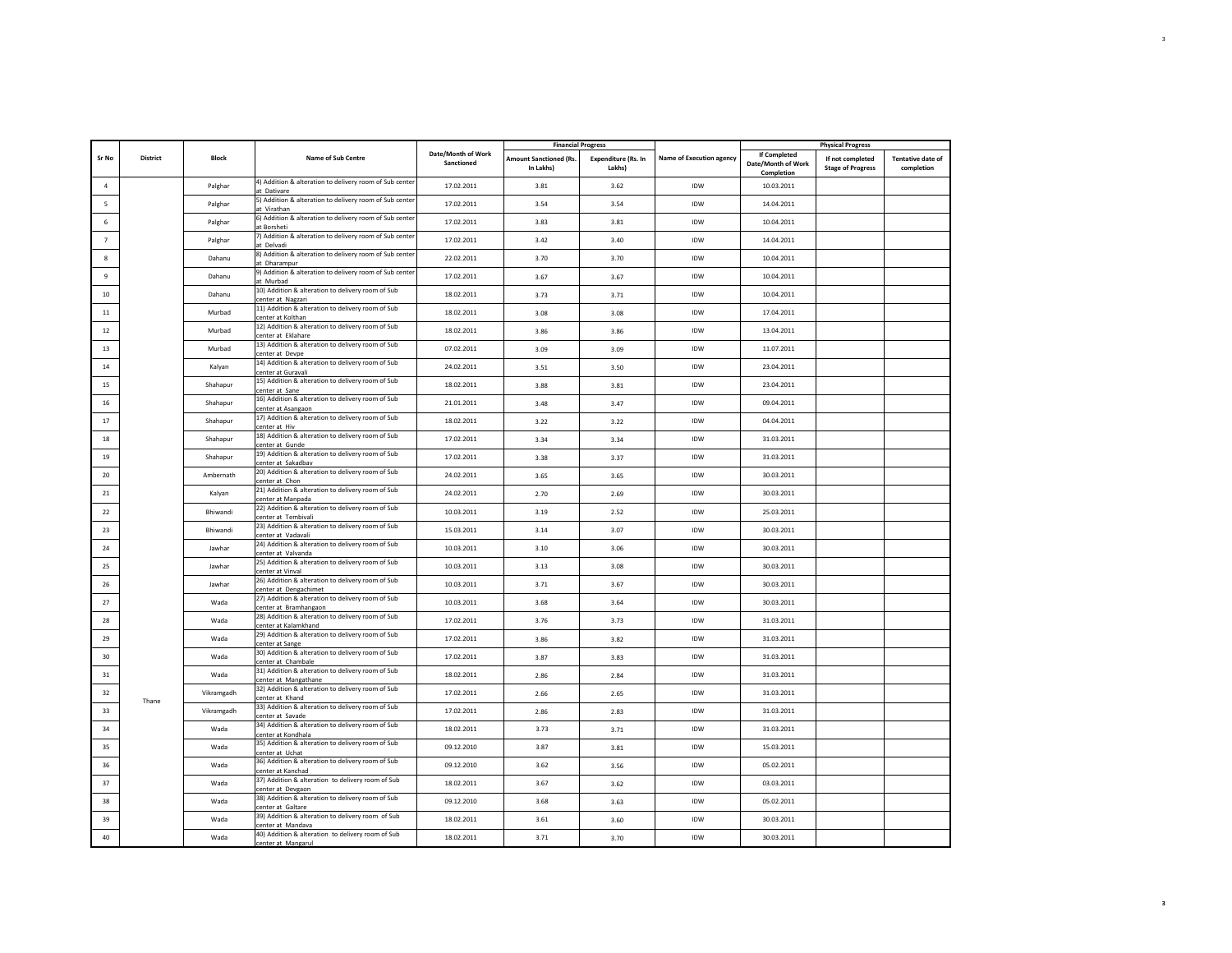|                |                 |              |                                                                            |                                  |                                            | <b>Financial Progress</b>            |                                 |                                                  | <b>Physical Progress</b>                     |                                        |
|----------------|-----------------|--------------|----------------------------------------------------------------------------|----------------------------------|--------------------------------------------|--------------------------------------|---------------------------------|--------------------------------------------------|----------------------------------------------|----------------------------------------|
| Sr No          | <b>District</b> | <b>Block</b> | Name of Sub Centre                                                         | Date/Month of Work<br>Sanctioned | <b>Amount Sanctioned (Rs.</b><br>In Lakhs) | <b>Expenditure (Rs. In</b><br>Lakhs) | <b>Name of Execution agency</b> | If Completed<br>Date/Month of Work<br>Completion | If not completed<br><b>Stage of Progress</b> | <b>Tentative date of</b><br>completion |
| $\overline{4}$ |                 | Palghar      | 4) Addition & alteration to delivery room of Sub center<br>at Dativare     | 17.02.2011                       | 3.81                                       | 3.62                                 | <b>IDW</b>                      | 10.03.2011                                       |                                              |                                        |
| 5              |                 | Palghar      | 5) Addition & alteration to delivery room of Sub center<br>at Virathan     | 17.02.2011                       | 3.54                                       | 3.54                                 | <b>IDW</b>                      | 14.04.2011                                       |                                              |                                        |
| 6              |                 | Palghar      | 6) Addition & alteration to delivery room of Sub center<br>at Borsheti     | 17.02.2011                       | 3.83                                       | 3.81                                 | IDW                             | 10.04.2011                                       |                                              |                                        |
| $\overline{7}$ |                 | Palghar      | 7) Addition & alteration to delivery room of Sub center<br>at Delvadi      | 17.02.2011                       | 3.42                                       | 3.40                                 | IDW                             | 14.04.2011                                       |                                              |                                        |
| 8              |                 | Dahanu       | 8) Addition & alteration to delivery room of Sub center                    | 22.02.2011                       | 3.70                                       | 3.70                                 | IDW                             | 10.04.2011                                       |                                              |                                        |
| 9              |                 | Dahanu       | at Dharampur<br>9) Addition & alteration to delivery room of Sub center    | 17.02.2011                       | 3.67                                       | 3.67                                 | IDW                             | 10.04.2011                                       |                                              |                                        |
| 10             |                 | Dahanu       | at Murbad<br>10) Addition & alteration to delivery room of Sub             | 18.02.2011                       | 3.73                                       | 3.71                                 | <b>IDW</b>                      | 10.04.2011                                       |                                              |                                        |
| 11             |                 | Murbad       | center at Nagzari<br>11) Addition & alteration to delivery room of Sub     | 18.02.2011                       | 3.08                                       | 3.08                                 | IDW                             | 17.04.2011                                       |                                              |                                        |
| 12             |                 | Murbad       | center at Kolthan<br>12) Addition & alteration to delivery room of Sub     | 18.02.2011                       | 3.86                                       | 3.86                                 | IDW                             | 13.04.2011                                       |                                              |                                        |
| 13             |                 | Murbad       | center at Eklahare<br>13) Addition & alteration to delivery room of Sub    | 07.02.2011                       | 3.09                                       | 3.09                                 | IDW                             | 11.07.2011                                       |                                              |                                        |
|                |                 |              | center at Devpe<br>14) Addition & alteration to delivery room of Sub       |                                  |                                            |                                      |                                 |                                                  |                                              |                                        |
| 14             |                 | Kalyan       | center at Guravali<br>15) Addition & alteration to delivery room of Sub    | 24.02.2011                       | 3.51                                       | 3.50                                 | IDW                             | 23.04.2011                                       |                                              |                                        |
| 15             |                 | Shahapur     | center at Sane<br>16) Addition & alteration to delivery room of Sub        | 18.02.2011                       | 3.88                                       | 3.81                                 | <b>IDW</b>                      | 23.04.2011                                       |                                              |                                        |
| 16             |                 | Shahapur     | center at Asangaon                                                         | 21.01.2011                       | 3.48                                       | 3.47                                 | IDW                             | 09.04.2011                                       |                                              |                                        |
| 17             |                 | Shahapur     | 17) Addition & alteration to delivery room of Sub<br>center at Hiv         | 18.02.2011                       | 3.22                                       | 3.22                                 | IDW                             | 04.04.2011                                       |                                              |                                        |
| 18             |                 | Shahapur     | 18) Addition & alteration to delivery room of Sub<br>center at Gunde       | 17.02.2011                       | 3.34                                       | 3.34                                 | <b>IDW</b>                      | 31.03.2011                                       |                                              |                                        |
| 19             |                 | Shahapur     | 19) Addition & alteration to delivery room of Sub<br>center at Sakadbav    | 17.02.2011                       | 3.38                                       | 3.37                                 | IDW                             | 31.03.2011                                       |                                              |                                        |
| 20             |                 | Ambernath    | 20) Addition & alteration to delivery room of Sub<br>center at Chon        | 24.02.2011                       | 3.65                                       | 3.65                                 | IDW                             | 30.03.2011                                       |                                              |                                        |
| 21             |                 | Kalvan       | 21) Addition & alteration to delivery room of Sub<br>center at Manpada     | 24.02.2011                       | 2.70                                       | 2.69                                 | IDW                             | 30.03.2011                                       |                                              |                                        |
| 22             |                 | Bhiwandi     | 22) Addition & alteration to delivery room of Sub<br>center at Tembivali   | 10.03.2011                       | 3.19                                       | 2.52                                 | IDW                             | 25.03.2011                                       |                                              |                                        |
| 23             |                 | Bhiwandi     | 23) Addition & alteration to delivery room of Sub<br>center at Vadavali    | 15.03.2011                       | 3.14                                       | 3.07                                 | IDW                             | 30.03.2011                                       |                                              |                                        |
| 24             |                 | Jawhar       | 24) Addition & alteration to delivery room of Sub<br>center at Valvanda    | 10.03.2011                       | 3.10                                       | 3.06                                 | IDW                             | 30.03.2011                                       |                                              |                                        |
| 25             |                 | Jawhar       | 25) Addition & alteration to delivery room of Sub<br>center at Vinval      | 10.03.2011                       | 3.13                                       | 3.08                                 | IDW                             | 30.03.2011                                       |                                              |                                        |
| 26             |                 | Jawhar       | 26) Addition & alteration to delivery room of Sub                          | 10.03.2011                       | 3.71                                       | 3.67                                 | <b>IDW</b>                      | 30.03.2011                                       |                                              |                                        |
| 27             |                 | Wada         | center at Dengachimet<br>27) Addition & alteration to delivery room of Sub | 10.03.2011                       | 3.68                                       | 3.64                                 | IDW                             | 30.03.2011                                       |                                              |                                        |
| 28             |                 | Wada         | center at Bramhangaon<br>28) Addition & alteration to delivery room of Sub | 17.02.2011                       | 3.76                                       | 3.73                                 | IDW                             | 31.03.2011                                       |                                              |                                        |
| 29             |                 | Wada         | center at Kalamkhand<br>29) Addition & alteration to delivery room of Sub  | 17.02.2011                       | 3.86                                       | 3.82                                 | IDW                             | 31.03.2011                                       |                                              |                                        |
| 30             |                 | Wada         | center at Sange<br>30) Addition & alteration to delivery room of Sub       | 17.02.2011                       | 3.87                                       | 3.83                                 | IDW                             | 31.03.2011                                       |                                              |                                        |
| 31             |                 | Wada         | center at Chambale<br>31) Addition & alteration to delivery room of Sub    | 18.02.2011                       | 2.86                                       | 2.84                                 | IDW                             | 31.03.2011                                       |                                              |                                        |
| 32             |                 | Vikramgadh   | center at Mangathane<br>32) Addition & alteration to delivery room of Sub  | 17.02.2011                       | 2.66                                       | 2.65                                 | IDW                             | 31.03.2011                                       |                                              |                                        |
|                | Thane           |              | center at Khand<br>33) Addition & alteration to delivery room of Sub       |                                  |                                            |                                      |                                 |                                                  |                                              |                                        |
| 33             |                 | Vikramgadh   | center at Savade<br>34) Addition & alteration to delivery room of Sub      | 17.02.2011                       | 2.86                                       | 2.83                                 | IDW                             | 31.03.2011                                       |                                              |                                        |
| 34             |                 | Wada         | center at Kondhala<br>35) Addition & alteration to delivery room of Sub    | 18.02.2011                       | 3.73                                       | 3.71                                 | IDW                             | 31.03.2011                                       |                                              |                                        |
| 35             |                 | Wada         | center at Uchat                                                            | 09.12.2010                       | 3.87                                       | 3.81                                 | IDW                             | 15.03.2011                                       |                                              |                                        |
| 36             |                 | Wada         | 36) Addition & alteration to delivery room of Sub<br>center at Kanchad     | 09.12.2010                       | 3.62                                       | 3.56                                 | <b>IDW</b>                      | 05.02.2011                                       |                                              |                                        |
| 37             |                 | Wada         | 37) Addition & alteration to delivery room of Sub<br>center at Devgaon     | 18.02.2011                       | 3.67                                       | 3.62                                 | <b>IDW</b>                      | 03.03.2011                                       |                                              |                                        |
| 38             |                 | Wada         | 38) Addition & alteration to delivery room of Sub<br>center at Galtare     | 09.12.2010                       | 3.68                                       | 3.63                                 | IDW                             | 05.02.2011                                       |                                              |                                        |
| 39             |                 | Wada         | 39) Addition & alteration to delivery room of Sub<br>center at Mandava     | 18.02.2011                       | 3.61                                       | 3.60                                 | <b>IDW</b>                      | 30.03.2011                                       |                                              |                                        |
| 40             |                 | Wada         | 40) Addition & alteration to delivery room of Sub<br>center at Mangarul    | 18.02.2011                       | 3.71                                       | 3.70                                 | IDW                             | 30.03.2011                                       |                                              |                                        |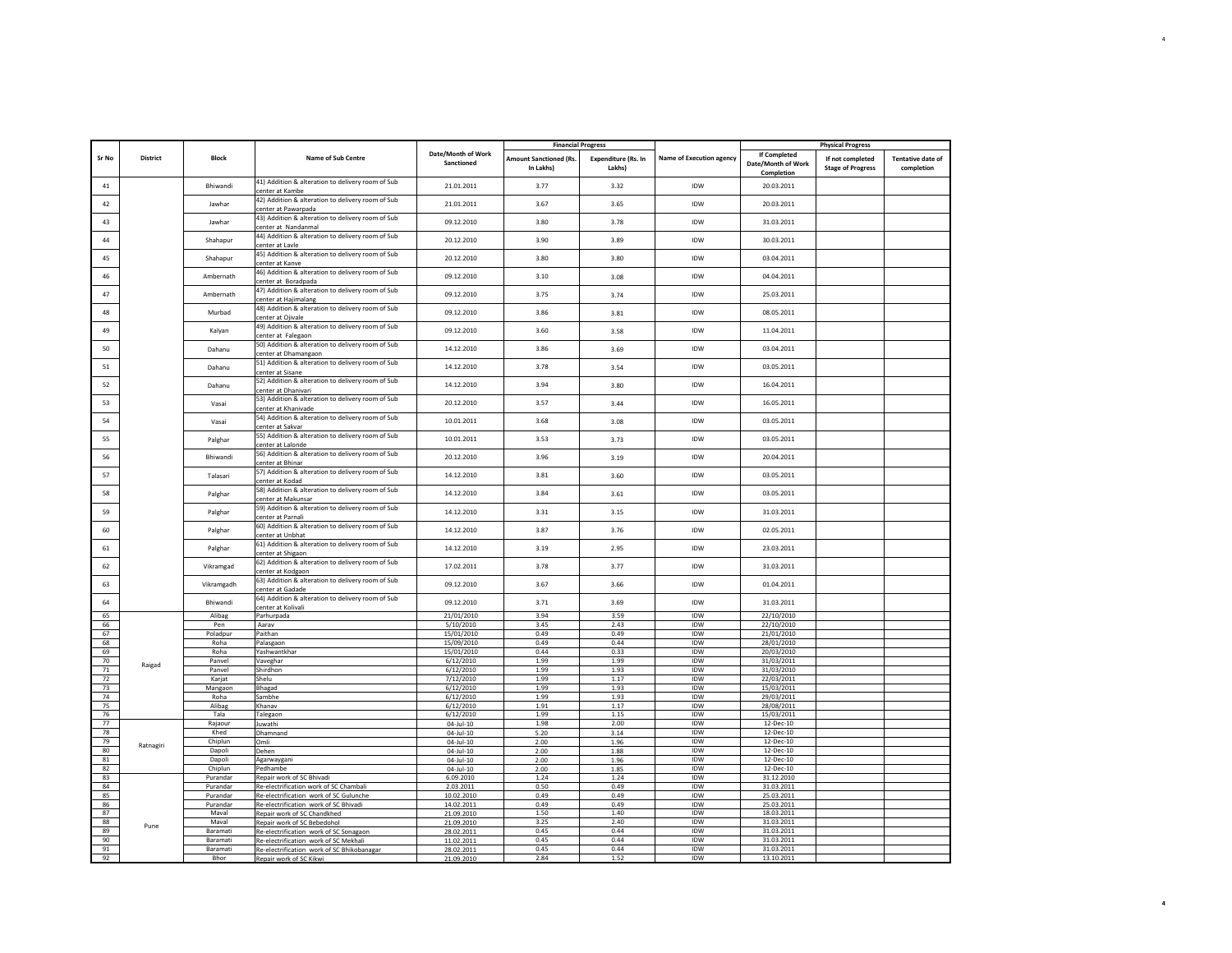|          |                 |                 |                                                                           |                                  | <b>Financial Progress</b>                  |                               |                                 |                                                  | <b>Physical Progress</b>                     |                                        |
|----------|-----------------|-----------------|---------------------------------------------------------------------------|----------------------------------|--------------------------------------------|-------------------------------|---------------------------------|--------------------------------------------------|----------------------------------------------|----------------------------------------|
| Sr No    | <b>District</b> | <b>Block</b>    | Name of Sub Centre                                                        | Date/Month of Work<br>Sanctioned | <b>Amount Sanctioned (Rs.</b><br>In Lakhs) | Expenditure (Rs. In<br>Lakhs) | <b>Name of Execution agency</b> | If Completed<br>Date/Month of Work<br>Completion | If not completed<br><b>Stage of Progress</b> | <b>Tentative date of</b><br>completion |
| 41       |                 | Bhiwandi        | 41) Addition & alteration to delivery room of Sub<br>center at Kambe      | 21.01.2011                       | 3.77                                       | 3.32                          | <b>IDW</b>                      | 20.03.2011                                       |                                              |                                        |
| 42       |                 | Jawhar          | 42) Addition & alteration to delivery room of Sub<br>center at Pawarpada  | 21.01.2011                       | 3.67                                       | 3.65                          | IDW                             | 20.03.2011                                       |                                              |                                        |
| 43       |                 | Jawhar          | 43) Addition & alteration to delivery room of Sub<br>center at Nandanmal  | 09.12.2010                       | 3.80                                       | 3.78                          | IDW                             | 31.03.2011                                       |                                              |                                        |
| 44       |                 | Shahapur        | 44) Addition & alteration to delivery room of Sub<br>center at Lavle      | 20.12.2010                       | 3.90                                       | 3.89                          | <b>IDW</b>                      | 30.03.2011                                       |                                              |                                        |
| 45       |                 | Shahapur        | 45) Addition & alteration to delivery room of Sub<br>center at Kanve      | 20.12.2010                       | 3.80                                       | 3.80                          | IDW                             | 03.04.2011                                       |                                              |                                        |
| 46       |                 | Ambernath       | 46) Addition & alteration to delivery room of Sub<br>center at Boradpada  | 09.12.2010                       | 3.10                                       | 3.08                          | <b>IDW</b>                      | 04.04.2011                                       |                                              |                                        |
| 47       |                 | Ambernath       | 47) Addition & alteration to delivery room of Sub<br>center at Hajimalang | 09.12.2010                       | 3.75                                       | 3.74                          | IDW                             | 25.03.2011                                       |                                              |                                        |
| 48       |                 | Murbad          | 48) Addition & alteration to delivery room of Sub<br>center at Ojivale    | 09.12.2010                       | 3.86                                       | 3.81                          | <b>IDW</b>                      | 08.05.2011                                       |                                              |                                        |
| 49       |                 | Kalyan          | 49) Addition & alteration to delivery room of Sub<br>center at Falegaon   | 09.12.2010                       | 3.60                                       | 3.58                          | IDW                             | 11.04.2011                                       |                                              |                                        |
| 50       |                 | Dahanu          | 50) Addition & alteration to delivery room of Sub<br>center at Dhamangaon | 14.12.2010                       | 3.86                                       | 3.69                          | <b>IDW</b>                      | 03.04.2011                                       |                                              |                                        |
| 51       |                 | Dahanu          | 51) Addition & alteration to delivery room of Sub                         | 14.12.2010                       | 3.78                                       | 3.54                          | IDW                             | 03.05.2011                                       |                                              |                                        |
| 52       |                 | Dahanu          | center at Sisane<br>52) Addition & alteration to delivery room of Sub     | 14.12.2010                       | 3.94                                       | 3.80                          | <b>IDW</b>                      | 16.04.2011                                       |                                              |                                        |
| 53       |                 | Vasai           | center at Dhanivari<br>53) Addition & alteration to delivery room of Sub  | 20.12.2010                       | 3.57                                       | 3.44                          | <b>IDW</b>                      | 16.05.2011                                       |                                              |                                        |
| 54       |                 | Vasai           | center at Khanivade<br>54) Addition & alteration to delivery room of Sub  | 10.01.2011                       | 3.68                                       | 3.08                          | <b>IDW</b>                      | 03.05.2011                                       |                                              |                                        |
| 55       |                 | Palghar         | center at Sakvar<br>55) Addition & alteration to delivery room of Sub     | 10.01.2011                       | 3.53                                       | 3.73                          | IDW                             | 03.05.2011                                       |                                              |                                        |
| 56       |                 | Bhiwandi        | center at Lalonde<br>56) Addition & alteration to delivery room of Sub    | 20.12.2010                       | 3.96                                       | 3.19                          | <b>IDW</b>                      | 20.04.2011                                       |                                              |                                        |
| 57       |                 | Talasari        | center at Bhinar<br>57) Addition & alteration to delivery room of Sub     | 14.12.2010                       | 3.81                                       | 3.60                          | IDW                             | 03.05.2011                                       |                                              |                                        |
| 58       |                 | Palghar         | center at Kodad<br>58) Addition & alteration to delivery room of Sub      | 14.12.2010                       | 3.84                                       | 3.61                          | IDW                             | 03.05.2011                                       |                                              |                                        |
| 59       |                 | Palghar         | center at Makunsar<br>59) Addition & alteration to delivery room of Sub   | 14.12.2010                       | 3.31                                       | 3.15                          | IDW                             | 31.03.2011                                       |                                              |                                        |
| 60       |                 | Palghar         | center at Parnali<br>60) Addition & alteration to delivery room of Sub    | 14.12.2010                       | 3.87                                       | 3.76                          | <b>IDW</b>                      | 02.05.2011                                       |                                              |                                        |
| 61       |                 | Palghar         | center at Unbhat<br>61) Addition & alteration to delivery room of Sub     | 14.12.2010                       | 3.19                                       | 2.95                          | IDW                             | 23.03.2011                                       |                                              |                                        |
| 62       |                 | Vikramgad       | center at Shigaon<br>62) Addition & alteration to delivery room of Sub    | 17.02.2011                       | 3.78                                       | 3.77                          | IDW                             | 31.03.2011                                       |                                              |                                        |
| 63       |                 | Vikramgadh      | center at Kodgaon<br>63) Addition & alteration to delivery room of Sub    | 09.12.2010                       | 3.67                                       | 3.66                          | IDW                             | 01.04.2011                                       |                                              |                                        |
| 64       |                 | Bhiwandi        | center at Gadade<br>64) Addition & alteration to delivery room of Sub     | 09.12.2010                       | 3.71                                       | 3.69                          | <b>IDW</b>                      | 31.03.2011                                       |                                              |                                        |
|          |                 |                 | center at Kolivali                                                        |                                  |                                            |                               |                                 |                                                  |                                              |                                        |
| 65<br>66 |                 | Alibag<br>Pen   | Parhurpada<br>Aarav                                                       | 21/01/2010<br>5/10/2010          | 3.94<br>3.45                               | 3.59<br>2.43                  | IDW<br><b>IDW</b>               | 22/10/2010<br>22/10/2010                         |                                              |                                        |
| 67       |                 | Poladpur        | Paithan                                                                   | 15/01/2010                       | 0.49                                       | 0.49                          | <b>IDW</b>                      | 21/01/2010                                       |                                              |                                        |
| 68       |                 | Roha            | Palasgaon                                                                 | 15/09/2010                       | 0.49                                       | 0.44                          | IDW                             | 28/01/2010                                       |                                              |                                        |
| 69       |                 | Roha            | Yashwantkhar                                                              | 15/01/2010                       | 0.44                                       | 0.33                          | <b>IDW</b>                      | 20/03/2010                                       |                                              |                                        |
| 70       | Raigad          | Panvel          | Vaveghar                                                                  | 6/12/2010                        | 1.99                                       | 1.99                          | <b>IDW</b>                      | 31/03/2011                                       |                                              |                                        |
| 71       |                 | Panvel          | Shirdhon                                                                  | 6/12/2010                        | 1.99                                       | 1.93                          | IDW                             | 31/03/2010                                       |                                              |                                        |
| 72       |                 | Karjat          | Shelu                                                                     | 7/12/2010                        | 1.99                                       | 1.17                          | IDW                             | 22/03/2011                                       |                                              |                                        |
| 73<br>74 |                 | Mangaon<br>Roha | Bhagad<br>Sambhe                                                          | 6/12/2010                        | 1.99<br>1.99                               | 1.93<br>1.93                  | IDW<br><b>IDW</b>               | 15/03/2011                                       |                                              |                                        |
| 75       |                 | Alibag          | Khanav                                                                    | 6/12/2010<br>6/12/2010           | 1.91                                       | 1.17                          | IDW                             | 29/03/2011<br>28/08/2011                         |                                              |                                        |
| 76       |                 | Tala            | Talegaon                                                                  | 6/12/2010                        | 1.99                                       | 1.15                          | IDW                             | 15/03/2011                                       |                                              |                                        |
| 77       |                 | Rajaour         | Juwathi                                                                   | 04-Jul-10                        | 1.98                                       | 2.00                          | <b>IDW</b>                      | 12-Dec-10                                        |                                              |                                        |
| 78       |                 | Khed            | Dhamnand                                                                  | $04$ -Jul-10                     | 5.20                                       | 3.14                          | <b>IDW</b>                      | 12-Dec-10                                        |                                              |                                        |
| 79       |                 | Chiplun         | Omli                                                                      | 04-Jul-10                        | 2.00                                       | 1.96                          | IDW                             | 12-Dec-10                                        |                                              |                                        |
| 80       | Ratnagiri       | Dapoli          | Dehen                                                                     | 04-Jul-10                        | 2.00                                       | 1.88                          | IDW                             | 12-Dec-10                                        |                                              |                                        |
| 81       |                 | Dapoli          | Agarwaygani                                                               | 04-Jul-10                        | 2.00                                       | 1.96                          | <b>IDW</b>                      | 12-Dec-10                                        |                                              |                                        |
| 82       |                 | Chiplun         | Pedhambe                                                                  | 04-Jul-10                        | 2.00                                       | 1.85                          | <b>IDW</b>                      | 12-Dec-10                                        |                                              |                                        |
| 83       |                 | Purandar        | Repair work of SC Bhivadi                                                 | 6.09.2010                        | 1.24                                       | 1.24                          | <b>IDW</b>                      | 31.12.2010                                       |                                              |                                        |
| 84       |                 | Purandar        | Re-electrification work of SC Chambali                                    | 2.03.2011                        | 0.50                                       | 0.49                          | <b>IDW</b>                      | 31.03.2011                                       |                                              |                                        |
| 85       |                 | Purandar        | Re-electrification work of SC Gulunche                                    | 10.02.2010                       | 0.49                                       | 0.49                          | IDW                             | 25.03.2011                                       |                                              |                                        |
| 86<br>87 |                 | Purandar        | Re-electrification work of SC Bhivadi                                     | 14.02.2011                       | 0.49<br>1.50                               | 0.49<br>1.40                  | IDW                             | 25.03.2011                                       |                                              |                                        |
| 88       |                 | Maval<br>Maval  | Repair work of SC Chandkhed<br>Repair work of SC Bebedohol                | 21.09.2010<br>21.09.2010         | 3.25                                       | 2.40                          | IDW<br>IDW                      | 18.03.2011<br>31.03.2011                         |                                              |                                        |
| 89       | Pune            | Baramati        | Re-electrification work of SC Sonagaon                                    | 28.02.2011                       | 0.45                                       | 0.44                          | <b>IDW</b>                      | 31.03.2011                                       |                                              |                                        |
| 90       |                 | Baramati        | Re-electrification work of SC Mekhali                                     | 11.02.2011                       | 0.45                                       | 0.44                          | <b>IDW</b>                      | 31.03.2011                                       |                                              |                                        |
| 91       |                 | Baramati        | Re-electrification work of SC Bhikobanagar                                | 28.02.2011                       | 0.45                                       | 0.44                          | <b>IDW</b>                      | 31.03.2011                                       |                                              |                                        |
| 92       |                 | <b>Bhor</b>     | Repair work of SC Kikwi                                                   | 21.09.2010                       | 2.84                                       | 1.52                          | <b>IDW</b>                      | 13.10.2011                                       |                                              |                                        |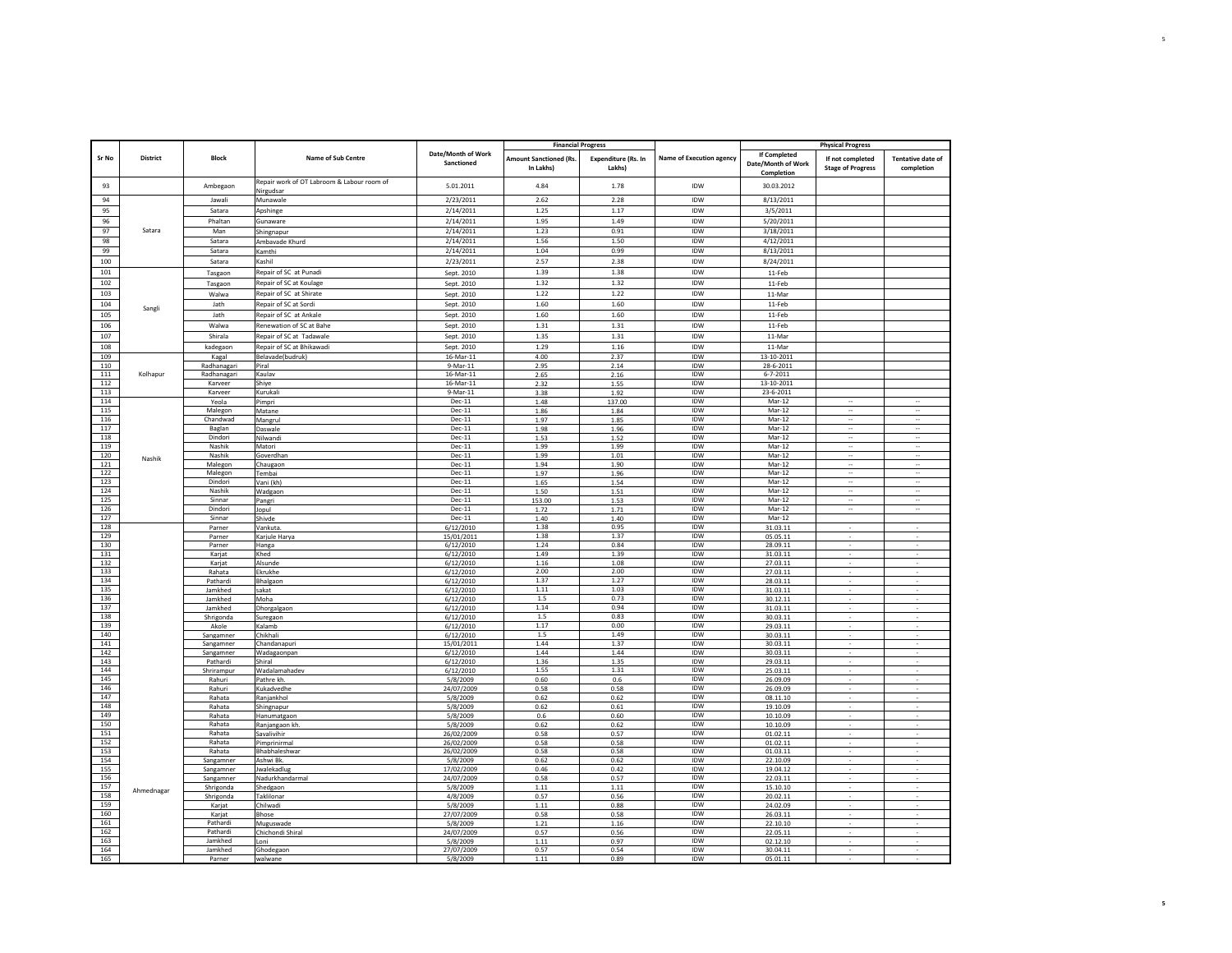|            |                 |                        |                                                         |                                  | <b>Financial Progress</b>                  |                               |                                 |                                                  | <b>Physical Progress</b>                     |                                        |
|------------|-----------------|------------------------|---------------------------------------------------------|----------------------------------|--------------------------------------------|-------------------------------|---------------------------------|--------------------------------------------------|----------------------------------------------|----------------------------------------|
| Sr No      | <b>District</b> | Block                  | Name of Sub Centre                                      | Date/Month of Work<br>Sanctioned | <b>Amount Sanctioned (Rs.</b><br>In Lakhs) | Expenditure (Rs. In<br>Lakhs) | <b>Name of Execution agency</b> | If Completed<br>Date/Month of Work<br>Completion | If not completed<br><b>Stage of Progress</b> | <b>Tentative date of</b><br>completion |
| 93         |                 | Ambegaon               | Repair work of OT Labroom & Labour room of<br>Nirgudsar | 5.01.2011                        | 4.84                                       | 1.78                          | <b>IDW</b>                      | 30.03.2012                                       |                                              |                                        |
| 94         |                 | Jawali                 | Munawale                                                | 2/23/2011                        | 2.62                                       | 2.28                          | IDW                             | 8/13/2011                                        |                                              |                                        |
| 95         |                 | Satara                 | Apshinge                                                | 2/14/2011                        | 1.25                                       | 1.17                          | IDW                             | 3/5/2011                                         |                                              |                                        |
| 96         |                 | Phaltan                | Gunaware                                                | 2/14/2011                        | 1.95                                       | 1.49                          | IDW                             | 5/20/2011                                        |                                              |                                        |
| 97         | Satara          | Man                    | Shingnapur                                              | 2/14/2011                        | 1.23                                       | 0.91                          | IDW                             | 3/18/2011                                        |                                              |                                        |
| 98         |                 | Satara                 | Ambavade Khurd                                          | 2/14/2011                        | 1.56                                       | 1.50                          | IDW                             | 4/12/2011                                        |                                              |                                        |
| 99         |                 | Satara                 | Kamthi                                                  | 2/14/2011                        | 1.04                                       | 0.99                          | IDW                             | 8/13/2011                                        |                                              |                                        |
| 100        |                 | Satara                 | Kashil                                                  | 2/23/2011                        | 2.57                                       | 2.38                          | IDW                             | 8/24/2011                                        |                                              |                                        |
| 101        |                 | Tasgaon                | Repair of SC at Punadi                                  | Sept. 2010                       | 1.39                                       | 1.38                          | IDW                             | 11-Feb                                           |                                              |                                        |
| 102        |                 | Tasgaon                | Repair of SC at Koulage                                 | Sept. 2010                       | 1.32                                       | 1.32                          | IDW                             | 11-Feb                                           |                                              |                                        |
| 103        |                 | Walwa                  | Repair of SC at Shirate                                 | Sept. 2010                       | 1.22                                       | 1.22                          | <b>IDW</b>                      | 11-Mar                                           |                                              |                                        |
| 104        |                 | Jath                   | Repair of SC at Sordi                                   | Sept. 2010                       | 1.60                                       | 1.60                          | IDW                             | 11-Feb                                           |                                              |                                        |
| 105        | Sangli          | Jath                   | Repair of SC at Ankale                                  | Sept. 2010                       | 1.60                                       | 1.60                          | IDW                             | 11-Feb                                           |                                              |                                        |
| 106        |                 | Walwa                  | Renewation of SC at Bahe                                | Sept. 2010                       | 1.31                                       | 1.31                          | IDW                             | 11-Feb                                           |                                              |                                        |
| 107        |                 | Shirala                | Repair of SC at Tadawale                                | Sept. 2010                       | 1.35                                       | 1.31                          | IDW                             | 11-Mar                                           |                                              |                                        |
| 108        |                 | kadegaon               | Repair of SC at Bhikawadi                               | Sept. 2010                       | 1.29                                       | 1.16                          | IDW                             | 11-Mar                                           |                                              |                                        |
| 109        |                 | Kagal                  | Belavade(budruk)                                        | 16-Mar-11                        | 4.00                                       | 2.37                          | <b>IDW</b>                      | 13-10-2011                                       |                                              |                                        |
| 110        |                 | Radhanagari            | Piral                                                   | $9-Mar-11$                       | 2.95                                       | 2.14                          | IDW                             | $28 - 6 - 2011$                                  |                                              |                                        |
| 111        | Kolhapur        | Radhanagari            | Kaulav                                                  | 16-Mar-11                        | 2.65                                       | 2.16                          | IDW                             | $6 - 7 - 2011$                                   |                                              |                                        |
| 112        |                 | Karveer                | Shiye                                                   | 16-Mar-11                        | 2.32                                       | 1.55                          | IDW                             | 13-10-2011                                       |                                              |                                        |
| 113        |                 | Karveer                | Kurukali                                                | 9-Mar-11                         | 3.38                                       | 1.92                          | IDW                             | 23-6-2011                                        |                                              |                                        |
| 114        |                 | Yeola                  | Pimpri                                                  | $Dec-11$                         | 1.48                                       | 137.00                        | IDW                             | Mar-12                                           | ÷.                                           | ä,                                     |
| 115        |                 | Malegon                | Matane                                                  | $Dec-11$                         | 1.86                                       | 1.84                          | IDW                             | Mar-12                                           |                                              | ä,                                     |
| 116<br>117 |                 | Chandwad<br>Baglan     | Mangrul<br>Daswale                                      | Dec-11<br>$Dec-11$               | 1.97<br>1.98                               | 1.85<br>1.96                  | IDW<br><b>IDW</b>               | Mar-12<br>Mar-12                                 | $\ddotsc$<br>$\sim$                          | $\cdot$<br>$\sim$                      |
| 118        |                 | Dindori                | Nilwandi                                                | $Dec-11$                         | 1.53                                       | 1.52                          | IDW                             | Mar-12                                           | $\overline{\phantom{a}}$                     | $\sim$                                 |
| 119        |                 | Nashik                 | Matori                                                  | $Dec-11$                         | 1.99                                       | 1.99                          | IDW                             | Mar-12                                           |                                              |                                        |
| 120        | Nashik          | Nashik                 | Goverdhan                                               | Dec-11                           | 1.99                                       | 1.01                          | <b>IDW</b>                      | Mar-12                                           | $\sim$                                       | $\sim$                                 |
| 121        |                 | Malegon                | Chaugaon                                                | Dec-11                           | 1.94                                       | 1.90                          | IDW                             | Mar-12                                           |                                              | $\sim$                                 |
| 122        |                 | Malegon                | Tembai                                                  | $Dec-11$                         | 1.97                                       | 1.96                          | IDW                             | Mar-12                                           |                                              |                                        |
| 123<br>124 |                 | Dindori<br>Nashik      | Vani (kh)                                               | Dec-11<br>$Dec-11$               | 1.65                                       | 1.54                          | IDW                             | Mar-12<br>$Mar-12$                               | $\ldots$                                     | $\sim$                                 |
| 125        |                 | Sinnar                 | Wadgaon<br>Paneri                                       | Dec-11                           | 1.50<br>153.00                             | 1.51<br>1.53                  | IDW<br>IDW                      | Mar-12                                           | $\cdots$                                     | $\sim$                                 |
| 126        |                 | Dindori                | Jopul                                                   | $Dec-11$                         | 1.72                                       | 1.71                          | IDW                             | Mar-12                                           | $\bar{\phantom{a}}$                          | $\bar{a}$                              |
| 127        |                 | Sinnar                 | Shivde                                                  | Dec-11                           | 1.40                                       | 1.40                          | <b>IDW</b>                      | Mar-12                                           |                                              |                                        |
| 128        |                 | Parner                 | Vankuta                                                 | 6/12/2010                        | 1.38                                       | 0.95                          | <b>IDW</b>                      | 31.03.11                                         | ٠                                            |                                        |
| 129        |                 | Parner                 | Karjule Harya                                           | 15/01/2011                       | 1.38                                       | 1.37                          | IDW                             | 05.05.11                                         |                                              |                                        |
| 130        |                 | Parner                 | Hanga                                                   | 6/12/2010                        | 1.24                                       | 0.84                          | <b>IDW</b>                      | 28.09.11                                         |                                              |                                        |
| 131        |                 | Karjat                 | Khed                                                    | 6/12/2010                        | 1.49<br>1.16                               | 1.39<br>1.08                  | IDW<br>IDW                      | 31.03.11                                         |                                              |                                        |
| 132<br>133 |                 | Karjat<br>Rahata       | Alsunde<br>Ekrukhe                                      | 6/12/2010<br>6/12/2010           | 2.00                                       | 2.00                          | <b>IDW</b>                      | 27.03.11<br>27.03.11                             |                                              |                                        |
| 134        |                 | Pathardi               | Bhalgaon                                                | 6/12/2010                        | 1.37                                       | 1.27                          | <b>IDW</b>                      | 28.03.11                                         |                                              |                                        |
| 135        |                 | Jamkhed                | sakat                                                   | 6/12/2010                        | 1.11                                       | 1.03                          | <b>IDW</b>                      | 31.03.11                                         |                                              |                                        |
| 136        |                 | Jamkhed                | Moha                                                    | 6/12/2010                        | 1.5                                        | 0.73                          | IDW                             | 30.12.11                                         | $\overline{\phantom{a}}$                     |                                        |
| 137        |                 | Jamkhed                | Dhorgalgaon                                             | 6/12/2010                        | 1.14                                       | 0.94                          | IDW                             | 31.03.11                                         |                                              |                                        |
| 138        |                 | Shrigonda              | Suregaon                                                | 6/12/2010                        | 1.5                                        | 0.83                          | IDW                             | 30.03.11                                         |                                              |                                        |
| 139        |                 | Akole                  | Kalamb                                                  | 6/12/2010                        | 1.17<br>1.5                                | 0.00<br>1.49                  | IDW<br>IDW                      | 29.03.11                                         |                                              |                                        |
| 140<br>141 |                 | Sangamner<br>Sangamner | Chikhali<br>Chandanapuri                                | 6/12/2010<br>15/01/2011          | 1.44                                       | 1.37                          | IDW                             | 30.03.11<br>30.03.11                             |                                              |                                        |
| 142        |                 | Sangamner              | Wadagaonpan                                             | 6/12/2010                        | 1.44                                       | 1.44                          | IDW                             | 30.03.11                                         |                                              |                                        |
| 143        |                 | Pathardi               | Shiral                                                  | 6/12/2010                        | 1.36                                       | 1.35                          | IDW                             | 29.03.11                                         | $\overline{\phantom{a}}$                     |                                        |
| 144        |                 | Shrirampur             | Wadalamahadev                                           | 6/12/2010                        | 1.55                                       | 1.31                          | <b>IDW</b>                      | 25.03.11                                         |                                              |                                        |
| 145        |                 | Rahuri                 | Pathre kh.                                              | 5/8/2009                         | 0.60                                       | 0.6                           | IDW                             | 26.09.09                                         |                                              |                                        |
| 146        |                 | Rahuri                 | Kukadvedhe                                              | 24/07/2009                       | 0.58                                       | 0.58                          | IDW                             | 26.09.09                                         |                                              |                                        |
| 147        |                 | Rahata                 | Ranjankhol                                              | 5/8/2009                         | 0.62                                       | 0.62                          | <b>IDW</b>                      | 08.11.10                                         |                                              |                                        |
| 148<br>149 |                 | Rahata<br>Rahata       | Shingnapur<br>Hanumatgaon                               | 5/8/2009<br>5/8/2009             | 0.62<br>0.6                                | 0.61<br>0.60                  | IDW<br>IDW                      | 19.10.09<br>10.10.09                             |                                              |                                        |
| 150        |                 | Rahata                 | Ranjangaon kh                                           | 5/8/2009                         | 0.62                                       | 0.62                          | IDW                             | 10.10.09                                         | $\overline{\phantom{a}}$                     |                                        |
| 151        |                 | Rahata                 | Savalivihir                                             | 26/02/2009                       | 0.58                                       | 0.57                          | IDW                             | 01.02.11                                         |                                              |                                        |
| 152        |                 | Rahata                 | Pimprinirmal                                            | 26/02/2009                       | 0.58                                       | 0.58                          | IDW                             | 01.02.11                                         |                                              |                                        |
| 153        |                 | Rahata                 | Bhabhaleshwar                                           | 26/02/2009                       | 0.58                                       | 0.58                          | IDW                             | 01.03.11                                         |                                              |                                        |
| 154        |                 | Sangamner              | Ashwi Bk                                                | 5/8/2009                         | 0.62                                       | 0.62                          | <b>IDW</b>                      | 22.10.09                                         |                                              |                                        |
| 155        |                 | Sangamner              | Jwalekadlug                                             | 17/02/2009                       | 0.46                                       | 0.42                          | <b>IDW</b>                      | 19.04.12                                         |                                              |                                        |
| 156<br>157 |                 | Sangamner              | Nadurkhandarmal                                         | 24/07/2009                       | 0.58                                       | 0.57                          | IDW<br><b>IDW</b>               | 22.03.11                                         |                                              |                                        |
| 158        | Ahmednagar      | Shrigonda<br>Shrigonda | Shedgaon<br>Taklilonar                                  | 5/8/2009<br>4/8/2009             | 1.11<br>0.57                               | 1.11<br>0.56                  | IDW                             | 15.10.10<br>20.02.11                             | $\overline{\phantom{a}}$                     |                                        |
| 159        |                 | Karjat                 | Chilwadi                                                | 5/8/2009                         | 1.11                                       | 0.88                          | IDW                             | 24.02.09                                         |                                              |                                        |
| 160        |                 | Karjat                 | Bhose                                                   | 27/07/2009                       | 0.58                                       | 0.58                          | <b>IDW</b>                      | 26.03.11                                         |                                              |                                        |
| 161        |                 | Pathardi               | Muguswade                                               | 5/8/2009                         | 1.21                                       | 1.16                          | IDW                             | 22.10.10                                         |                                              |                                        |
| 162        |                 | Pathardi               | Chichondi Shiral                                        | 24/07/2009                       | 0.57                                       | 0.56                          | <b>IDW</b>                      | 22.05.11                                         |                                              |                                        |
| 163<br>164 |                 | Jamkhed                | Loni                                                    | 5/8/2009                         | 1.11                                       | 0.97                          | <b>IDW</b><br><b>IDW</b>        | 02.12.10                                         | $\overline{\phantom{a}}$                     |                                        |
| 165        |                 | Jamkhed<br>Parner      | Ghodegaon<br>walwan                                     | 27/07/2009<br>5/8/2009           | 0.57<br>1.11                               | 0.54<br>0.89                  | <b>IDW</b>                      | 30.04.11<br>05.01.11                             | $\cdot$                                      | $\sim$                                 |
|            |                 |                        |                                                         |                                  |                                            |                               |                                 |                                                  |                                              |                                        |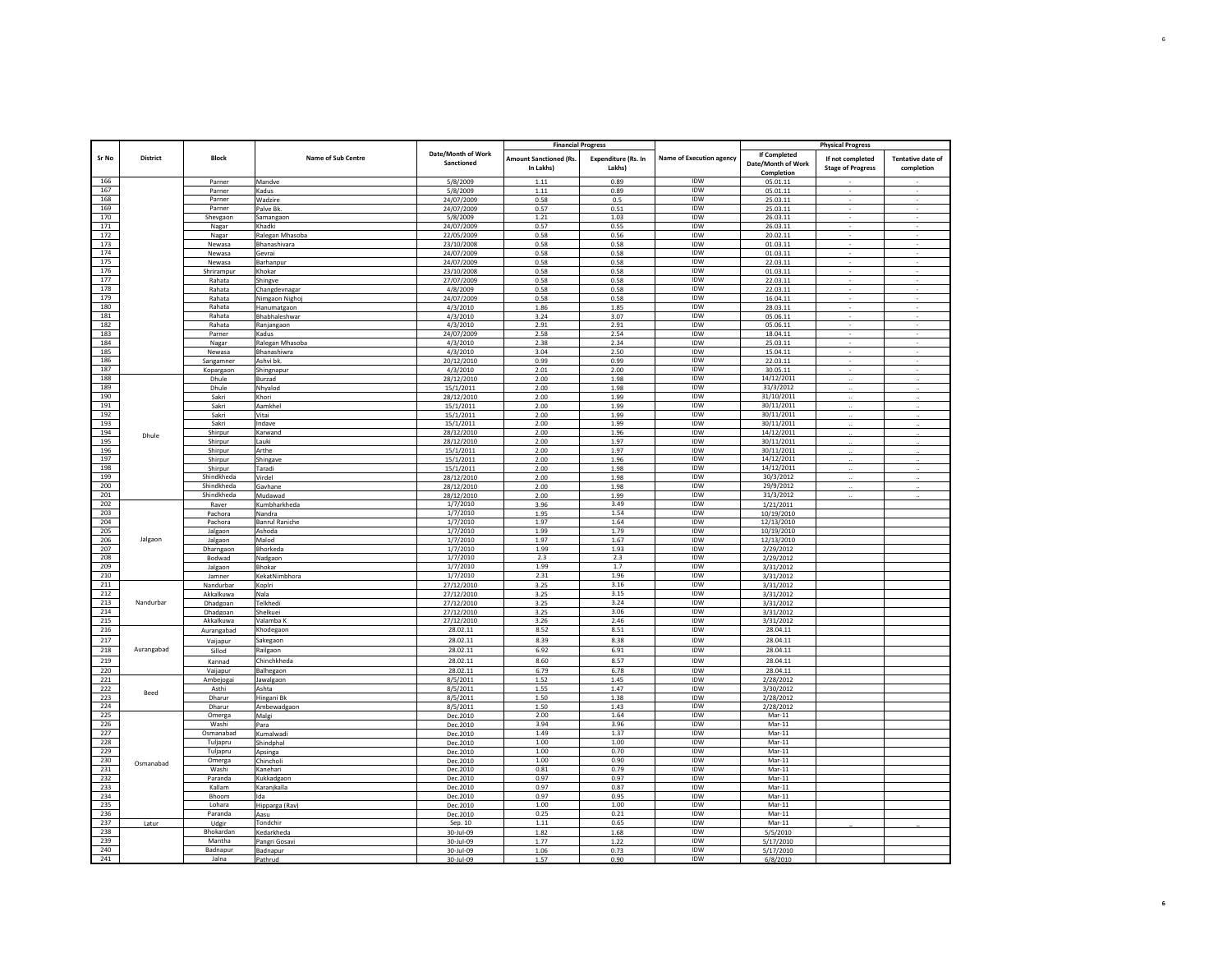|            |                 |                       |                           |                                  | <b>Financial Progress</b>                  |                                      |                                 |                                                  | <b>Physical Progress</b>                     |                                        |
|------------|-----------------|-----------------------|---------------------------|----------------------------------|--------------------------------------------|--------------------------------------|---------------------------------|--------------------------------------------------|----------------------------------------------|----------------------------------------|
| Sr No      | <b>District</b> | <b>Block</b>          | <b>Name of Sub Centre</b> | Date/Month of Work<br>Sanctioned | <b>Amount Sanctioned (Rs.</b><br>In Lakhs) | <b>Expenditure (Rs. In</b><br>Lakhs) | <b>Name of Execution agency</b> | If Completed<br>Date/Month of Work<br>Completion | If not completed<br><b>Stage of Progress</b> | <b>Tentative date of</b><br>completion |
| 166        |                 | Parner                | Mandve                    | 5/8/2009                         | 1.11                                       | 0.89                                 | IDW                             | 05.01.11                                         |                                              |                                        |
| 167        |                 | Parner                | Kadus                     | 5/8/2009                         | 1.11                                       | 0.89                                 | IDW                             | 05.01.11                                         |                                              |                                        |
| 168        |                 | Parner                | Wadzire                   | 24/07/2009                       | 0.58                                       | 0.5                                  | <b>IDW</b>                      | 25.03.11                                         |                                              |                                        |
| 169        |                 | Parner                | Palve Bk                  | 24/07/2009                       | 0.57                                       | 0.51                                 | <b>IDW</b>                      | 25.03.11                                         |                                              |                                        |
| 170        |                 | Shevgaon              | Samangaon                 | 5/8/2009                         | 1.21                                       | 1.03                                 | <b>IDW</b>                      | 26.03.11                                         |                                              |                                        |
| 171        |                 | Nagar                 | Khadki                    | 24/07/2009                       | 0.57                                       | 0.55                                 | <b>IDW</b>                      | 26.03.11                                         | $\cdot$                                      | $\sim$                                 |
| 172        |                 | Nagar                 | Ralegan Mhasoba           | 22/05/2009                       | 0.58                                       | 0.56                                 | IDW                             | 20.02.11                                         |                                              |                                        |
| 173        |                 | Newasa                | Bhanashivara              | 23/10/2008                       | 0.58                                       | 0.58                                 | <b>IDW</b>                      | 01.03.11                                         |                                              |                                        |
| 174        |                 | Newasa                | Gevrai                    | 24/07/2009                       | 0.58                                       | 0.58                                 | IDW                             | 01.03.11                                         |                                              |                                        |
| 175        |                 | Newasa                | Barhanpur                 | 24/07/2009                       | 0.58                                       | 0.58                                 | IDW                             | 22.03.11                                         |                                              |                                        |
| 176        |                 | Shrirampur            | Khokar                    | 23/10/2008                       | 0.58                                       | 0.58                                 | IDW                             | 01.03.11                                         |                                              |                                        |
| 177        |                 | Rahata                | Shingve                   | 27/07/2009                       | 0.58                                       | 0.58                                 | <b>IDW</b>                      | 22.03.11                                         |                                              |                                        |
| 178        |                 | Rahata                | Changdevnagar             | 4/8/2009                         | 0.58                                       | 0.58                                 | <b>IDW</b>                      | 22.03.11                                         | $\cdot$                                      |                                        |
| 179        |                 | Rahata                | Nimgaon Nighoj            | 24/07/2009                       | 0.58                                       | 0.58                                 | IDW                             | 16.04.11                                         |                                              |                                        |
| 180        |                 | Rahata                | Hanumatgaon               | 4/3/2010                         | 1.86                                       | 1.85                                 | IDW                             | 28.03.11                                         |                                              |                                        |
| 181        |                 | Rahata                | Bhabhaleshwar             | 4/3/2010                         | 3.24                                       | 3.07                                 | IDW                             | 05.06.11                                         |                                              |                                        |
| 182        |                 | Rahata                | Ranjangaon                | 4/3/2010                         | 2.91                                       | 2.91                                 | <b>IDW</b>                      | 05.06.11                                         |                                              |                                        |
| 183        |                 | Parner                | Kadus                     | 24/07/2009                       | 2.58                                       | 2.54                                 | IDW                             | 18.04.11                                         |                                              |                                        |
| 184        |                 | Nagar                 | Ralegan Mhasoba           | 4/3/2010                         | 2.38                                       | 2.34                                 | <b>IDW</b>                      | 25.03.11                                         | $\overline{\phantom{a}}$                     |                                        |
| 185        |                 | Newasa                | Bhanashiwra               | 4/3/2010                         | 3.04                                       | 2.50                                 | <b>IDW</b>                      | 15.04.11                                         | $\sim$                                       | $\sim$                                 |
| 186        |                 | Sangamner             | Ashvi bk                  | 20/12/2010                       | 0.99                                       | 0.99                                 | IDW                             | 22.03.11                                         |                                              |                                        |
| 187        |                 | Kopargaon             | Shingnapur                | 4/3/2010                         | 2.01                                       | 2.00                                 | IDW                             | 30.05.11                                         |                                              |                                        |
| 188        |                 | Dhule                 | Burzad                    | 28/12/2010                       | 2.00                                       | 1.98                                 | <b>IDW</b>                      | 14/12/2011                                       |                                              |                                        |
| 189        |                 | Dhule                 | Nhyalod                   | 15/1/2011                        | 2.00                                       | 1.98                                 | IDW                             | 31/3/2012                                        |                                              |                                        |
| 190        |                 | Sakri                 | Khori                     | 28/12/2010                       | 2.00                                       | 1.99                                 | IDW                             | 31/10/2011                                       |                                              |                                        |
| 191        |                 | Sakri                 | Aamkhel                   | 15/1/2011                        | 2.00                                       | 1.99                                 | IDW                             | 30/11/2011                                       | $\ddotsc$                                    |                                        |
| 192        |                 | Sakri                 | Vitai                     | 15/1/2011                        | 2.00                                       | 1.99                                 | IDW                             | 30/11/2011                                       |                                              |                                        |
| 193        |                 | Sakri                 | Indave                    | 15/1/2011                        | 2.00                                       | 1.99                                 | IDW                             | 30/11/2011                                       |                                              |                                        |
| 194        | Dhule           | Shirpur               | Karwand                   | 28/12/2010                       | 2.00                                       | 1.96                                 | IDW                             | 14/12/2011                                       |                                              |                                        |
| 195        |                 | Shirpur               | Lauki                     | 28/12/2010                       | 2.00                                       | 1.97                                 | <b>IDW</b>                      | 30/11/2011                                       | $\ddot{\phantom{a}}$                         |                                        |
| 196        |                 | Shirpur               | Arthe                     | 15/1/2011                        | 2.00                                       | 1.97                                 | IDW                             | 30/11/2011                                       |                                              |                                        |
| 197        |                 | Shirpur               | Shingave                  | 15/1/2011                        | 2.00                                       | 1.96                                 | IDW                             | 14/12/2011                                       |                                              |                                        |
| 198<br>199 |                 | Shirpur<br>Shindkheda | Taradi                    | 15/1/2011                        | 2.00                                       | 1.98                                 | IDW<br><b>IDW</b>               | 14/12/2011<br>30/3/2012                          | $\ddot{\phantom{a}}$                         |                                        |
|            |                 | Shindkheda            | Virdel                    | 28/12/2010                       | 2.00                                       | 1.98                                 | IDW                             |                                                  |                                              |                                        |
| 200        |                 |                       | Gavhane                   | 28/12/2010                       | 2.00                                       | 1.98                                 |                                 | 29/9/2012                                        |                                              |                                        |
| 201<br>202 |                 | Shindkheda<br>Raver   | Mudawad<br>Kumbharkheda   | 28/12/2010<br>1/7/2010           | 2.00                                       | 1.99<br>3.49                         | IDW<br><b>IDW</b>               | 31/3/2012                                        |                                              |                                        |
| 203        |                 | Pachora               | Nandra                    | 1/7/2010                         | 3.96<br>1.95                               | 1.54                                 | <b>IDW</b>                      | 1/21/2011<br>10/19/2010                          |                                              |                                        |
| 204        |                 | Pachora               | <b>Banrul Raniche</b>     | 1/7/2010                         | 1.97                                       | 1.64                                 | IDW                             | 12/13/2010                                       |                                              |                                        |
| 205        |                 | Jalgaon               | Ashoda                    | 1/7/2010                         | 1.99                                       | 1.79                                 | IDW                             | 10/19/2010                                       |                                              |                                        |
| 206        | Jalgaon         | Jalgaon               | Malod                     | 1/7/2010                         | 1.97                                       | 1.67                                 | IDW                             | 12/13/2010                                       |                                              |                                        |
| 207        |                 | Dharngaon             | Bhorkeda                  | 1/7/2010                         | 1.99                                       | 1.93                                 | IDW                             | 2/29/2012                                        |                                              |                                        |
| 208        |                 | Bodwad                | Nadgaon                   | 1/7/2010                         | 2.3                                        | $2.3\,$                              | IDW                             | 2/29/2012                                        |                                              |                                        |
| 209        |                 | Jalgaon               | Bhokar                    | 1/7/2010                         | 1.99                                       | 1.7                                  | <b>IDW</b>                      | 3/31/2012                                        |                                              |                                        |
| 210        |                 | Jamner                | KekatNimbhora             | 1/7/2010                         | 2.31                                       | 1.96                                 | IDW                             | 3/31/2012                                        |                                              |                                        |
| 211        |                 | Nandurbar             | Koplri                    | 27/12/2010                       | 3.25                                       | 3.16                                 | <b>IDW</b>                      | 3/31/2012                                        |                                              |                                        |
| 212        |                 | Akkalkuwa             | Nala                      | 27/12/2010                       | 3.25                                       | 3.15                                 | IDW                             | 3/31/2012                                        |                                              |                                        |
| 213        | Nandurbar       | Dhadgoan              | Telkhedi                  | 27/12/2010                       | 3.25                                       | 3.24                                 | IDW                             | 3/31/2012                                        |                                              |                                        |
| 214        |                 | Dhadgoan              | Shelkuei                  | 27/12/2010                       | 3.25                                       | 3.06                                 | IDW                             | 3/31/2012                                        |                                              |                                        |
| 215        |                 | Akkalkuwa             | Valamba k                 | 27/12/2010                       | 3.26                                       | 2.46                                 | IDW                             | 3/31/2012                                        |                                              |                                        |
| 216        |                 | Aurangabad            | Khodegaon                 | 28.02.11                         | 8.52                                       | 8.51                                 | IDW                             | 28.04.11                                         |                                              |                                        |
| 217        |                 | Vaijapur              | Sakegaon                  | 28.02.11                         | 8.39                                       | 8.38                                 | IDW                             | 28.04.11                                         |                                              |                                        |
| 218        | Aurangabad      | Sillod                | Railgaon                  | 28.02.11                         | 6.92                                       | 6.91                                 | IDW                             | 28.04.11                                         |                                              |                                        |
| 219        |                 | Kannad                | Chinchkheda               | 28.02.11                         | 8.60                                       | 8.57                                 | IDW                             | 28.04.11                                         |                                              |                                        |
| 220        |                 | Vaijapur              | Balhegaon                 | 28.02.11                         | 6.79                                       | 6.78                                 | IDW                             | 28.04.11                                         |                                              |                                        |
| 221        |                 | Ambejogai             | Jawalgaon                 | 8/5/2011                         | 1.52                                       | 1.45                                 | IDW                             | 2/28/2012                                        |                                              |                                        |
| 222        | Beed            | Asthi                 | Ashta                     | 8/5/2011                         | 1.55                                       | 1.47                                 | IDW                             | 3/30/2012                                        |                                              |                                        |
| 223        |                 | Dharur                | Hingani Bk                | 8/5/2011                         | 1.50                                       | 1.38                                 | IDW                             | 2/28/2012                                        |                                              |                                        |
| 224        |                 | Dharur                | Ambewadgaon               | 8/5/2011                         | 1.50                                       | 1.43                                 | IDW                             | 2/28/2012                                        |                                              |                                        |
| 225        |                 | Omerga                | Malgi                     | Dec.2010                         | 2.00                                       | 1.64                                 | <b>IDW</b>                      | Mar-11                                           |                                              |                                        |
| 226        |                 | Washi                 | Para                      | Dec.2010                         | 3.94                                       | 3.96                                 | IDW                             | Mar-11                                           |                                              |                                        |
| 227        |                 | Osmanabad             | Kumalwadi                 | Dec.2010                         | 1.49                                       | 1.37                                 | IDW                             | Mar-11                                           |                                              |                                        |
| 228        |                 | Tuljapru              | Shindphal                 | Dec.2010                         | 1.00                                       | 1.00                                 | IDW                             | $Mar-11$                                         |                                              |                                        |
| 229        |                 | Tuljapru              | Apsinga                   | Dec.2010                         | 1.00                                       | 0.70                                 | IDW                             | Mar-11                                           |                                              |                                        |
| 230        | Osmanabad       | Omerga                | Chincholi                 | Dec.2010                         | 1.00                                       | 0.90                                 | <b>IDW</b>                      | $Mar-11$                                         |                                              |                                        |
| 231        |                 | Washi                 | Kanehari                  | Dec.2010                         | 0.81                                       | 0.79                                 | IDW                             | Mar-11                                           |                                              |                                        |
| 232        |                 | Paranda               | Kukkadgaon                | Dec.2010                         | 0.97                                       | 0.97                                 | IDW                             | $Mar-11$                                         |                                              |                                        |
| 233        |                 | Kallam                | Karanjkalla               | Dec.2010                         | 0.97                                       | 0.87                                 | <b>IDW</b>                      | <b>Mar-11</b>                                    |                                              |                                        |
| 234<br>235 |                 | Bhoom                 | Ida                       | Dec.2010                         | 0.97<br>1.00                               | 0.95<br>1.00                         | IDW<br>IDW                      | $Mar-11$<br>Mar-11                               |                                              |                                        |
| 236        |                 | Lohara<br>Paranda     | Hipparga (Rav)            | Dec.2010<br>Dec.2010             | 0.25                                       | 0.21                                 | <b>IDW</b>                      | $Mar-11$                                         |                                              |                                        |
| 237        |                 |                       | Aasu<br>Tondchir          | Sep. 10                          | 1.11                                       | 0.65                                 | <b>IDW</b>                      | Mar-11                                           |                                              |                                        |
| 238        | Latur           | Udgir<br>Bhokardan    | Kedarkheda                | 30-Jul-09                        | 1.82                                       | 1.68                                 | <b>IDW</b>                      | 5/5/2010                                         |                                              |                                        |
| 239        |                 | Mantha                | Pangri Gosavi             | 30-Jul-09                        | 1.77                                       | 1.22                                 | <b>IDW</b>                      | 5/17/2010                                        |                                              |                                        |
| 240        |                 | Badnapur              | Badnapur                  | 30-Jul-09                        | 1.06                                       | 0.73                                 | <b>IDW</b>                      | 5/17/2010                                        |                                              |                                        |
| 241        |                 | Jalna                 | Pathrud                   | $30 - 11 - 09$                   | 1.57                                       | 0.90                                 | <b>IDW</b>                      | 6/8/2010                                         |                                              |                                        |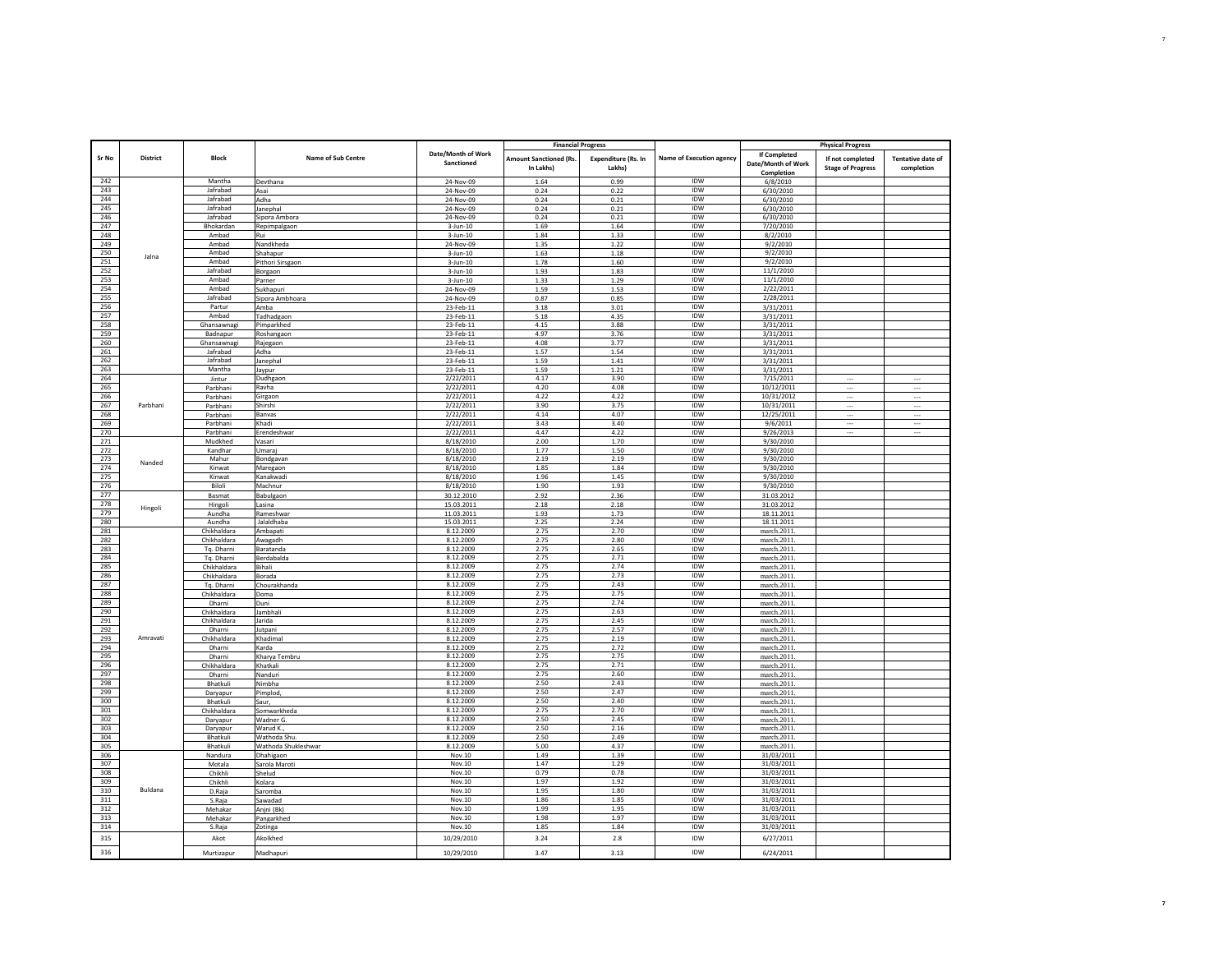|            |                 |                          |                              |                                  | <b>Financial Progress</b>     |                            |                          |                          | <b>Physical Progress</b> |                          |
|------------|-----------------|--------------------------|------------------------------|----------------------------------|-------------------------------|----------------------------|--------------------------|--------------------------|--------------------------|--------------------------|
| Sr No      | <b>District</b> | <b>Block</b>             | Name of Sub Centre           | Date/Month of Work               | <b>Amount Sanctioned (Rs.</b> | <b>Expenditure (Rs. In</b> | Name of Execution agency | If Completed             | If not completed         | <b>Tentative date of</b> |
|            |                 |                          |                              | Sanctioned                       | In Lakhs)                     | Lakhs)                     |                          | Date/Month of Work       | <b>Stage of Progress</b> | completion               |
|            |                 | Mantha                   |                              |                                  |                               |                            | IDW                      | Completion               |                          |                          |
| 242<br>243 |                 | Jafrabad                 | Devthana<br>Asai             | 24-Nov-09<br>24-Nov-09           | 1.64<br>0.24                  | 0.99<br>0.22               | <b>IDW</b>               | 6/8/2010<br>6/30/2010    |                          |                          |
| 244        |                 | Jafrabad                 | Adha                         | 24-Nov-09                        | 0.24                          | 0.21                       | <b>IDW</b>               | 6/30/2010                |                          |                          |
| 245        |                 | Jafrabad                 | Janephal                     | 24-Nov-09                        | 0.24                          | 0.21                       | IDW                      | 6/30/2010                |                          |                          |
| 246        |                 | Jafrabad                 | Sipora Ambora                | 24-Nov-09                        | 0.24                          | 0.21                       | IDW                      | 6/30/2010                |                          |                          |
| 247        |                 | Bhokardan                | Repimpalgaon                 | $3 - Jun - 10$                   | 1.69                          | 1.64                       | <b>IDW</b>               | 7/20/2010                |                          |                          |
| 248        |                 | Amhad                    | Rui                          | $3 - Jun - 10$                   | 1.84                          | 1.33                       | <b>IDW</b>               | 8/2/2010                 |                          |                          |
| 249<br>250 |                 | Ambad<br>Ambad           | Nandkheda                    | 24-Nov-09                        | 1.35                          | 1.22                       | IDW<br>IDW               | 9/2/2010<br>9/2/2010     |                          |                          |
| 251        | Jalna           | Ambad                    | Shahapur<br>Pithori Sirsgaon | $3 - Jun - 10$<br>$3 - Jun - 10$ | 1.63<br>1.78                  | 1.18<br>1.60               | <b>IDW</b>               | 9/2/2010                 |                          |                          |
| 252        |                 | Jafrabad                 | Borgaon                      | $3 - Jun - 10$                   | 1.93                          | 1.83                       | <b>IDW</b>               | 11/1/2010                |                          |                          |
| 253        |                 | Ambad                    | Parner                       | $3 - Jun - 10$                   | 1.33                          | 1.29                       | <b>IDW</b>               | 11/1/2010                |                          |                          |
| 254        |                 | Ambad                    | Sukhapuri                    | 24-Nov-09                        | 1.59                          | 1.53                       | <b>IDW</b>               | 2/22/2011                |                          |                          |
| 255        |                 | Jafrabad                 | Sipora Ambhoara              | 24-Nov-09                        | 0.87                          | 0.85                       | IDW                      | 2/28/2011                |                          |                          |
| 256        |                 | Partur                   | Amba                         | 23-Feb-11                        | 3.18                          | 3.01                       | IDW                      | 3/31/2011                |                          |                          |
| 257        |                 | Ambad                    | Tadhadgaon                   | 23-Feb-11                        | 5.18                          | 4.35                       | IDW                      | 3/31/2011                |                          |                          |
| 258<br>259 |                 | Ghansawnagi<br>Badnapur  | Pimparkhed                   | 23-Feb-11                        | 4.15<br>4.97                  | 3.88<br>3.76               | IDW<br><b>IDW</b>        | 3/31/2011                |                          |                          |
| 260        |                 | Ghansawnagi              | Roshangaon<br>Rajegaon       | 23-Feb-11<br>23-Feb-11           | 4.08                          | 3.77                       | <b>IDW</b>               | 3/31/2011<br>3/31/2011   |                          |                          |
| 261        |                 | Jafrabad                 | Adha                         | 23-Feb-11                        | 1.57                          | 1.54                       | IDW                      | 3/31/2011                |                          |                          |
| 262        |                 | Jafrabad                 | Janephal                     | 23-Feb-11                        | 1.59                          | 1.41                       | <b>IDW</b>               | 3/31/2011                |                          |                          |
| 263        |                 | Mantha                   | Jaypur                       | 23-Feb-11                        | 1.59                          | 1.21                       | IDW                      | 3/31/2011                |                          |                          |
| 264        |                 | Jintur                   | Dudhgaon                     | 2/22/2011                        | 4.17                          | 3.90                       | IDW                      | 7/15/2011                |                          |                          |
| 265        |                 | Parbhani                 | Ravha                        | 2/22/2011                        | 4.20                          | 4.08                       | IDW                      | 10/12/2011               |                          |                          |
| 266<br>267 | Parbhani        | Parbhani                 | Girgaon<br>Shirshi           | 2/22/2011<br>2/22/2011           | 4.22<br>3.90                  | 4.22<br>3.75               | IDW<br>IDW               | 10/31/2012<br>10/31/2011 |                          |                          |
| 268        |                 | Parbhani<br>Parbhani     | Banyas                       | 2/22/2011                        | 4.14                          | 4.07                       | IDW                      | 12/25/2011               | $\ddotsc$                | $\cdots$<br>             |
| 269        |                 | Parbhani                 | Khadi                        | 2/22/2011                        | 3.43                          | 3.40                       | <b>IDW</b>               | 9/6/2011                 | $\ldots$                 | $\cdots$                 |
| 270        |                 | Parbhani                 | Erendeshwar                  | 2/22/2011                        | 4.47                          | 4.22                       | <b>IDW</b>               | 9/26/2013                | $\cdots$                 |                          |
| 271        |                 | Mudkhed                  | Vasari                       | 8/18/2010                        | 2.00                          | 1.70                       | IDW                      | 9/30/2010                |                          |                          |
| 272        |                 | Kandhar                  | Umaraj                       | 8/18/2010                        | 1.77                          | 1.50                       | IDW                      | 9/30/2010                |                          |                          |
| 273        | Nanded          | Mahu                     | Bondgavan                    | 8/18/2010                        | 2.19                          | 2.19                       | IDW                      | 9/30/2010                |                          |                          |
| 274        |                 | Kinwat                   | Maregaon                     | 8/18/2010                        | 1.85                          | 1.84                       | <b>IDW</b>               | 9/30/2010                |                          |                          |
| 275<br>276 |                 | Kinwat<br>Biloli         | Kanakwad<br>Machnur          | 8/18/2010<br>8/18/2010           | 1.96<br>1.90                  | 1.45<br>1.93               | IDW<br>IDW               | 9/30/2010<br>9/30/2010   |                          |                          |
| 277        |                 | Basmat                   | Babulgaon                    | 30.12.2010                       | 2.92                          | 2.36                       | IDW                      | 31.03.2012               |                          |                          |
| 278        |                 | Hingoli                  | Lasina                       | 15.03.2011                       | 2.18                          | 2.18                       | IDW                      | 31.03.2012               |                          |                          |
| 279        | Hingoli         | Aundha                   | Rameshwar                    | 11.03.2011                       | 1.93                          | 1.73                       | IDW                      | 18.11.2011               |                          |                          |
| 280        |                 | Aundha                   | Jalaldhaba                   | 15.03.2011                       | 2.25                          | 2.24                       | IDW                      | 18.11.2011               |                          |                          |
| 281        |                 | Chikhaldara              | Ambapati                     | 8.12.2009                        | 2.75                          | 2.70                       | <b>IDW</b>               | march.2011               |                          |                          |
| 282<br>283 |                 | Chikhaldara              | Awagadh                      | 8.12.2009<br>8.12.2009           | 2.75                          | 2.80<br>2.65               | IDW<br>IDW               | march.2011               |                          |                          |
| 284        |                 | Tq. Dharni<br>Tq. Dharni | Baratanda<br>Berdabalda      | 8.12.2009                        | 2.75<br>2.75                  | 2.71                       | IDW                      | march.2011<br>march.2011 |                          |                          |
| 285        |                 | Chikhaldara              | Bihali                       | 8.12.2009                        | 2.75                          | 2.74                       | IDW                      | march.2011               |                          |                          |
| 286        |                 | Chikhaldara              | Borada                       | 8.12.2009                        | 2.75                          | 2.73                       | IDW                      | march.2011               |                          |                          |
| 287        |                 | Tq. Dharni               | Chourakhanda                 | 8.12.2009                        | 2.75                          | 2.43                       | IDW                      | march.2011               |                          |                          |
| 288        |                 | Chikhaldara              | Doma                         | 8.12.2009                        | 2.75                          | 2.75                       | IDW                      | march.2011               |                          |                          |
| 289        |                 | Dharni                   | Duni                         | 8.12.2009                        | 2.75                          | 2.74                       | IDW                      | march.2011               |                          |                          |
| 290<br>291 |                 | Chikhaldara              | Jambhali                     | 8.12.2009<br>8.12.2009           | 2.75<br>2.75                  | 2.63<br>2.45               | IDW<br>IDW               | march.2011.              |                          |                          |
| 292        |                 | Chikhaldara<br>Dharni    | Jarida<br>Jutpani            | 8.12.2009                        | 2.75                          | 2.57                       | <b>IDW</b>               | march.2011<br>march.2011 |                          |                          |
| 293        | Amravati        | Chikhaldara              | Khadimal                     | 8.12.2009                        | 2.75                          | 2.19                       | IDW                      | march.2011               |                          |                          |
| 294        |                 | Dharni                   | Karda                        | 8.12.2009                        | 2.75                          | 2.72                       | IDW                      | march.2011               |                          |                          |
| 295        |                 | Dharni                   | Kharya Tembru                | 8.12.2009                        | 2.75                          | 2.75                       | IDW                      | march.2011               |                          |                          |
| 296        |                 | Chikhaldara              | Khatkali                     | 8.12.2009                        | 2.75                          | 2.71                       | <b>IDW</b>               | march.2011               |                          |                          |
| 297        |                 | Dharni                   | Nanduri                      | 8.12.2009                        | 2.75                          | 2.60                       | IDW                      | march.2011               |                          |                          |
| 298<br>299 |                 | Bhatkuli                 | Nimbha<br>Pimplod,           | 8.12.2009<br>8.12.2009           | 2.50<br>2.50                  | 2.43<br>2.47               | IDW<br>$\textsf{IDW}{}$  | march.2011<br>march.2011 |                          |                          |
| 300        |                 | Daryapur<br>Bhatkuli     | Saur,                        | 8.12.2009                        | 2.50                          | 2.40                       | IDW                      | march.2011               |                          |                          |
| 301        |                 | Chikhaldara              | Somwarkheda                  | 8.12.2009                        | 2.75                          | 2.70                       | IDW                      | march.2011.              |                          |                          |
| 302        |                 | Daryapur                 | Wadner G                     | 8.12.2009                        | 2.50                          | 2.45                       | IDW                      | march.2011               |                          |                          |
| 303        |                 | Daryapur                 | Warud K.                     | 8.12.2009                        | 2.50                          | 2.16                       | <b>IDW</b>               | march.2011               |                          |                          |
| 304        |                 | Bhatkuli                 | Wathoda Shu.                 | 8.12.2009                        | 2.50                          | 2.49                       | IDW                      | march.2011               |                          |                          |
| 305        |                 | Bhatkuli                 | Wathoda Shukleshwar          | 8.12.2009                        | 5.00                          | 4.37                       | IDW                      | march.2011               |                          |                          |
| 306<br>307 |                 | Nandura                  | Dhahigaon                    | Nov.10<br>Nov.10                 | 1.49<br>1.47                  | 1.39<br>1.29               | <b>IDW</b><br><b>IDW</b> | 31/03/2011               |                          |                          |
| 308        |                 | Motala<br>Chikhli        | Sarola Maroti<br>Shelud      | Nov.10                           | 0.79                          | 0.78                       | IDW                      | 31/03/2011<br>31/03/2011 |                          |                          |
| 309        |                 | Chikhli                  | Kolara                       | Nov.10                           | 1.97                          | 1.92                       | IDW                      | 31/03/2011               |                          |                          |
| 310        | Buldana         | D.Raja                   | Saromba                      | Nov.10                           | 1.95                          | 1.80                       | IDW                      | 31/03/2011               |                          |                          |
| 311        |                 | S.Raja                   | Sawadad                      | Nov.10                           | 1.86                          | 1.85                       | IDW                      | 31/03/2011               |                          |                          |
| 312        |                 | Mehakar                  | Anjni (Bk)                   | Nov.10                           | 1.99                          | 1.95                       | IDW                      | 31/03/2011               |                          |                          |
| 313        |                 | Mehakar                  | Pangarkhed                   | Nov.10                           | 1.98                          | 1.97                       | IDW                      | 31/03/2011               |                          |                          |
| 314        |                 | S.Raja                   | Zotinga                      | Nov.10                           | 1.85                          | 1.84                       | IDW                      | 31/03/2011               |                          |                          |
| 315<br>316 |                 | Akot<br>Murtizapur       | Akolkhed<br>Madhapuri        | 10/29/2010<br>10/29/2010         | 3.24<br>3.47                  | 2.8<br>3.13                | <b>IDW</b><br><b>IDW</b> | 6/27/2011<br>6/24/2011   |                          |                          |
|            |                 |                          |                              |                                  |                               |                            |                          |                          |                          |                          |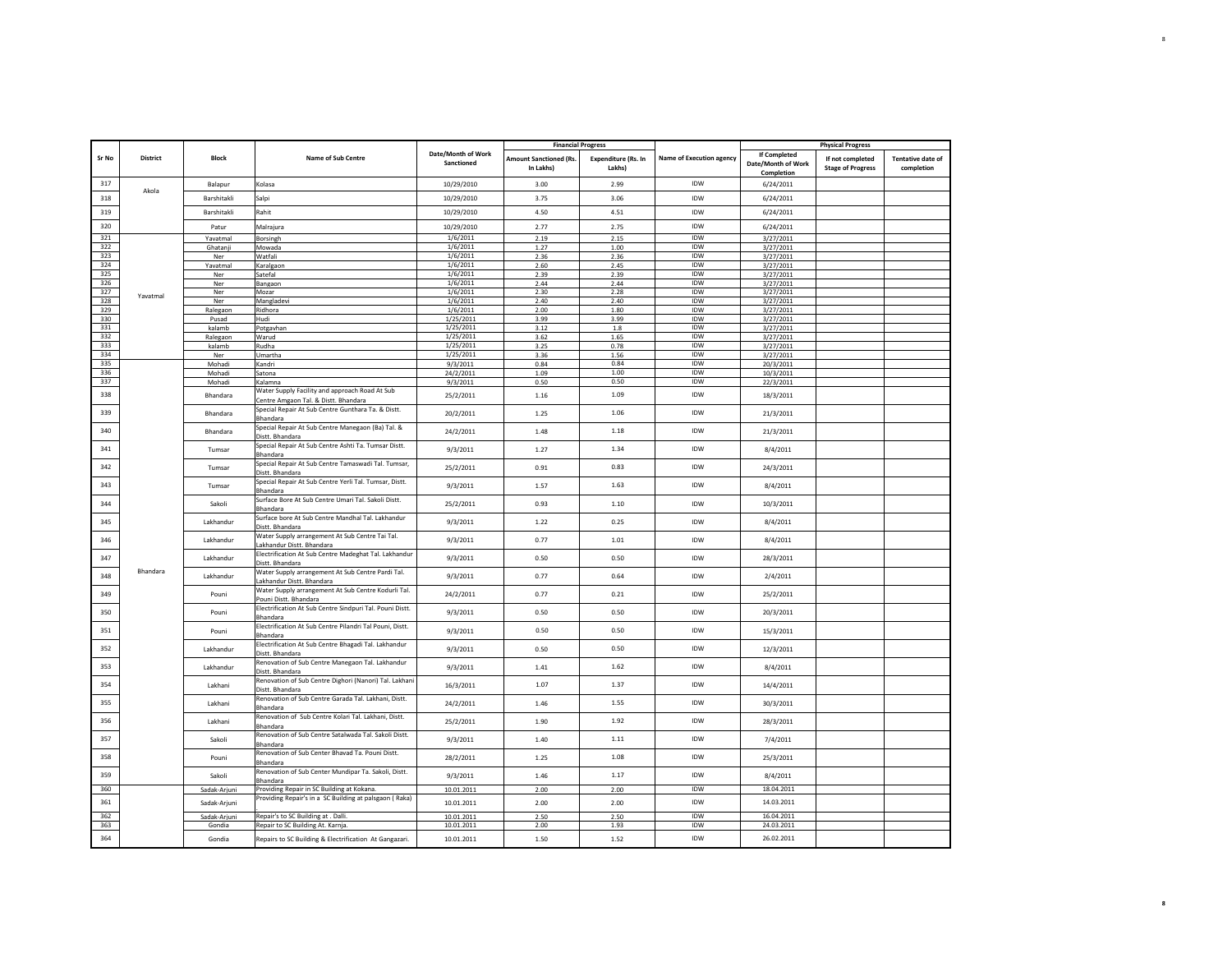|            |                 |                        |                                                                                                                               |                                  | <b>Financial Progress</b>                  |                                      |                          |                                                  | <b>Physical Progress</b>                     |                                        |
|------------|-----------------|------------------------|-------------------------------------------------------------------------------------------------------------------------------|----------------------------------|--------------------------------------------|--------------------------------------|--------------------------|--------------------------------------------------|----------------------------------------------|----------------------------------------|
| Sr No      | <b>District</b> | Block                  | <b>Name of Sub Centre</b>                                                                                                     | Date/Month of Work<br>Sanctioned | <b>Amount Sanctioned (Rs.</b><br>In Lakhs) | <b>Expenditure (Rs. In</b><br>Lakhs) | Name of Execution agency | If Completed<br>Date/Month of Work<br>Completion | If not completed<br><b>Stage of Progress</b> | <b>Tentative date of</b><br>completion |
| 317        |                 | Balapur                | Kolasa                                                                                                                        | 10/29/2010                       | 3.00                                       | 2.99                                 | <b>IDW</b>               | 6/24/2011                                        |                                              |                                        |
| 318        | Akola           | Barshitakli            | Salpi                                                                                                                         | 10/29/2010                       | 3.75                                       | 3.06                                 | IDW                      | 6/24/2011                                        |                                              |                                        |
| 319        |                 | <b>Barshitakli</b>     | Rahit                                                                                                                         | 10/29/2010                       | 4.50                                       | 4.51                                 | IDW                      | 6/24/2011                                        |                                              |                                        |
| 320        |                 | Patur                  | Malrajura                                                                                                                     | 10/29/2010                       | 2.77                                       | 2.75                                 | IDW                      | 6/24/2011                                        |                                              |                                        |
| 321        |                 | Yavatmal               | Borsingh                                                                                                                      | 1/6/2011                         | 2.19                                       | 2.15                                 | IDW                      | 3/27/2011                                        |                                              |                                        |
| 322        |                 | Ghatanji               | Mowada                                                                                                                        | 1/6/2011                         | 1.27                                       | 1.00                                 | IDW                      | 3/27/2011                                        |                                              |                                        |
| 323        |                 | Ner                    | Watfali                                                                                                                       | 1/6/2011                         | 2.36                                       | 2.36                                 | IDW                      | 3/27/2011                                        |                                              |                                        |
| 324        |                 | Yavatmal               | Karalgaon                                                                                                                     | 1/6/2011                         | 2.60                                       | 2.45                                 | <b>IDW</b>               | 3/27/2011                                        |                                              |                                        |
| 325        |                 | Ner                    | Satefal                                                                                                                       | 1/6/2011                         | 2.39                                       | 2.39                                 | IDW                      | 3/27/2011                                        |                                              |                                        |
| 326        |                 | Ner                    | Bangaon                                                                                                                       | 1/6/2011                         | 2.44                                       | 2.44                                 | IDW                      | 3/27/2011                                        |                                              |                                        |
| 327        | Yavatmal        | Ner                    | Mozar                                                                                                                         | 1/6/2011                         | 2.30                                       | 2.28                                 | <b>IDW</b><br>IDW        | 3/27/2011                                        |                                              |                                        |
| 328<br>329 |                 | Ner                    | Mangladevi                                                                                                                    | 1/6/2011<br>1/6/2011             | 2.40                                       | 2.40                                 | <b>IDW</b>               | 3/27/2011                                        |                                              |                                        |
| 330        |                 | Ralegaon<br>Pusad      | Ridhora<br>Hudi                                                                                                               | 1/25/2011                        | 2.00<br>3.99                               | 1.80<br>3.99                         | IDW                      | 3/27/2011<br>3/27/2011                           |                                              |                                        |
| 331        |                 | kalamb                 | Potgavhan                                                                                                                     | 1/25/2011                        | 3.12                                       | $1.8\,$                              | IDW                      | 3/27/2011                                        |                                              |                                        |
| 332        |                 | Ralegaon               | Warud                                                                                                                         | 1/25/2011                        | 3.62                                       | 1.65                                 | IDW                      | 3/27/2011                                        |                                              |                                        |
| 333        |                 | kalamb                 | Rudha                                                                                                                         | 1/25/2011                        | 3.25                                       | 0.78                                 | IDW                      | 3/27/2011                                        |                                              |                                        |
| 334        |                 | Ner                    | Umartha                                                                                                                       | 1/25/2011                        | 3.36                                       | 1.56                                 | <b>IDW</b>               | 3/27/2011                                        |                                              |                                        |
| 335        |                 | Mohadi                 | Kandri                                                                                                                        | 9/3/2011                         | 0.84                                       | 0.84                                 | <b>IDW</b>               | 20/3/2011                                        |                                              |                                        |
| 336        |                 | Mohadi                 | Satona                                                                                                                        | 24/2/2011                        | 1.09                                       | 1.00                                 | IDW                      | 10/3/2011                                        |                                              |                                        |
| 337        |                 | Mohadi                 | Kalamna                                                                                                                       | 9/3/2011                         | 0.50                                       | 0.50                                 | IDW                      | 22/3/2011                                        |                                              |                                        |
| 338        |                 | Bhandara               | Water Supply Facility and approach Road At Sub<br>Centre Amgaon Tal. & Distt. Bhandara                                        | 25/2/2011                        | 1.16                                       | 1.09                                 | IDW                      | 18/3/2011                                        |                                              |                                        |
| 339        |                 | Bhandara               | Special Repair At Sub Centre Gunthara Ta. & Distt.<br>Bhandara                                                                | 20/2/2011                        | 1.25                                       | 1.06                                 | IDW                      | 21/3/2011                                        |                                              |                                        |
| 340        |                 | Bhandara               | Special Repair At Sub Centre Manegaon (Ba) Tal. &<br>Distt. Bhandara                                                          | 24/2/2011                        | 1.48                                       | 1.18                                 | IDW                      | 21/3/2011                                        |                                              |                                        |
| 341        |                 | Tumsar                 | Special Repair At Sub Centre Ashti Ta. Tumsar Distt.<br>Bhandara                                                              | 9/3/2011                         | 1.27                                       | 1.34                                 | IDW                      | 8/4/2011                                         |                                              |                                        |
| 342        |                 | Tumsar                 | Special Repair At Sub Centre Tamaswadi Tal. Tumsar,<br>Distt, Bhandara                                                        | 25/2/2011                        | 0.91                                       | 0.83                                 | IDW                      | 24/3/2011                                        |                                              |                                        |
| 343        |                 | Tumsar                 | Special Repair At Sub Centre Yerli Tal. Tumsar, Distt.<br>Bhandara                                                            | 9/3/2011                         | 1.57                                       | 1.63                                 | IDW                      | 8/4/2011                                         |                                              |                                        |
| 344        |                 | Sakoli                 | Surface Bore At Sub Centre Umari Tal. Sakoli Distt.<br>Bhandara                                                               | 25/2/2011                        | 0.93                                       | 1.10                                 | IDW                      | 10/3/2011                                        |                                              |                                        |
| 345        |                 | Lakhandur              | Surface bore At Sub Centre Mandhal Tal. Lakhandur<br>Distt. Bhandara                                                          | 9/3/2011                         | 1.22                                       | 0.25                                 | IDW                      | 8/4/2011                                         |                                              |                                        |
| 346        |                 | Lakhandur              | Water Supply arrangement At Sub Centre Tai Tal.<br>Lakhandur Distt. Bhandara                                                  | 9/3/2011                         | 0.77                                       | 1.01                                 | IDW                      | 8/4/2011                                         |                                              |                                        |
| 347        | Bhandara        | Lakhandur              | Electrification At Sub Centre Madeghat Tal. Lakhandur<br>Distt, Bhandara<br>Water Supply arrangement At Sub Centre Pardi Tal. | 9/3/2011                         | 0.50                                       | 0.50                                 | IDW                      | 28/3/2011                                        |                                              |                                        |
| 348        |                 | Lakhandur              | Lakhandur Distt. Bhandara<br>Water Supply arrangement At Sub Centre Kodurli Tal.                                              | 9/3/2011                         | 0.77                                       | 0.64                                 | IDW                      | 2/4/2011                                         |                                              |                                        |
| 349        |                 | Pouni                  | Pouni Distt. Bhandara<br>Electrification At Sub Centre Sindpuri Tal. Pouni Distt.                                             | 24/2/2011                        | 0.77                                       | 0.21                                 | IDW                      | 25/2/2011                                        |                                              |                                        |
| 350        |                 | Pouni                  | Bhandara<br>Electrification At Sub Centre Pilandri Tal Pouni, Distt.                                                          | 9/3/2011                         | 0.50                                       | 0.50                                 | <b>IDW</b>               | 20/3/2011                                        |                                              |                                        |
| 351        |                 | Pouni                  | Bhandara<br>Electrification At Sub Centre Bhagadi Tal. Lakhandur                                                              | 9/3/2011                         | 0.50                                       | 0.50                                 | IDW                      | 15/3/2011                                        |                                              |                                        |
| 352<br>353 |                 | Lakhandur              | Distt, Bhandara<br>Renovation of Sub Centre Manegaon Tal. Lakhandur                                                           | 9/3/2011                         | 0.50                                       | 0.50<br>1.62                         | <b>IDW</b><br><b>IDW</b> | 12/3/2011                                        |                                              |                                        |
| 354        |                 | Lakhandur              | Distt. Bhandara<br>Renovation of Sub Centre Dighori (Nanori) Tal. Lakhan                                                      | 9/3/2011                         | 1.41<br>1.07                               | 1.37                                 | IDW                      | 8/4/2011                                         |                                              |                                        |
| 355        |                 | Lakhani<br>Lakhani     | Distt. Bhandara<br>Renovation of Sub Centre Garada Tal. Lakhani, Distt.                                                       | 16/3/2011<br>24/2/2011           | 1.46                                       | 1.55                                 | IDW                      | 14/4/2011<br>30/3/2011                           |                                              |                                        |
| 356        |                 | Lakhani                | Bhandara<br>Renovation of Sub Centre Kolari Tal. Lakhani, Distt.                                                              | 25/2/2011                        | 1.90                                       | 1.92                                 | IDW                      | 28/3/2011                                        |                                              |                                        |
| 357        |                 | Sakoli                 | Bhandara<br>Renovation of Sub Centre Satalwada Tal. Sakoli Distt.                                                             | 9/3/2011                         | 1.40                                       | 1.11                                 | IDW                      | 7/4/2011                                         |                                              |                                        |
| 358        |                 | Pouni                  | Bhandara<br>Renovation of Sub Center Bhavad Ta. Pouni Distt.                                                                  | 28/2/2011                        | 1.25                                       | 1.08                                 | IDW                      | 25/3/2011                                        |                                              |                                        |
| 359        |                 | Sakoli                 | Bhandara<br>Renovation of Sub Center Mundipar Ta. Sakoli, Distt.                                                              | 9/3/2011                         | 1.46                                       | 1.17                                 | IDW                      | 8/4/2011                                         |                                              |                                        |
| 360        |                 | Sadak-Arjuni           | Bhandara<br>Providing Repair in SC Building at Kokana.                                                                        | 10.01.2011                       | 2.00                                       | 2.00                                 | IDW                      | 18.04.2011                                       |                                              |                                        |
| 361        |                 | Sadak-Arjuni           | Providing Repair's in a SC Building at palsgaon (Raka)                                                                        | 10.01.2011                       | 2.00                                       | 2.00                                 | IDW                      | 14.03.2011                                       |                                              |                                        |
| 362<br>363 |                 | Sadak-Arjuni<br>Gondia | Repair's to SC Building at . Dalli.<br>Repair to SC Building At. Karnja.                                                      | 10.01.2011<br>10.01.2011         | 2.50<br>2.00                               | 2.50<br>1.93                         | IDW<br>IDW               | 16.04.2011<br>24.03.2011                         |                                              |                                        |
| 364        |                 | Gondia                 | Repairs to SC Building & Electrification At Gangazari.                                                                        | 10.01.2011                       | 1.50                                       | 1.52                                 | IDW                      | 26.02.2011                                       |                                              |                                        |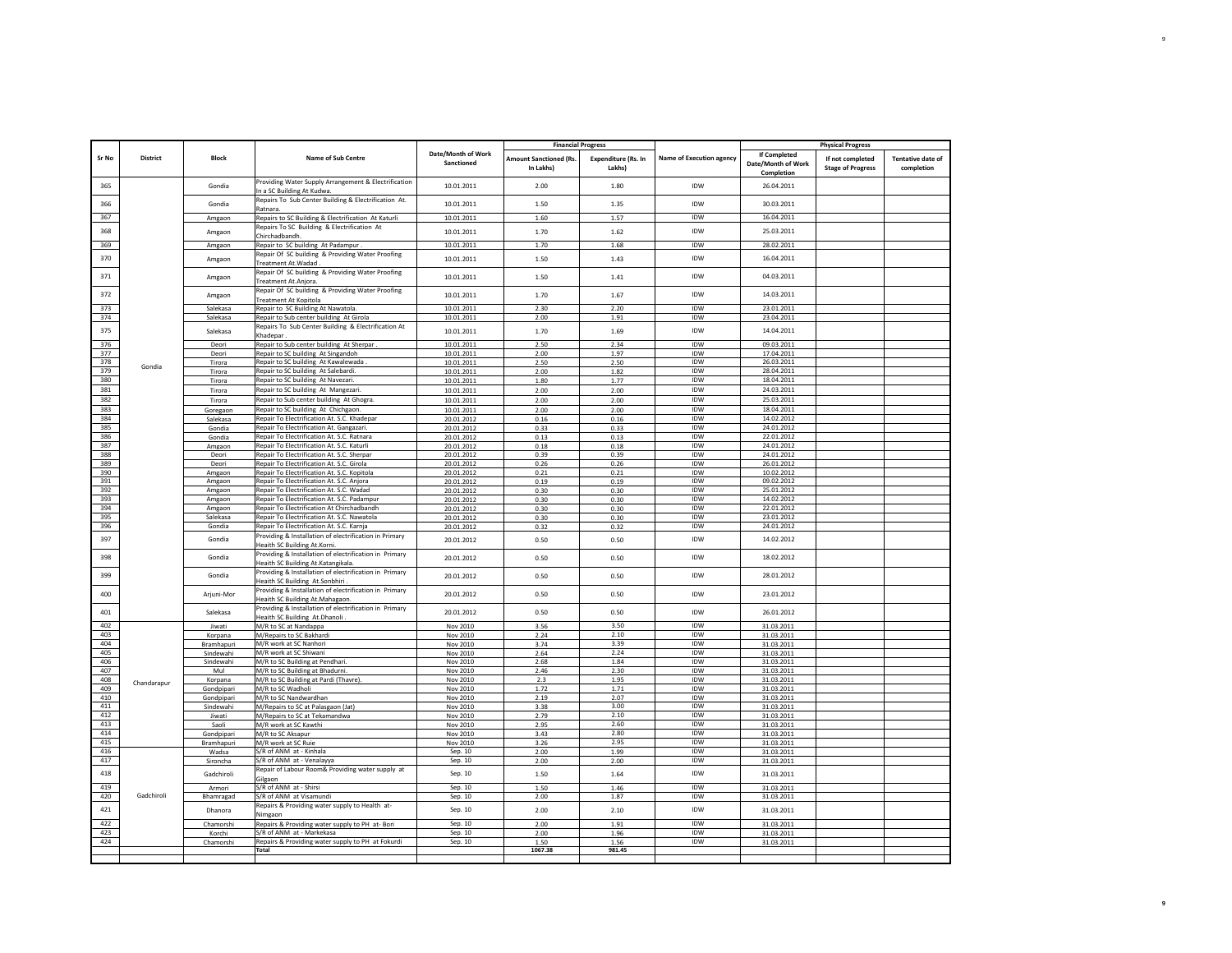|            |                 |                         |                                                                                                     |                                  | <b>Financial Progress</b>                  |                                      |                                 |                                                  | <b>Physical Progress</b>                     |                                        |
|------------|-----------------|-------------------------|-----------------------------------------------------------------------------------------------------|----------------------------------|--------------------------------------------|--------------------------------------|---------------------------------|--------------------------------------------------|----------------------------------------------|----------------------------------------|
| Sr No      | <b>District</b> | <b>Block</b>            | Name of Sub Centre                                                                                  | Date/Month of Work<br>Sanctioned | <b>Amount Sanctioned (Rs.</b><br>In Lakhs) | <b>Expenditure (Rs. In</b><br>Lakhs) | <b>Name of Execution agency</b> | If Completed<br>Date/Month of Work<br>Completion | If not completed<br><b>Stage of Progress</b> | <b>Tentative date of</b><br>completion |
| 365        |                 | Gondia                  | Providing Water Supply Arrangement & Electrification<br>In a SC Building At Kudwa.                  | 10.01.2011                       | 2.00                                       | 1.80                                 | <b>IDW</b>                      | 26.04.2011                                       |                                              |                                        |
| 366        |                 | Gondia                  | Repairs To Sub Center Building & Electrification At.<br>Ratnara.                                    | 10.01.2011                       | 1.50                                       | 1.35                                 | <b>IDW</b>                      | 30.03.2011                                       |                                              |                                        |
| 367        |                 | Amgaon                  | Repairs to SC Building & Electrification At Katurli                                                 | 10.01.2011                       | 1.60                                       | 1.57                                 | <b>IDW</b>                      | 16.04.2011                                       |                                              |                                        |
| 368        |                 | Amgaon                  | Repairs To SC Building & Electrification At                                                         | 10.01.2011                       | 1.70                                       | 1.62                                 | IDW                             | 25.03.2011                                       |                                              |                                        |
| 369        |                 | Amgaon                  | Chirchadbandh.<br>Repair to SC building At Padampur                                                 | 10.01.2011                       | 1.70                                       | 1.68                                 | IDW                             | 28.02.2011                                       |                                              |                                        |
| 370        |                 |                         | Repair Of SC building & Providing Water Proofing                                                    | 10.01.2011                       | 1.50                                       | 1.43                                 | IDW                             | 16.04.2011                                       |                                              |                                        |
|            |                 | Amgaon                  | Freatment At. Wadad<br>Repair Of SC building & Providing Water Proofing                             |                                  |                                            |                                      |                                 |                                                  |                                              |                                        |
| 371        |                 | Amgaon                  | Freatment At.Anjora.<br>Repair Of SC building & Providing Water Proofing                            | 10.01.2011                       | 1.50                                       | 1.41                                 | IDW                             | 04.03.2011                                       |                                              |                                        |
| 372        |                 | Amgaon                  | Treatment At Kopitola                                                                               | 10.01.2011                       | 1.70                                       | 1.67                                 | <b>IDW</b>                      | 14.03.2011                                       |                                              |                                        |
| 373        |                 | Salekasa                | Repair to SC Building At Nawatola.                                                                  | 10.01.2011                       | 2.30                                       | 2.20                                 | IDW                             | 23.01.2011                                       |                                              |                                        |
| 374        |                 | Salekasa                | Repair to Sub center building At Girola<br>Repairs To Sub Center Building & Electrification At      | 10.01.2011                       | 2.00                                       | 1.91                                 | <b>IDW</b>                      | 23.04.2011                                       |                                              |                                        |
| 375<br>376 |                 | Salekasa                | Khadepar                                                                                            | 10.01.2011                       | 1.70<br>2.50                               | 1.69<br>2.34                         | <b>IDW</b><br><b>IDW</b>        | 14.04.2011<br>09.03.2011                         |                                              |                                        |
| 377        |                 | Deori<br>Deori          | Repair to Sub center building At Sherpar.<br>Repair to SC building At Singandoh                     | 10.01.2011<br>10.01.2011         | 2.00                                       | 1.97                                 | IDW                             | 17.04.2011                                       |                                              |                                        |
| 378        |                 | Tirora                  | Repair to SC building At Kawalewada                                                                 | 10.01.2011                       | 2.50                                       | 2.50                                 | IDW                             | 26.03.2011                                       |                                              |                                        |
| 379        | Gondia          | Tirora                  | Repair to SC building At Salebardi.                                                                 | 10.01.2011                       | 2.00                                       | 1.82                                 | <b>IDW</b>                      | 28.04.2011                                       |                                              |                                        |
| 380        |                 | Tirora                  | Repair to SC building At Navezari.                                                                  | 10.01.2011                       | 1.80                                       | 1.77                                 | <b>IDW</b>                      | 18.04.2011                                       |                                              |                                        |
| 381        |                 | Tirora                  | Repair to SC building At Mangezari.                                                                 | 10.01.2011                       | 2.00                                       | 2.00                                 | <b>IDW</b>                      | 24.03.2011                                       |                                              |                                        |
| 382        |                 | Tirora                  | Repair to Sub center building At Ghogra.                                                            | 10.01.2011                       | 2.00                                       | 2.00                                 | <b>IDW</b>                      | 25.03.2011                                       |                                              |                                        |
| 383        |                 | Goregaor                | Repair to SC building At Chichgaon.                                                                 | 10.01.2011                       | 2.00                                       | 2.00                                 | <b>IDW</b>                      | 18.04.2011                                       |                                              |                                        |
| 384        |                 | Salekasa                | Repair To Electrification At. S.C. Khadepar                                                         | 20.01.2012                       | 0.16                                       | 0.16                                 | <b>IDW</b>                      | 14.02.2012                                       |                                              |                                        |
| 385        |                 | Gondia                  | Repair To Electrification At. Gangazari.                                                            | 20.01.2012                       | 0.33                                       | 0.33                                 | IDW                             | 24.01.2012                                       |                                              |                                        |
| 386        |                 | Gondia                  | Repair To Electrification At. S.C. Ratnara                                                          | 20.01.2012                       | 0.13                                       | 0.13                                 | IDW                             | 22.01.2012                                       |                                              |                                        |
| 387<br>388 |                 | Amgaon                  | Repair To Electrification At. S.C. Katurli<br>Repair To Electrification At. S.C. Sherpar            | 20.01.2012                       | 0.18                                       | 0.18                                 | IDW<br><b>IDW</b>               | 24.01.2012<br>24.01.2012                         |                                              |                                        |
| 389        |                 | Deori<br>Deori          | Repair To Electrification At. S.C. Girola                                                           | 20.01.2012<br>20.01.2012         | 0.39<br>0.26                               | 0.39<br>0.26                         | IDW                             | 26.01.2012                                       |                                              |                                        |
| 390        |                 | Amgaon                  | Repair To Electrification At. S.C. Kopitola                                                         | 20.01.2012                       | 0.21                                       | 0.21                                 | IDW                             | 10.02.2012                                       |                                              |                                        |
| 391        |                 | Amgaon                  | Repair To Electrification At. S.C. Anjora                                                           | 20.01.2012                       | 0.19                                       | 0.19                                 | <b>IDW</b>                      | 09.02.2012                                       |                                              |                                        |
| 392        |                 | Amgaon                  | Repair To Electrification At. S.C. Wadad                                                            | 20.01.2012                       | 0.30                                       | 0.30                                 | IDW                             | 25.01.2012                                       |                                              |                                        |
| 393        |                 | Amgaon                  | Repair To Electrification At. S.C. Padampur                                                         | 20.01.2012                       | 0.30                                       | 0.30                                 | <b>IDW</b>                      | 14.02.2012                                       |                                              |                                        |
| 394        |                 | Amgaon                  | Repair To Electrification At Chirchadbandh                                                          | 20.01.2012                       | 0.30                                       | 0.30                                 | IDW                             | 22.01.2012                                       |                                              |                                        |
| 395        |                 | Salekasa                | Repair To Electrification At. S.C. Nawatola                                                         | 20.01.2012                       | 0.30                                       | 0.30                                 | <b>IDW</b>                      | 23.01.2012                                       |                                              |                                        |
| 396<br>397 |                 | Gondia<br>Gondia        | Repair To Electrification At. S.C. Karnja<br>Providing & Installation of electrification in Primary | 20.01.2012<br>20.01.2012         | 0.32<br>0.50                               | 0.32<br>0.50                         | IDW<br>IDW                      | 24.01.2012<br>14.02.2012                         |                                              |                                        |
| 398        |                 | Gondia                  | Heaith SC Building At.Korni.<br>Providing & Installation of electrification in Primary              | 20.01.2012                       | 0.50                                       | 0.50                                 | <b>IDW</b>                      | 18.02.2012                                       |                                              |                                        |
|            |                 |                         | Heaith SC Building At.Katangikala.<br>Providing & Installation of electrification in Primary        |                                  |                                            |                                      | <b>IDW</b>                      |                                                  |                                              |                                        |
| 399        |                 | Gondia                  | Heaith SC Building At.Sonbhiri<br>Providing & Installation of electrification in Primary            | 20.01.2012                       | 0.50                                       | 0.50                                 |                                 | 28.01.2012                                       |                                              |                                        |
| 400        |                 | Arjuni-Mor              | Heaith SC Building At.Mahagaon.<br>Providing & Installation of electrification in Primary           | 20.01.2012                       | 0.50                                       | 0.50                                 | IDW                             | 23.01.2012                                       |                                              |                                        |
| 401<br>402 |                 | Salekasa                | Heaith SC Building At.Dhanoli                                                                       | 20.01.2012                       | 0.50                                       | 0.50<br>3.50                         | <b>IDW</b><br>IDW               | 26.01.2012                                       |                                              |                                        |
| 403        |                 | Jiwati<br>Korpana       | M/R to SC at Nandappa<br>M/Repairs to SC Bakhardi                                                   | Nov 2010<br>Nov 2010             | 3.56<br>2.24                               | 2.10                                 | <b>IDW</b>                      | 31.03.2011<br>31.03.2011                         |                                              |                                        |
| 404        |                 | Bramhapuri              | M/R work at SC Nanhori                                                                              | Nov 2010                         | 3.74                                       | 3.39                                 | IDW                             | 31.03.2011                                       |                                              |                                        |
| 405        |                 | Sindewahi               | M/R work at SC Shiwani                                                                              | Nov 2010                         | 2.64                                       | 2.24                                 | <b>IDW</b>                      | 31.03.2011                                       |                                              |                                        |
| 406        |                 | Sindewahi               | M/R to SC Building at Pendhari.                                                                     | Nov 2010                         | 2.68                                       | 1.84                                 | <b>IDW</b>                      | 31.03.2011                                       |                                              |                                        |
| 407        |                 | Mul                     | M/R to SC Building at Bhadurni.                                                                     | Nov 2010                         | 2.46                                       | 2.30                                 | <b>IDW</b>                      | 31.03.2011                                       |                                              |                                        |
| 408        | Chandarapur     | Korpana                 | M/R to SC Building at Pardi (Thavre)                                                                | Nov 2010                         | 2.3                                        | 1.95                                 | <b>IDW</b>                      | 31.03.2011                                       |                                              |                                        |
| 409        |                 | Gondpipari              | M/R to SC Wadholi                                                                                   | Nov 2010                         | 1.72                                       | 1.71                                 | IDW                             | 31.03.2011                                       |                                              |                                        |
| 410        |                 | Gondpipari<br>Sindewahi | M/R to SC Nandwardhan                                                                               | Nov 2010<br>Nov 2010             | 2.19                                       | 2.07<br>3.00                         | <b>IDW</b>                      | 31.03.2011                                       |                                              |                                        |
| 411<br>412 |                 | Jiwati                  | M/Repairs to SC at Palasgaon (Jat)<br>M/Repairs to SC at Tekamandwa                                 | Nov 2010                         | 3.38<br>2.79                               | 2.10                                 | IDW<br>IDW                      | 31.03.2011<br>31.03.2011                         |                                              |                                        |
| 413        |                 | Saoli                   | M/R work at SC Kawthi                                                                               | Nov 2010                         | 2.95                                       | 2.60                                 | <b>IDW</b>                      | 31.03.2011                                       |                                              |                                        |
| 414        |                 | Gondpipari              | M/R to SC Aksapur                                                                                   | Nov 2010                         | 3.43                                       | 2.80                                 | <b>IDW</b>                      | 31.03.2011                                       |                                              |                                        |
| 415        |                 | Bramhapuri              | M/R work at SC Ruie                                                                                 | Nov 2010                         | 3.26                                       | 2.95                                 | IDW                             | 31.03.2011                                       |                                              |                                        |
| 416        |                 | Wadsa                   | S/R of ANM at - Kinhala                                                                             | Sep. 10                          | 2.00                                       | 1.99                                 | IDW                             | 31.03.2011                                       |                                              |                                        |
| 417<br>418 |                 | Sironcha<br>Gadchiroli  | S/R of ANM at - Venalayya<br>Repair of Labour Room& Providing water supply at                       | Sep. 10<br>Sep. 10               | 2.00<br>1.50                               | 2.00<br>1.64                         | IDW<br><b>IDW</b>               | 31.03.2011<br>31.03.2011                         |                                              |                                        |
|            |                 |                         | Gilgaon                                                                                             |                                  |                                            |                                      |                                 |                                                  |                                              |                                        |
| 419        |                 | Armori                  | S/R of ANM at - Shirsi                                                                              | Sep. 10                          | 1.50                                       | 1.46                                 | IDW                             | 31.03.2011                                       |                                              |                                        |
| 420        | Gadchiroli      | Bhamragad               | S/R of ANM at Visamundi                                                                             | Sep. 10                          | 2.00                                       | 1.87                                 | IDW                             | 31.03.2011                                       |                                              |                                        |
| 421        |                 | Dhanora                 | Repairs & Providing water supply to Health at-<br>Nimgaon                                           | Sep. 10                          | 2.00                                       | 2.10                                 | <b>IDW</b>                      | 31.03.2011                                       |                                              |                                        |
| 422        |                 | Chamorshi               | Repairs & Providing water supply to PH at-Bori                                                      | Sep. 10                          | 2.00                                       | 1.91                                 | IDW                             | 31.03.2011                                       |                                              |                                        |
| 423<br>424 |                 | Korchi<br>Chamorshi     | S/R of ANM at - Markekasa<br>Repairs & Providing water supply to PH at Fokurdi                      | Sep. 10<br>Sep. 10               | 2.00<br>1.50                               | 1.96<br>1.56                         | IDW<br>IDW                      | 31.03.2011<br>31.03.2011                         |                                              |                                        |
|            |                 |                         | Total                                                                                               |                                  | 1067.38                                    | 981.45                               |                                 |                                                  |                                              |                                        |
|            |                 |                         |                                                                                                     |                                  |                                            |                                      |                                 |                                                  |                                              |                                        |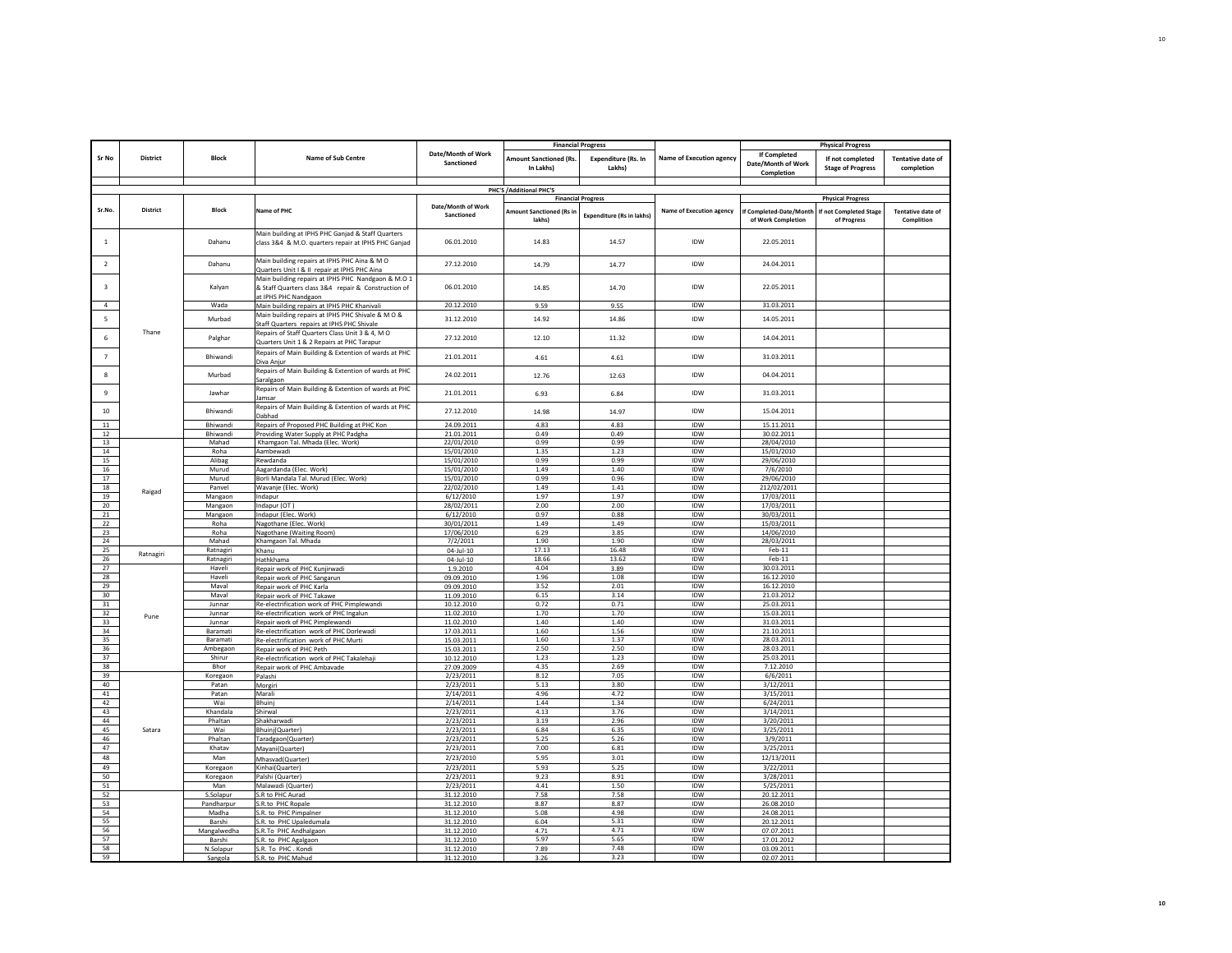|                       |                 |                     |                                                                                                                                   |                                  |                                            | <b>Financial Progress</b>            |                                 |                                                         | <b>Physical Progress</b>                     |                                        |
|-----------------------|-----------------|---------------------|-----------------------------------------------------------------------------------------------------------------------------------|----------------------------------|--------------------------------------------|--------------------------------------|---------------------------------|---------------------------------------------------------|----------------------------------------------|----------------------------------------|
| Sr No                 | <b>District</b> | <b>Block</b>        | <b>Name of Sub Centre</b>                                                                                                         | Date/Month of Work<br>Sanctioned | <b>Amount Sanctioned (Rs.</b><br>In Lakhs) | <b>Expenditure (Rs. In</b><br>Lakhs) | <b>Name of Execution agency</b> | <b>If Completed</b><br>Date/Month of Work<br>Completion | If not completed<br><b>Stage of Progress</b> | <b>Tentative date of</b><br>completion |
|                       |                 |                     |                                                                                                                                   |                                  |                                            |                                      |                                 |                                                         |                                              |                                        |
|                       |                 |                     |                                                                                                                                   |                                  | PHC'S / Additional PHC'S                   | <b>Financial Progress</b>            |                                 |                                                         | <b>Physical Progress</b>                     |                                        |
| Sr.No.                | <b>District</b> | <b>Block</b>        | Name of PHC                                                                                                                       | Date/Month of Work<br>Sanctioned | <b>Amount Sanctioned (Rs in</b><br>lakhs)  | <b>Expenditure (Rs in lakhs)</b>     | <b>Name of Execution agency</b> | f Completed-Date/Month<br>of Work Completion            | f not Completed Stage<br>of Progress         | <b>Tentative date of</b><br>Complition |
| $\mathbf{1}$          |                 | Dahanu              | Main building at IPHS PHC Ganjad & Staff Quarters<br>class 3&4 & M.O. quarters repair at IPHS PHC Ganjad                          | 06.01.2010                       | 14.83                                      | 14.57                                | <b>IDW</b>                      | 22.05.2011                                              |                                              |                                        |
| $\overline{2}$        |                 | Dahanu              | Main building repairs at IPHS PHC Aina & M O<br>Quarters Unit I & II repair at IPHS PHC Aina                                      | 27.12.2010                       | 14.79                                      | 14.77                                | IDW                             | 24.04.2011                                              |                                              |                                        |
| $\overline{3}$        |                 | Kalyan              | Main building repairs at IPHS PHC Nandgaon & M.O 1<br>& Staff Quarters class 3&4 repair & Construction of<br>at IPHS PHC Nandgaon | 06.01.2010                       | 14.85                                      | 14.70                                | <b>IDW</b>                      | 22.05.2011                                              |                                              |                                        |
| $\sqrt{4}$            |                 | Wada                | Main building repairs at IPHS PHC Khanivali                                                                                       | 20.12.2010                       | 9.59                                       | 9.55                                 | IDW                             | 31.03.2011                                              |                                              |                                        |
| 5                     |                 | Murbad              | Main building repairs at IPHS PHC Shivale & M O &<br>Staff Quarters repairs at IPHS PHC Shivale                                   | 31.12.2010                       | 14.92                                      | 14.86                                | IDW                             | 14.05.2011                                              |                                              |                                        |
| 6                     | Thane           | Palghar             | Repairs of Staff Quarters Class Unit 3 & 4, M O<br>Quarters Unit 1 & 2 Repairs at PHC Tarapur                                     | 27.12.2010                       | 12.10                                      | 11.32                                | <b>IDW</b>                      | 14.04.2011                                              |                                              |                                        |
| $\overline{7}$        |                 | Bhiwandi            | Repairs of Main Building & Extention of wards at PHC<br>Diva Anjur                                                                | 21.01.2011                       | 4.61                                       | 4.61                                 | <b>IDW</b>                      | 31.03.2011                                              |                                              |                                        |
| $\mathbf{R}$          |                 | Murbad              | Repairs of Main Building & Extention of wards at PHC<br>Saralgaon                                                                 | 24.02.2011                       | 12.76                                      | 12.63                                | IDW                             | 04.04.2011                                              |                                              |                                        |
| 9                     |                 | Jawhar              | Repairs of Main Building & Extention of wards at PHC<br>lamsar                                                                    | 21.01.2011                       | 6.93                                       | 6.84                                 | <b>IDW</b>                      | 31.03.2011                                              |                                              |                                        |
| 10                    |                 | Bhiwandi            | Repairs of Main Building & Extention of wards at PHC<br>Dabhad                                                                    | 27.12.2010                       | 14.98                                      | 14.97                                | IDW                             | 15.04.2011                                              |                                              |                                        |
| 11                    |                 | Bhiwandi            | Repairs of Proposed PHC Building at PHC Kon                                                                                       | 24.09.2011                       | 4.83                                       | 4.83                                 | IDW                             | 15.11.2011                                              |                                              |                                        |
| 12<br>13              |                 | Bhiwandi<br>Mahad   | Providing Water Supply at PHC Padgha                                                                                              | 21.01.2011<br>22/01/2010         | 0.49<br>0.99                               | 0.49<br>0.99                         | IDW<br>IDW                      | 30.02.2011                                              |                                              |                                        |
| 14                    |                 | Roha                | Khamgaon Tal. Mhada (Elec. Work)<br>Aambewadi                                                                                     | 15/01/2010                       | 1.35                                       | 1.23                                 | IDW                             | 28/04/2010<br>15/01/2010                                |                                              |                                        |
| 15                    |                 | Alibag              | Rewdanda                                                                                                                          | 15/01/2010                       | 0.99                                       | 0.99                                 | IDW                             | 29/06/2010                                              |                                              |                                        |
| 16                    |                 | Murud               | Aagardanda (Elec. Work)                                                                                                           | 15/01/2010                       | 1.49                                       | 1.40                                 | <b>IDW</b>                      | 7/6/2010                                                |                                              |                                        |
| 17                    |                 | Murud               | Borli Mandala Tal. Murud (Elec. Work)                                                                                             | 15/01/2010                       | 0.99                                       | 0.96                                 | <b>IDW</b>                      | 29/06/2010                                              |                                              |                                        |
| 18                    | Raigad          | Panvel              | Wavanje (Elec. Work)                                                                                                              | 22/02/2010                       | 1.49                                       | 1.41                                 | IDW                             | 212/02/2011                                             |                                              |                                        |
| 19<br>20 <sup>2</sup> |                 | Mangaon             | Indapur<br>Indapur (OT)                                                                                                           | 6/12/2010<br>28/02/2011          | 1.97<br>2.00                               | 1.97<br>2.00                         | <b>IDW</b><br>IDW               | 17/03/2011<br>17/03/2011                                |                                              |                                        |
| 21                    |                 | Mangaon<br>Mangaon  | ndapur (Elec. Work)                                                                                                               | 6/12/2010                        | 0.97                                       | 0.88                                 | <b>IDW</b>                      | 30/03/2011                                              |                                              |                                        |
| 22                    |                 | Roha                | Nagothane (Elec. Work)                                                                                                            | 30/01/2011                       | 1.49                                       | 1.49                                 | <b>IDW</b>                      | 15/03/2011                                              |                                              |                                        |
| 23                    |                 | Roha                | Nagothane (Waiting Room)                                                                                                          | 17/06/2010                       | 6.29                                       | 3.85                                 | <b>IDW</b>                      | 14/06/2010                                              |                                              |                                        |
| 24                    |                 | Mahad               | Khamgaon Tal. Mhada                                                                                                               | 7/2/2011                         | 1.90                                       | 1.90                                 | IDW                             | 28/03/2011                                              |                                              |                                        |
| 25<br>26              | Ratnagiri       | Ratnagiri           | Khanu<br>Hathkhama                                                                                                                | 04-Jul-10                        | 17.13                                      | 16.48<br>13.62                       | <b>IDW</b><br>IDW               | Feb-11<br>Feb-11                                        |                                              |                                        |
| 27                    |                 | Ratnagiri<br>Haveli | Repair work of PHC Kunjirwadi                                                                                                     | 04-Jul-10<br>1.9.2010            | 18.66<br>4.04                              | 3.89                                 | IDW                             | 30.03.2011                                              |                                              |                                        |
| 28                    |                 | Haveli              | Repair work of PHC Sangarun                                                                                                       | 09.09.2010                       | 1.96                                       | 1.08                                 | IDW                             | 16.12.2010                                              |                                              |                                        |
| 29                    |                 | Maval               | Repair work of PHC Karla                                                                                                          | 09.09.2010                       | 3.52                                       | 2.01                                 | IDW                             | 16.12.2010                                              |                                              |                                        |
| 30 <sup>2</sup>       |                 | Maval               | Repair work of PHC Takawe                                                                                                         | 11.09.2010                       | 6.15                                       | 3.14                                 | <b>IDW</b>                      | 21.03.2012                                              |                                              |                                        |
| 31                    |                 | Junnar              | Re-electrification work of PHC Pimplewandi                                                                                        | 10.12.2010                       | 0.72                                       | 0.71                                 | IDW                             | 25.03.2011                                              |                                              |                                        |
| 32<br>33              | Pune            | Junnar<br>Junnar    | Re-electrification work of PHC Ingalun<br>Repair work of PHC Pimplewandi                                                          | 11.02.2010<br>11.02.2010         | 1.70<br>1.40                               | 1.70<br>1.40                         | IDW<br><b>IDW</b>               | 15.03.2011<br>31.03.2011                                |                                              |                                        |
| 34                    |                 | Baramati            | Re-electrification work of PHC Dorlewadi                                                                                          | 17.03.2011                       | 1.60                                       | 1.56                                 | IDW                             | 21.10.2011                                              |                                              |                                        |
| 35                    |                 | Baramati            | Re-electrification work of PHC Murti                                                                                              | 15.03.2011                       | 1.60                                       | 1.37                                 | <b>IDW</b>                      | 28.03.2011                                              |                                              |                                        |
| 36                    |                 | Ambegaon            | Repair work of PHC Peth                                                                                                           | 15.03.2011                       | 2.50                                       | 2.50                                 | IDW                             | 28.03.2011                                              |                                              |                                        |
| 37                    |                 | Shirur              | Re-electrification work of PHC Takalehaji                                                                                         | 10.12.2010                       | 1.23                                       | 1.23                                 | <b>IDW</b>                      | 25.03.2011                                              |                                              |                                        |
| 38<br>39              |                 | Bhor<br>Koregaon    | Repair work of PHC Ambavade<br>Palashi                                                                                            | 27.09.2009<br>2/23/2011          | 4.35<br>8.12                               | 2.69<br>7.05                         | IDW<br><b>IDW</b>               | 7.12.2010<br>6/6/2011                                   |                                              |                                        |
| 40                    |                 | Patan               | Morgiri                                                                                                                           | 2/23/2011                        | 5.13                                       | 3.80                                 | IDW                             | 3/12/2011                                               |                                              |                                        |
| 41                    |                 | Patan               | Marali                                                                                                                            | 2/14/2011                        | 4.96                                       | 4.72                                 | IDW                             | $\frac{1}{3}/15/2011$                                   |                                              |                                        |
| 42                    |                 | Wai                 | Bhuinj                                                                                                                            | 2/14/2011                        | 1.44                                       | 1.34                                 | IDW                             | 6/24/2011                                               |                                              |                                        |
| 43                    |                 | Khandala            | Shirwal                                                                                                                           | 2/23/2011                        | 4.13                                       | 3.76                                 | <b>IDW</b>                      | 3/14/2011                                               |                                              |                                        |
| 44                    |                 | Phaltan             | Shakharwad                                                                                                                        | 2/23/2011                        | 3.19                                       | 2.96                                 | <b>IDW</b>                      | 3/20/2011                                               |                                              |                                        |
| 45<br>46              | Satara          | Wai<br>Phaltan      | Bhuinj(Quarter)                                                                                                                   | 2/23/2011                        | 6.84<br>5.25                               | 6.35<br>5.26                         | IDW<br>IDW                      | 3/25/2011                                               |                                              |                                        |
| 47                    |                 | Khatav              | Taradgaon(Quarter)<br>Mayani(Quarter)                                                                                             | 2/23/2011<br>2/23/2011           | 7.00                                       | 6.81                                 | <b>IDW</b>                      | 3/9/2011<br>3/25/2011                                   |                                              |                                        |
| 48                    |                 | Man                 | Mhasvad(Quarter)                                                                                                                  | 2/23/2010                        | 5.95                                       | 3.01                                 | <b>IDW</b>                      | 12/13/2011                                              |                                              |                                        |
| 49                    |                 | Koregaon            | Kinhai(Quarter)                                                                                                                   | 2/23/2011                        | 5.93                                       | 5.25                                 | IDW                             | 3/22/2011                                               |                                              |                                        |
| 50                    |                 | Koregaon            | Palshi (Quarter)                                                                                                                  | 2/23/2011                        | 9.23                                       | 8.91                                 | <b>IDW</b>                      | 3/28/2011                                               |                                              |                                        |
| 51                    |                 | Man                 | Malawadi (Quarter)                                                                                                                | 2/23/2011                        | 4.41                                       | 1.50                                 | IDW                             | 5/25/2011                                               |                                              |                                        |
| 52                    |                 | S.Solapur           | S.R to PHC Aurad                                                                                                                  | 31.12.2010                       | 7.58                                       | 7.58                                 | IDW                             | 20.12.2011                                              |                                              |                                        |
| 53                    |                 | Pandharpur          | S.R.to PHC Ropale                                                                                                                 | 31.12.2010                       | 8.87                                       | 8.87                                 | <b>IDW</b>                      | 26.08.2010                                              |                                              |                                        |
| 54<br>55              |                 | Madha<br>Barshi     | S.R. to PHC Pimpalner                                                                                                             | 31.12.2010<br>31.12.2010         | 5.08<br>6.04                               | 4.98<br>5.31                         | <b>IDW</b><br>IDW               | 24.08.2011<br>20.12.2011                                |                                              |                                        |
| 56                    |                 | Mangalwedha         | S.R. to PHC Upaledumala<br>S.R.To PHC Andhalgaon                                                                                  | 31.12.2010                       | 4.71                                       | 4.71                                 | <b>IDW</b>                      | 07.07.2011                                              |                                              |                                        |
| 57                    |                 | Barshi              | S.R. to PHC Agalgaon                                                                                                              | 31.12.2010                       | 5.97                                       | 5.65                                 | IDW                             | 17.01.2012                                              |                                              |                                        |
| 58                    |                 | N.Solapur           | S.R. To PHC. Kondi                                                                                                                | 31.12.2010                       | 7.89                                       | 7.48                                 | IDW                             | 03.09.2011                                              |                                              |                                        |
| 59                    |                 | Sangola             | S.R. to PHC Mahud                                                                                                                 | 31.12.2010                       | 3.26                                       | 3.23                                 | <b>IDW</b>                      | 02.07.2011                                              |                                              |                                        |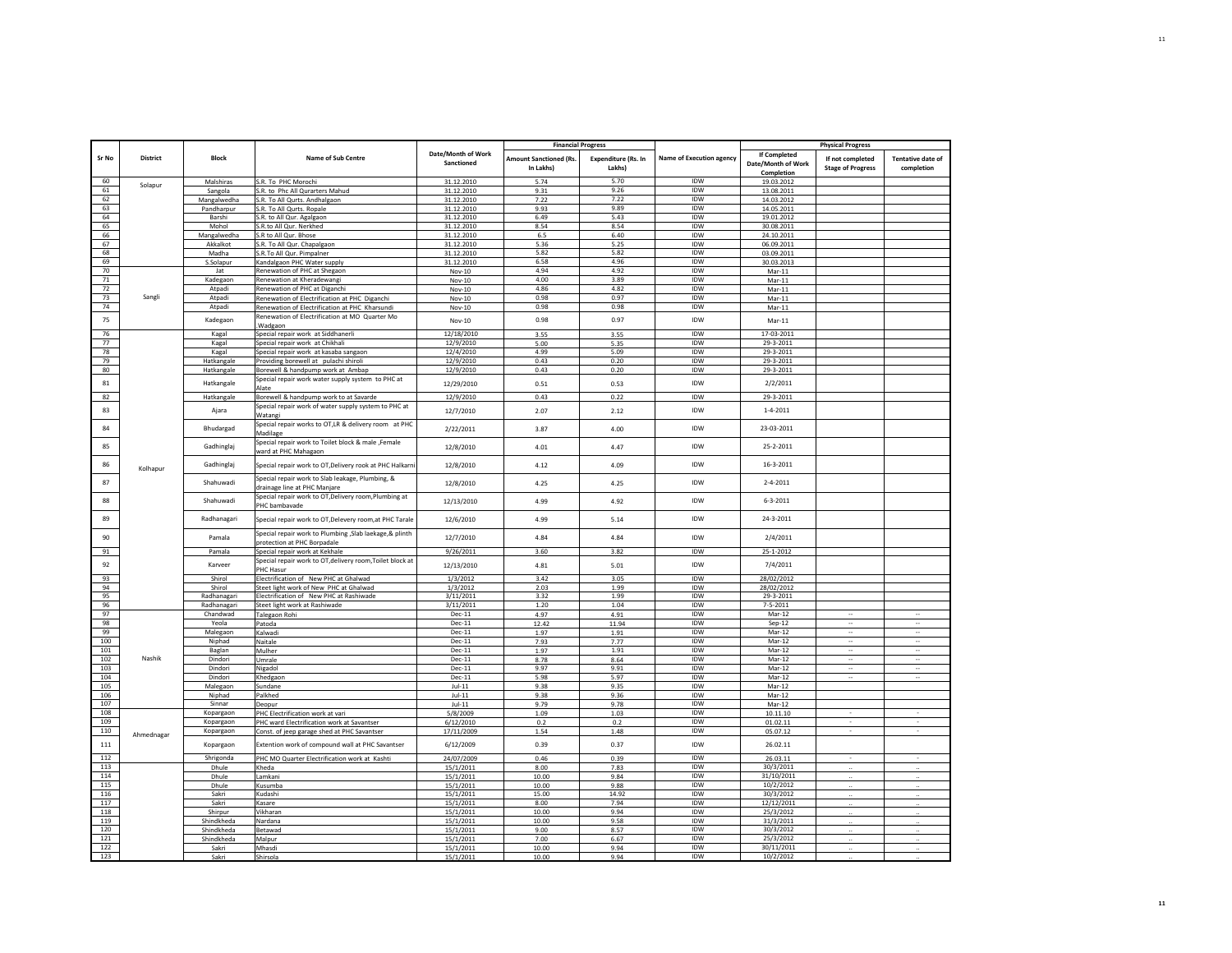|          |                 |                         |                                                                                   |                          | <b>Financial Progress</b>     |                            |                          |                          | <b>Physical Progress</b> |                          |
|----------|-----------------|-------------------------|-----------------------------------------------------------------------------------|--------------------------|-------------------------------|----------------------------|--------------------------|--------------------------|--------------------------|--------------------------|
|          |                 |                         |                                                                                   | Date/Month of Work       |                               |                            |                          | <b>If Completed</b>      |                          |                          |
| Sr No    | <b>District</b> | <b>Block</b>            | <b>Name of Sub Centre</b>                                                         | Sanctioned               | <b>Amount Sanctioned (Rs.</b> | <b>Expenditure (Rs. In</b> | Name of Execution agency | Date/Month of Work       | If not completed         | <b>Tentative date of</b> |
|          |                 |                         |                                                                                   |                          | In Lakhs)                     | Lakhs)                     |                          | Completion               | <b>Stage of Progress</b> | completion               |
| 60       |                 | Malshiras               | S.R. To PHC Morochi                                                               | 31.12.2010               | 5.74                          | 5.70                       | IDW                      | 19.03.2012               |                          |                          |
| 61       | Solapur         | Sangola                 | S.R. to Phc All Qurarters Mahud                                                   | 31.12.2010               | 9.31                          | 9.26                       | <b>IDW</b>               | 13.08.2011               |                          |                          |
| 62       |                 | Mangalwedha             | S.R. To All Qurts. Andhalgaon                                                     | 31.12.2010               | 7.22                          | 7.22                       | <b>IDW</b>               | 14.03.2012               |                          |                          |
| 63       |                 |                         | S.R. To All Qurts. Ropale                                                         | 31.12.2010               | 9.93                          | 9.89                       | IDW                      | 14.05.2011               |                          |                          |
| 64       |                 | Pandharpur<br>Barshi    | S.R. to All Qur. Agalgaon                                                         | 31.12.2010               | 6.49                          | 5.43                       | <b>IDW</b>               | 19.01.2012               |                          |                          |
| 65       |                 | Mohol                   |                                                                                   | 31.12.2010               | 8.54                          | 8.54                       | <b>IDW</b>               | 30.08.2011               |                          |                          |
| 66       |                 |                         | S.R.to All Qur. Nerkhed                                                           |                          | 6.5                           | 6.40                       | IDW                      |                          |                          |                          |
| 67       |                 | Mangalwedha<br>Akkalkot | S.R to All Qur. Bhose<br>S.R. To All Qur. Chapalgaon                              | 31.12.2010<br>31.12.2010 | 5.36                          | 5.25                       | IDW                      | 24.10.2011<br>06.09.2011 |                          |                          |
|          |                 |                         |                                                                                   |                          | 5.82                          | 5.82                       |                          |                          |                          |                          |
| 68<br>69 |                 | Madha                   | S.R.To All Qur. Pimpalner                                                         | 31.12.2010               | 6.58                          | 4.96                       | IDW<br><b>IDW</b>        | 03.09.2011               |                          |                          |
| 70       |                 | S.Solapur               | Kandalgaon PHC Water supply                                                       | 31.12.2010               | 4.94                          | 4.92                       | IDW                      | 30.03.2013               |                          |                          |
|          |                 | Jat                     | Renewation of PHC at Shegaon                                                      | Nov-10                   |                               |                            |                          | Mar-11                   |                          |                          |
| 71       |                 | Kadegaon                | Renewation at Kheradewangi                                                        | Nov-10                   | 4.00<br>4.86                  | 3.89<br>4.82               | IDW<br><b>IDW</b>        | Mar-11                   |                          |                          |
| 72<br>73 | Sangli          | Atpadi                  | Renewation of PHC at Diganchi                                                     | Nov-10                   | 0.98                          | 0.97                       | <b>IDW</b>               | $Mar-11$                 |                          |                          |
|          |                 | Atpadi                  | Renewation of Electrification at PHC Diganchi                                     | Nov-10                   |                               | 0.98                       | <b>IDW</b>               | Mar-11                   |                          |                          |
| 74       |                 | Atpadi                  | Renewation of Electrification at PHC Kharsundi                                    | Nov-10                   | 0.98                          |                            |                          | $Mar-11$                 |                          |                          |
| 75       |                 | Kadegaon                | Renewation of Electrification at MO Quarter Mo                                    | Nov-10                   | 0.98                          | 0.97                       | <b>IDW</b>               | $Mar-11$                 |                          |                          |
|          |                 |                         | Wadgaon                                                                           |                          |                               |                            |                          |                          |                          |                          |
| 76       |                 | Kagal                   | Special repair work at Siddhanerli                                                | 12/18/2010               | 3.55                          | 3.55                       | IDW                      | 17-03-2011               |                          |                          |
| 77       |                 | Kagal                   | Special repair work at Chikhali                                                   | 12/9/2010                | 5.00                          | 5.35                       | <b>IDW</b>               | 29-3-2011                |                          |                          |
| 78       |                 | Kagal                   | Special repair work at kasaba sangaon                                             | 12/4/2010                | 4.99                          | 5.09                       | <b>IDW</b>               | 29-3-2011                |                          |                          |
| 79       |                 | Hatkangale              | Providing borewell at pulachi shiroli                                             | 12/9/2010                | 0.43                          | 0.20                       | <b>IDW</b>               | 29-3-2011                |                          |                          |
| 80       |                 | Hatkangale              | Borewell & handpump work at Ambap                                                 | 12/9/2010                | 0.43                          | 0.20                       | IDW                      | 29-3-2011                |                          |                          |
| 81       |                 | Hatkangale              | Special repair work water supply system to PHC at                                 | 12/29/2010               | 0.51                          | 0.53                       | <b>IDW</b>               | 2/2/2011                 |                          |                          |
|          |                 |                         | Alate                                                                             |                          |                               |                            |                          |                          |                          |                          |
| 82       |                 | Hatkangale              | Borewell & handpump work to at Savarde                                            | 12/9/2010                | 0.43                          | 0.22                       | IDW                      | 29-3-2011                |                          |                          |
| 83       |                 | Ajara                   | Special repair work of water supply system to PHC at                              | 12/7/2010                | 2.07                          | 2.12                       | IDW                      | $1 - 4 - 2011$           |                          |                          |
|          |                 |                         | Watangi                                                                           |                          |                               |                            |                          |                          |                          |                          |
| 84       |                 | Bhudargad               | Special repair works to OT,LR & delivery room at PHC                              | 2/22/2011                | 3.87                          | 4.00                       | <b>IDW</b>               | 23-03-2011               |                          |                          |
|          |                 |                         | Madilage                                                                          |                          |                               |                            |                          |                          |                          |                          |
| 85       |                 | Gadhinglaj              | Special repair work to Toilet block & male ,Female                                |                          |                               |                            | IDW                      | 25-2-2011                |                          |                          |
|          |                 |                         | ward at PHC Mahagaon                                                              | 12/8/2010                | 4.01                          | 4.47                       |                          |                          |                          |                          |
|          |                 |                         |                                                                                   |                          |                               |                            | <b>IDW</b>               | $16 - 3 - 2011$          |                          |                          |
| 86       | Kolhapur        | Gadhinglaj              | Special repair work to OT, Delivery rook at PHC Halkarn                           | 12/8/2010                | 4.12                          | 4.09                       |                          |                          |                          |                          |
|          |                 |                         | Special repair work to Slab leakage, Plumbing, &                                  |                          |                               |                            |                          |                          |                          |                          |
| 87       |                 | Shahuwadi               | drainage line at PHC Manjare                                                      | 12/8/2010                | 4.25                          | 4.25                       | IDW                      | $2 - 4 - 2011$           |                          |                          |
|          |                 |                         | Special repair work to OT, Delivery room, Plumbing at                             |                          |                               |                            |                          |                          |                          |                          |
| 88       |                 | Shahuwadi               | PHC bambavade                                                                     | 12/13/2010               | 4.99                          | 4.92                       | IDW                      | $6 - 3 - 2011$           |                          |                          |
|          |                 |                         |                                                                                   |                          |                               |                            |                          |                          |                          |                          |
| 89       |                 | Radhanagari             | Special repair work to OT, Delevery room, at PHC Tarale                           | 12/6/2010                | 4.99                          | 5.14                       | IDW                      | 24-3-2011                |                          |                          |
|          |                 |                         | Special repair work to Plumbing , Slab laekage, & plinth                          |                          |                               |                            |                          |                          |                          |                          |
| 90       |                 | Pamala                  | protection at PHC Borpadale                                                       | 12/7/2010                | 4.84                          | 4.84                       | <b>IDW</b>               | 2/4/2011                 |                          |                          |
| 91       |                 | Pamala                  | Special repair work at Kekhale                                                    | 9/26/2011                | 3.60                          | 3.82                       | <b>IDW</b>               | 25-1-2012                |                          |                          |
|          |                 |                         |                                                                                   |                          |                               |                            |                          |                          |                          |                          |
| 92       |                 | Karveer                 | Special repair work to OT, delivery room, Toilet block at<br>PHC Hasur            | 12/13/2010               | 4.81                          | 5.01                       | <b>IDW</b>               | 7/4/2011                 |                          |                          |
| 93       |                 | Shirol                  | Electrification of New PHC at Ghalwad                                             | 1/3/2012                 | 3.42                          | 3.05                       | <b>IDW</b>               | 28/02/2012               |                          |                          |
| 94       |                 | Shirol                  |                                                                                   |                          | 2.03                          | 1.99                       | <b>IDW</b>               |                          |                          |                          |
| 95       |                 | Radhanagari             | Steet light work of New PHC at Ghalwad<br>Electrification of New PHC at Rashiwade | 1/3/2012<br>3/11/2011    | 3.32                          | 1.99                       | IDW                      | 28/02/2012<br>29-3-2011  |                          |                          |
|          |                 |                         |                                                                                   |                          |                               |                            |                          |                          |                          |                          |
| 96       |                 | Radhanagari             | Steet light work at Rashiwade                                                     | 3/11/2011                | 1.20                          | 1.04                       | IDW                      | $7 - 5 - 2011$           | $\sim$                   | ä.                       |
| 97       |                 | Chandwad                | Talegaon Rohi                                                                     | Dec-11                   | 4.97                          | 4.91                       | <b>IDW</b>               | Mar-12                   |                          |                          |
| 98       |                 | Yeola                   | Patoda                                                                            | Dec-11                   | 12.42                         | 11.94                      | <b>IDW</b>               | $Sep-12$                 | $\sim$                   | ÷.                       |
| 99       |                 | Malegaon                | Kalwadi                                                                           | $Dec-11$                 | 1.97                          | 1.91                       | IDW                      | Mar-12                   | ä,                       | ÷.                       |
| 100      |                 | Niphad                  | Naitale                                                                           | Dec-11                   | 7.93                          | 7.77                       | IDW                      | Mar-12                   | $\ddotsc$                | $\sim$                   |
| 101      |                 | Baglan                  | Mulher                                                                            | Dec-11                   | 1.97                          | 1.91                       | <b>IDW</b>               | Mar-12                   | $\overline{\phantom{a}}$ | $\sim$                   |
| 102      | Nashik          | Dindori                 | Umrale                                                                            | Dec-11                   | 8.78                          | 8.64                       | IDW                      | $Mar-12$                 | $\cdots$                 | $\sim$                   |
| 103      |                 | Dindori                 | Nigadol                                                                           | Dec-11                   | 9.97                          | 9.91                       | <b>IDW</b>               | Mar-12                   |                          |                          |
| 104      |                 | Dindori                 | Khedgaon                                                                          | $Dec-11$                 | 5.98                          | 5.97                       | IDW                      | Mar-12                   | $\sim$                   | ÷.                       |
| 105      |                 | Malegaon                | Sundane                                                                           | $Jul-11$                 | 9.38                          | 9.35                       | <b>IDW</b>               | Mar-12                   |                          |                          |
| 106      |                 | Niphad                  | Palkhed                                                                           | $Jul-11$                 | 9.38                          | 9.36                       | <b>IDW</b>               | Mar-12                   |                          |                          |
| 107      |                 | Sinnar                  | Deopur                                                                            | $Jul-11$                 | 9.79                          | 9.78                       | IDW                      | Mar-12                   |                          |                          |
| 108      |                 | Kopargaon               | PHC Electrification work at vari                                                  | 5/8/2009                 | 1.09                          | 1.03                       | <b>IDW</b>               | 10.11.10                 |                          |                          |
| 109      |                 | Kopargaon               | PHC ward Electrification work at Savantser                                        | 6/12/2010                | 0.2                           | 0.2                        | IDW                      | 01.02.11                 |                          |                          |
| 110      | Ahmednagar      | Kopargaon               | Const. of jeep garage shed at PHC Savantser                                       | 17/11/2009               | 1.54                          | 1.48                       | IDW                      | 05.07.12                 |                          |                          |
| 111      |                 | Kopargaon               | Extention work of compound wall at PHC Savantser                                  | 6/12/2009                | 0.39                          | 0.37                       | <b>IDW</b>               | 26.02.11                 |                          |                          |
|          |                 |                         |                                                                                   |                          |                               |                            |                          |                          |                          |                          |
| 112      |                 | Shrigonda               | PHC MO Quarter Electrification work at Kashti                                     | 24/07/2009               | 0.46                          | 0.39                       | IDW                      | 26.03.11                 | ×.                       |                          |
| 113      |                 | Dhule                   | Kheda                                                                             | 15/1/2011                | 8.00                          | 7.83                       | IDW                      | 30/3/2011                |                          |                          |
| 114      |                 | Dhule                   | Lamkani                                                                           | 15/1/2011                | 10.00                         | 9.84                       | <b>IDW</b>               | 31/10/2011               |                          |                          |
| 115      |                 | Dhule                   | Kusumba                                                                           | 15/1/2011                | 10.00                         | 9.88                       | IDW                      | 10/2/2012                | $\ldots$                 |                          |
| 116      |                 | Sakri                   | Kudashi                                                                           | 15/1/2011                | 15.00                         | 14.92                      | IDW                      | 30/3/2012                |                          |                          |
| 117      |                 | Sakri                   | Kasare                                                                            | 15/1/2011                | 8.00                          | 7.94                       | IDW                      | 12/12/2011               |                          |                          |
| 118      |                 | Shirpur                 | Vikharan                                                                          | 15/1/2011                | 10.00                         | 9.94                       | <b>IDW</b>               | 25/3/2012                |                          |                          |
| 119      |                 | Shindkheda              | Nardana                                                                           | 15/1/2011                | 10.00                         | 9.58                       | <b>IDW</b>               | 31/3/2011                |                          |                          |
| 120      |                 | Shindkheda              | Betawad                                                                           | 15/1/2011                | 9.00                          | 8.57                       | <b>IDW</b>               | 30/3/2012                |                          |                          |
| 121      |                 | Shindkheda              | Malpur                                                                            | 15/1/2011                | 7.00                          | 6.67                       | <b>IDW</b>               | 25/3/2012                |                          |                          |
| 122      |                 | Sakri                   | Mhasdi                                                                            | 15/1/2011                | 10.00                         | 9.94                       | <b>IDW</b>               | 30/11/2011               |                          | $\ddot{\phantom{a}}$     |
| 123      |                 | Sakri                   | Shirsola                                                                          | 15/1/2013                | 10.00                         | 9.94                       | IDW                      | 10/2/2012                |                          |                          |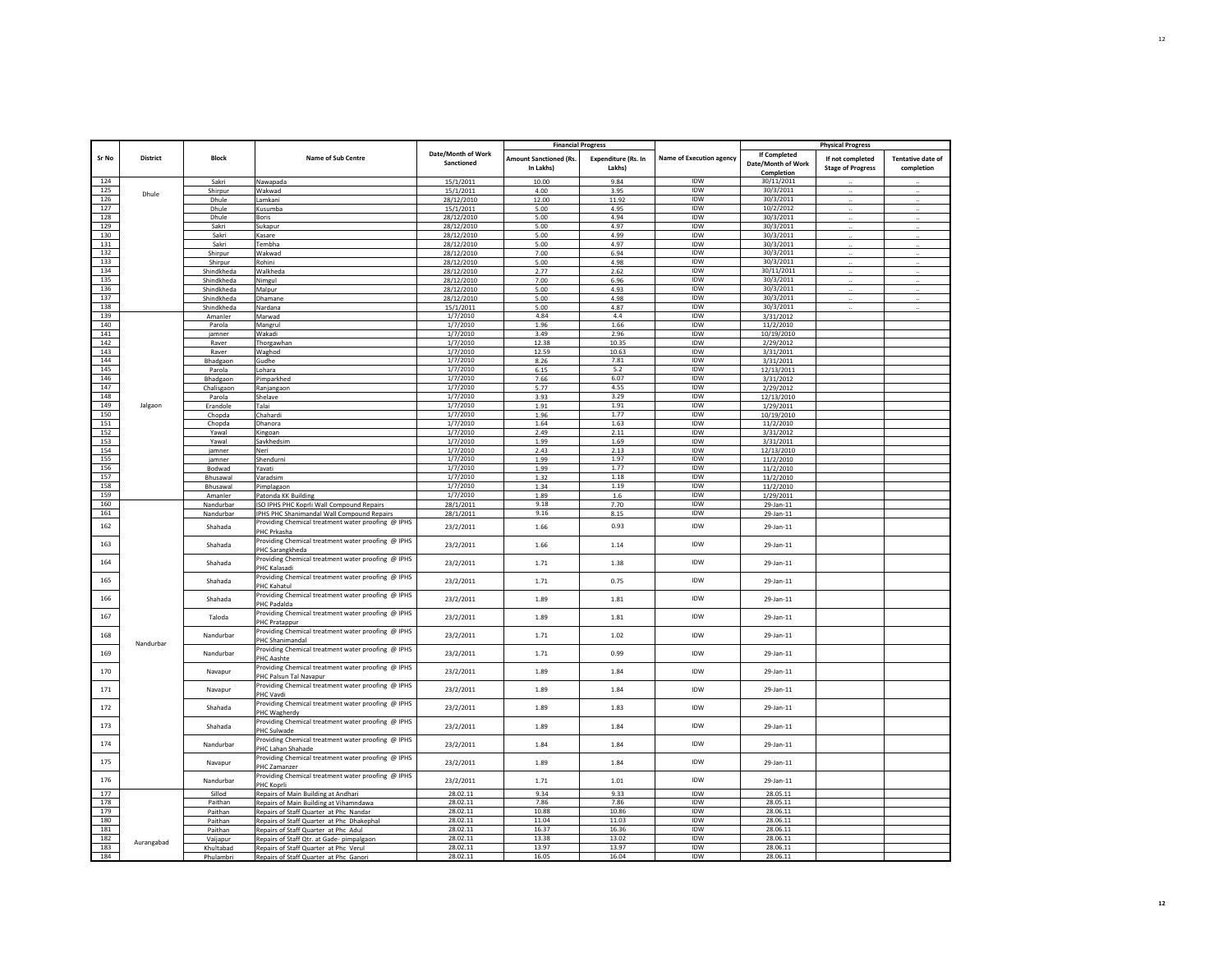|            |                 |                          |                                                                                 |                                  | <b>Financial Progress</b>                  |                                      |                                 |                                                  | <b>Physical Progress</b>                     |                                        |
|------------|-----------------|--------------------------|---------------------------------------------------------------------------------|----------------------------------|--------------------------------------------|--------------------------------------|---------------------------------|--------------------------------------------------|----------------------------------------------|----------------------------------------|
| Sr No      | <b>District</b> | <b>Block</b>             | Name of Sub Centre                                                              | Date/Month of Work<br>Sanctioned | <b>Amount Sanctioned (Rs.</b><br>In Lakhs) | <b>Expenditure (Rs. In</b><br>Lakhs) | <b>Name of Execution agency</b> | If Completed<br>Date/Month of Work<br>Completion | If not completed<br><b>Stage of Progress</b> | <b>Tentative date of</b><br>completion |
| 124        |                 | Sakri                    | Nawapada                                                                        | 15/1/2011                        | 10.00                                      | 9.84                                 | <b>IDW</b>                      | 30/11/2011                                       |                                              |                                        |
| 125        | Dhule           | Shirpur                  | Wakwad                                                                          | 15/1/2011                        | 4.00                                       | 3.95                                 | IDW                             | 30/3/2011                                        |                                              |                                        |
| 126        |                 | Dhule                    | Lamkani                                                                         | 28/12/2010                       | 12.00                                      | 11.92                                | <b>IDW</b>                      | 30/3/2011                                        |                                              |                                        |
| 127        |                 | Dhule                    | Kusumba                                                                         | 15/1/2011                        | 5.00                                       | 4.95                                 | <b>IDW</b>                      | 10/2/2012                                        |                                              |                                        |
| 128        |                 | Dhule                    | Boris                                                                           | 28/12/2010                       | 5.00                                       | 4.94                                 | IDW                             | 30/3/2011                                        | $\cdot\cdot$                                 | $\ldots$                               |
| 129        |                 | Sakri                    | Sukapur                                                                         | 28/12/2010                       | 5.00                                       | 4.97                                 | IDW                             | 30/3/2011                                        |                                              |                                        |
| 130        |                 | Sakri                    | Kasare                                                                          | 28/12/2010                       | 5.00                                       | 4.99                                 | IDW                             | 30/3/2011                                        |                                              |                                        |
| 131        |                 | Sakri                    | Tembha                                                                          | 28/12/2010                       | 5.00                                       | 4.97                                 | IDW                             | 30/3/2011                                        |                                              |                                        |
| 132        |                 | Shirpur                  | Wakwad                                                                          | 28/12/2010                       | 7.00                                       | 6.94                                 | IDW                             | 30/3/2011                                        |                                              |                                        |
| 133        |                 | <b>Shirpur</b>           | Rohini                                                                          | 28/12/2010                       | 5.00                                       | 4.98                                 | IDW                             | 30/3/2011                                        |                                              |                                        |
| 134<br>135 |                 | Shindkheda               | Walkheda                                                                        | 28/12/2010                       | 2.77                                       | 2.62                                 | IDW<br>IDW                      | 30/11/2011<br>30/3/2011                          | $\ldots$                                     |                                        |
| 136        |                 | Shindkheda<br>Shindkheda | Nimgul<br>Malpur                                                                | 28/12/2010<br>28/12/2010         | 7.00<br>5.00                               | 6.96<br>4.93                         | IDW                             | 30/3/2011                                        |                                              |                                        |
| 137        |                 | Shindkheda               | Dhamane                                                                         | 28/12/2010                       | 5.00                                       | 4.98                                 | IDW                             | 30/3/2011                                        | $\ddot{\phantom{a}}$                         |                                        |
| 138        |                 | Shindkheda               | Nardana                                                                         | 15/1/2011                        | 5.00                                       | 4.87                                 | IDW                             | 30/3/2011                                        |                                              |                                        |
| 139        |                 | Amanler                  | Marwad                                                                          | 1/7/2010                         | 4.84                                       | 4.4                                  | IDW                             | 3/31/2012                                        |                                              |                                        |
| 140        |                 | Parola                   | Mangrul                                                                         | 1/7/2010                         | 1.96                                       | 1.66                                 | IDW                             | 11/2/2010                                        |                                              |                                        |
| 141        |                 | jamner                   | Wakadi                                                                          | 1/7/2010                         | 3.49                                       | 2.96                                 | IDW                             | 10/19/2010                                       |                                              |                                        |
| 142        |                 | Raver                    | Thorgawhan                                                                      | 1/7/2010                         | 12.38                                      | 10.35                                | <b>IDW</b>                      | 2/29/2012                                        |                                              |                                        |
| 143        |                 | Raver                    | Waghod                                                                          | 1/7/2010                         | 12.59                                      | 10.63                                | IDW                             | 3/31/2011                                        |                                              |                                        |
| 144        |                 | Bhadgaon                 | Gudhe                                                                           | 1/7/2010                         | 8.26                                       | 7.81                                 | <b>IDW</b>                      | 3/31/2011                                        |                                              |                                        |
| 145        |                 | Parola                   | Lohara                                                                          | 1/7/2010                         | 6.15                                       | 5.2                                  | IDW                             | 12/13/2011                                       |                                              |                                        |
| 146        |                 | Bhadgaon                 | Pimparkhed                                                                      | 1/7/2010                         | 7.66                                       | 6.07                                 | <b>IDW</b>                      | 3/31/2012                                        |                                              |                                        |
| 147        |                 | Chalisgaon               | Ranjangaon                                                                      | 1/7/2010                         | 5.77                                       | 4.55                                 | IDW                             | 2/29/2012                                        |                                              |                                        |
| 148        |                 | Parola                   | Shelave                                                                         | 1/7/2010                         | 3.93                                       | 3.29                                 | IDW                             | 12/13/2010                                       |                                              |                                        |
| 149        | Jalgaon         | Erandole                 | Talai                                                                           | 1/7/2010                         | 1.91                                       | 1.91                                 | IDW                             | 1/29/2011                                        |                                              |                                        |
| 150        |                 | Chopda                   | Chahardi                                                                        | 1/7/2010                         | 1.96                                       | 1.77                                 | IDW                             | 10/19/2010                                       |                                              |                                        |
| 151        |                 | Chopda                   | Dhanora                                                                         | 1/7/2010                         | 1.64                                       | 1.63                                 | IDW                             | 11/2/2010                                        |                                              |                                        |
| 152        |                 | Yawal                    | Kingoan                                                                         | 1/7/2010                         | 2.49                                       | 2.11                                 | IDW                             | 3/31/2012                                        |                                              |                                        |
| 153        |                 | Yawal                    | Savkhedsim                                                                      | 1/7/2010                         | 1.99                                       | 1.69                                 | IDW                             | 3/31/2011                                        |                                              |                                        |
| 154        |                 | jamner                   | Neri                                                                            | 1/7/2010                         | 2.43                                       | 2.13                                 | IDW                             | 12/13/2010                                       |                                              |                                        |
| 155        |                 | jamner                   | Shendurni                                                                       | 1/7/2010                         | 1.99                                       | 1.97                                 | IDW                             | 11/2/2010                                        |                                              |                                        |
| 156<br>157 |                 | Bodwad                   | Yavati                                                                          | 1/7/2010<br>1/7/2010             | 1.99                                       | 1.77<br>1.18                         | IDW<br><b>IDW</b>               | 11/2/2010                                        |                                              |                                        |
| 158        |                 | Bhusawal<br>Bhusawal     | Varadsim                                                                        | 1/7/2010                         | 1.32<br>1.34                               | 1.19                                 | IDW                             | 11/2/2010                                        |                                              |                                        |
| 159        |                 | Amanler                  | Pimplagaon<br>Patonda KK Building                                               | 1/7/2010                         | 1.89                                       | 1.6                                  | IDW                             | 11/2/2010<br>1/29/2011                           |                                              |                                        |
| 160        |                 | Nandurbar                | ISO IPHS PHC Koprli Wall Compound Repairs                                       | 28/1/2011                        | 9.18                                       | 7.70                                 | IDW                             | 29-Jan-11                                        |                                              |                                        |
| 161        |                 | Nandurbar                | IPHS PHC Shanimandal Wall Compound Repairs                                      | 28/1/2011                        | 9.16                                       | 8.15                                 | IDW                             | 29-Jan-11                                        |                                              |                                        |
| 162        |                 | Shahada                  | Providing Chemical treatment water proofing @ IPHS<br>PHC Prkasha               | 23/2/2011                        | 1.66                                       | 0.93                                 | <b>IDW</b>                      | 29-Jan-11                                        |                                              |                                        |
| 163        |                 | Shahada                  | Providing Chemical treatment water proofing @ IPHS<br>PHC Sarangkheda           | 23/2/2011                        | 1.66                                       | 1.14                                 | IDW                             | 29-Jan-11                                        |                                              |                                        |
| 164        |                 | Shahada                  | Providing Chemical treatment water proofing @ IPHS<br>PHC Kalasadi              | 23/2/2011                        | 1.71                                       | 1.38                                 | IDW                             | 29-Jan-11                                        |                                              |                                        |
| 165        |                 | Shahada                  | Providing Chemical treatment water proofing @ IPHS<br>PHC Kahatul               | 23/2/2011                        | 1.71                                       | 0.75                                 | <b>IDW</b>                      | 29-Jan-11                                        |                                              |                                        |
| 166        |                 | Shahada                  | Providing Chemical treatment water proofing @ IPHS<br>PHC Padalda               | 23/2/2011                        | 1.89                                       | 1.81                                 | IDW                             | 29-Jan-11                                        |                                              |                                        |
| 167        |                 | Taloda                   | Providing Chemical treatment water proofing @ IPHS<br>PHC Pratappur             | 23/2/2011                        | 1.89                                       | 1.81                                 | <b>IDW</b>                      | 29-Jan-11                                        |                                              |                                        |
| 168        |                 | Nandurbar                | Providing Chemical treatment water proofing @ IPHS<br>PHC Shanimandal           | 23/2/2011                        | 1.71                                       | 1.02                                 | <b>IDW</b>                      | 29-Jan-11                                        |                                              |                                        |
| 169        | Nandurbar       | Nandurbar                | Providing Chemical treatment water proofing @ IPHS<br>PHC Aashte                | 23/2/2011                        | 1.71                                       | 0.99                                 | IDW                             | 29-Jan-11                                        |                                              |                                        |
| 170        |                 | Navapur                  | Providing Chemical treatment water proofing @ IPHS<br>PHC Palsun Tal Navapur    | 23/2/2011                        | 1.89                                       | 1.84                                 | <b>IDW</b>                      | 29-Jan-11                                        |                                              |                                        |
| 171        |                 | Navapur                  | Providing Chemical treatment water proofing @ IPHS<br>PHC Vavdi                 | 23/2/2011                        | 1.89                                       | 1.84                                 | <b>IDW</b>                      | 29-Jan-11                                        |                                              |                                        |
| 172        |                 | Shahada                  | Providing Chemical treatment water proofing @ IPHS<br>PHC Wagherdy              | 23/2/2011                        | 1.89                                       | 1.83                                 | IDW                             | 29-Jan-11                                        |                                              |                                        |
| 173        |                 | Shahada                  | Providing Chemical treatment water proofing @ IPHS<br>PHC Sulwade               | 23/2/2011                        | 1.89                                       | 1.84                                 | IDW                             | 29-Jan-11                                        |                                              |                                        |
| 174        |                 | Nandurbar                | Providing Chemical treatment water proofing @ IPHS<br>PHC Lahan Shahade         | 23/2/2011                        | 1.84                                       | 1.84                                 | IDW                             | 29-Jan-11                                        |                                              |                                        |
| 175        |                 | Navapur                  | Providing Chemical treatment water proofing @ IPHS<br>PHC Zamanzer              | 23/2/2011                        | 1.89                                       | 1.84                                 | IDW                             | 29-Jan-11                                        |                                              |                                        |
| 176        |                 | Nandurbar                | Providing Chemical treatment water proofing @ IPHS<br>PHC Koprli                | 23/2/2011                        | 1.71                                       | 1.01                                 | IDW                             | 29-Jan-11                                        |                                              |                                        |
| 177        |                 | Sillod                   | Repairs of Main Building at Andhari                                             | 28.02.11                         | 9.34                                       | 9.33                                 | IDW                             | 28.05.11                                         |                                              |                                        |
| 178        |                 | Paithan                  | Repairs of Main Building at Vihamndawa                                          | 28.02.11                         | 7.86                                       | 7.86                                 | IDW                             | 28.05.11                                         |                                              |                                        |
| 179        |                 | Paithan                  | Repairs of Staff Quarter at Phc Nandar                                          | 28.02.11                         | 10.88                                      | 10.86                                | IDW                             | 28.06.11                                         |                                              |                                        |
| 180        |                 | Paithan                  | Repairs of Staff Quarter at Phc Dhakephal                                       | 28.02.11                         | 11.04                                      | 11.03                                | IDW                             | 28.06.11                                         |                                              |                                        |
| 181        |                 | Paithan                  | Repairs of Staff Quarter at Phc Adul                                            | 28.02.11                         | 16.37                                      | 16.36                                | IDW                             | 28.06.11                                         |                                              |                                        |
| 182        | Aurangabad      | Vaijapur                 | Repairs of Staff Qtr. at Gade- pimpalgaon                                       | 28.02.11                         | 13.38                                      | 13.02                                | <b>IDW</b>                      | 28.06.11                                         |                                              |                                        |
| 183<br>184 |                 | Khultabad                | Repairs of Staff Quarter at Phc Verul<br>Repairs of Staff Quarter at Phc Ganori | 28.02.11<br>28.02.11             | 13.97<br>16.05                             | 13.97<br>16.04                       | IDW<br>IDW                      | 28.06.11<br>28.06.11                             |                                              |                                        |
|            |                 | Phulambri                |                                                                                 |                                  |                                            |                                      |                                 |                                                  |                                              |                                        |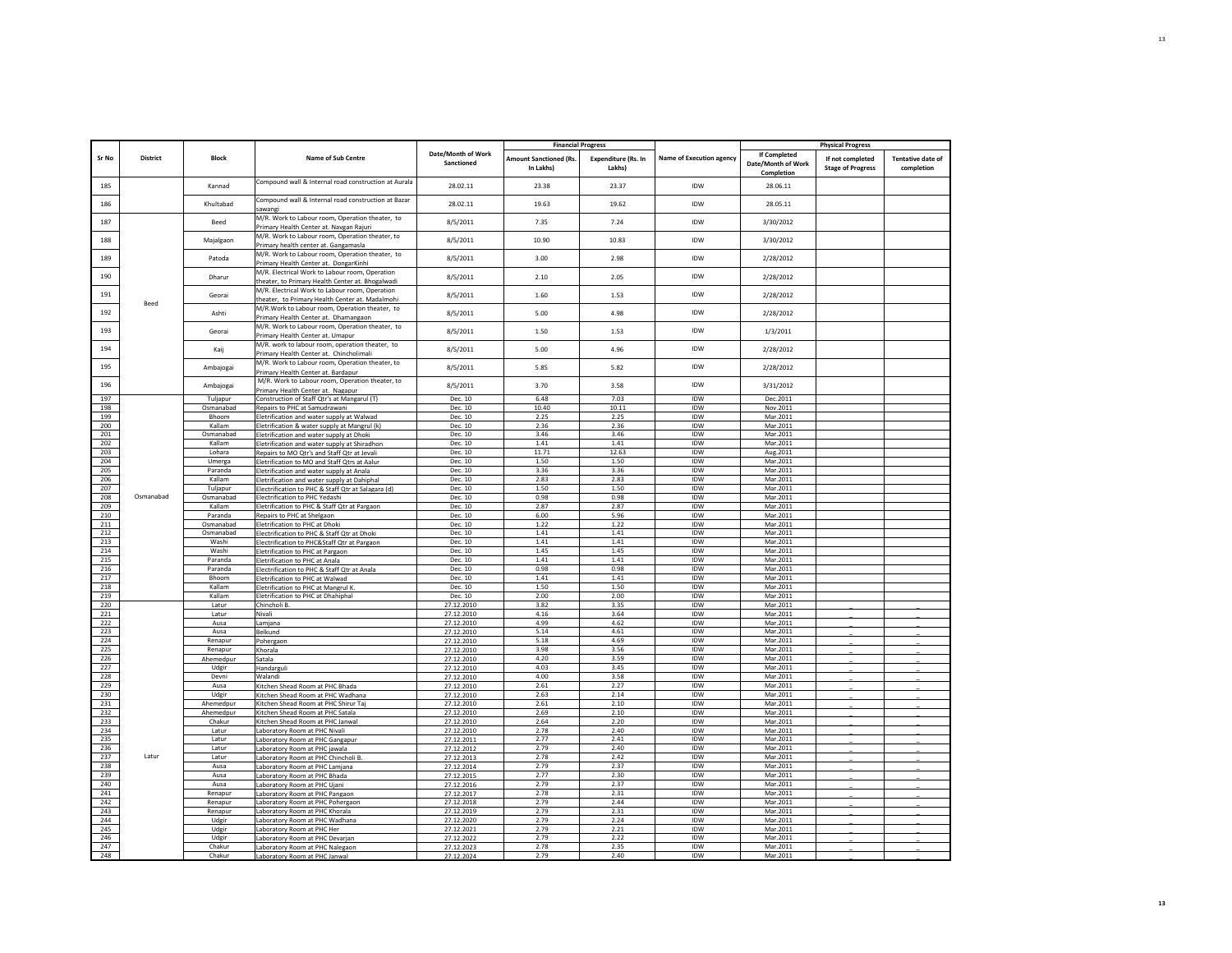|            |           |                   |                                                                                                   |                                  |                                            | <b>Financial Progress</b>            |                          |                                                         | <b>Physical Progress</b>                     |                                        |
|------------|-----------|-------------------|---------------------------------------------------------------------------------------------------|----------------------------------|--------------------------------------------|--------------------------------------|--------------------------|---------------------------------------------------------|----------------------------------------------|----------------------------------------|
| Sr No      | District  | <b>Block</b>      | Name of Sub Centre                                                                                | Date/Month of Work<br>Sanctioned | <b>Amount Sanctioned (Rs.</b><br>In Lakhs) | <b>Expenditure (Rs. In</b><br>Lakhs) | Name of Execution agency | <b>If Completed</b><br>Date/Month of Work<br>Completion | If not completed<br><b>Stage of Progress</b> | <b>Tentative date of</b><br>completion |
| 185        |           | Kannad            | Compound wall & Internal road construction at Aurala                                              | 28.02.11                         | 23.38                                      | 23.37                                | <b>IDW</b>               | 28.06.11                                                |                                              |                                        |
| 186        |           | Khultabad         | Compound wall & Internal road construction at Bazar<br>awangi                                     | 28.02.11                         | 19.63                                      | 19.62                                | <b>IDW</b>               | 28.05.11                                                |                                              |                                        |
| 187        |           | Beed              | M/R. Work to Labour room, Operation theater, to<br>Primary Health Center at. Navgan Rajuri        | 8/5/2011                         | 7.35                                       | 7.24                                 | IDW                      | 3/30/2012                                               |                                              |                                        |
| 188        |           | Majalgaon         | M/R. Work to Labour room, Operation theater, to<br>Primary health center at. Gangamasla           | 8/5/2011                         | 10.90                                      | 10.83                                | <b>IDW</b>               | 3/30/2012                                               |                                              |                                        |
| 189        |           | Patoda            | M/R. Work to Labour room, Operation theater, to<br>Primary Health Center at. DongarKinhi          | 8/5/2011                         | 3.00                                       | 2.98                                 | IDW                      | 2/28/2012                                               |                                              |                                        |
| 190        |           | Dharur            | M/R. Electrical Work to Labour room, Operation<br>heater, to Primary Health Center at. Bhogalwadi | 8/5/2011                         | 2.10                                       | 2.05                                 | <b>IDW</b>               | 2/28/2012                                               |                                              |                                        |
| 191        | Beed      | Georal            | M/R. Electrical Work to Labour room, Operation<br>theater, to Primary Health Center at, Madalmohi | 8/5/2011                         | 1.60                                       | 1.53                                 | IDW                      | 2/28/2012                                               |                                              |                                        |
| 192        |           | Ashti             | M/R. Work to Labour room, Operation theater, to<br>Primary Health Center at. Dhamangaon           | 8/5/2011                         | 5.00                                       | 4.98                                 | <b>IDW</b>               | 2/28/2012                                               |                                              |                                        |
| 193        |           | Georai            | M/R. Work to Labour room, Operation theater, to<br>Primary Health Center at. Umapur               | 8/5/2011                         | 1.50                                       | 1.53                                 | IDW                      | 1/3/2011                                                |                                              |                                        |
| 194        |           | Kaij              | M/R. work to labour room, operation theater, to<br>Primary Health Center at. Chincholimali        | 8/5/2011                         | 5.00                                       | 4.96                                 | <b>IDW</b>               | 2/28/2012                                               |                                              |                                        |
| 195        |           | Ambajogai         | M/R. Work to Labour room, Operation theater, to<br>Primary Health Center at. Bardapur             | 8/5/2011                         | 5.85                                       | 5.82                                 | IDW                      | 2/28/2012                                               |                                              |                                        |
| 196        |           | Ambajogai         | M/R. Work to Labour room, Operation theater, to<br>Primary Health Center at. Nagapur              | 8/5/2011                         | 3.70                                       | 3.58                                 | <b>IDW</b>               | 3/31/2012                                               |                                              |                                        |
| 197        |           | Tuljapur          | Construction of Staff Qtr's at Mangarul (T)                                                       | Dec. 10                          | 6.48                                       | 7.03                                 | IDW                      | Dec.2011                                                |                                              |                                        |
| 198        |           | Osmanabad         | Repairs to PHC at Samudrawani                                                                     | Dec. 10                          | 10.40                                      | 10.11                                | IDW                      | Nov.2011                                                |                                              |                                        |
| 199        |           | Bhoom             | letrification and water supply at Walwad                                                          | Dec. 10                          | 2.25                                       | 2.25                                 | IDW                      | Mar.2011                                                |                                              |                                        |
| 200        |           | Kallam            | letrification & water supply at Mangrul (k)                                                       | Dec. 10                          | 2.36                                       | 2.36                                 | IDW                      | Mar.2011                                                |                                              |                                        |
| 201        |           | Osmanabad         | Eletrification and water supply at Dhoki                                                          | Dec. 10                          | 3.46                                       | 3.46                                 | <b>IDW</b>               | Mar.2011                                                |                                              |                                        |
| 202        |           | Kallam            | Eletrification and water supply at Shiradhon                                                      | Dec. 10                          | 1.41                                       | 1.41                                 | <b>IDW</b>               | Mar.2011                                                |                                              |                                        |
| 203<br>204 | Osmanabad | Lohara            | Repairs to MO Qtr's and Staff Qtr at Jevali                                                       | Dec. 10<br>Dec. 10               | 11.71<br>1.50                              | 12.63<br>1.50                        | IDW<br><b>IDW</b>        | Aug.2011<br>Mar.2011                                    |                                              |                                        |
| 205        |           | Umerga<br>Paranda | Eletrification to MO and Staff Qtrs at Aalur                                                      | Dec. 10                          | 3.36                                       | 3.36                                 | IDW                      | Mar.2011                                                |                                              |                                        |
| 206        |           | Kallam            | Eletrification and water supply at Anala                                                          | Dec. 10                          | 2.83                                       | 2.83                                 | IDW                      | Mar.2011                                                |                                              |                                        |
| 207        |           | Tuljapur          | letrification and water supply at Dahiphal<br>Electrification to PHC & Staff Qtr at Salagara (d)  | Dec. 10                          | 1.50                                       | 1.50                                 | <b>IDW</b>               | Mar.2011                                                |                                              |                                        |
| 208        |           | Osmanabad         | Electrification to PHC Yedashi                                                                    | Dec. 10                          | 0.98                                       | 0.98                                 | <b>IDW</b>               | Mar.2011                                                |                                              |                                        |
| 209        |           | Kallam            | Eletrification to PHC & Staff Qtr at Pargaon                                                      | Dec. 10                          | 2.87                                       | 2.87                                 | IDW                      | Mar.2011                                                |                                              |                                        |
| 210        |           | Paranda           | Repairs to PHC at Shelgaon                                                                        | Dec. 10                          | 6.00                                       | 5.96                                 | <b>IDW</b>               | Mar.2011                                                |                                              |                                        |
| 211        |           | Osmanabad         | Eletrification to PHC at Dhoki                                                                    | Dec. 10                          | 1.22                                       | 1.22                                 | IDW                      | Mar.2011                                                |                                              |                                        |
| 212        |           | Osmanabad         | lectrification to PHC & Staff Qtr at Dhoki                                                        | Dec. 10                          | 1.41                                       | 1.41                                 | IDW                      | Mar.2011                                                |                                              |                                        |
| 213        |           | Washi             | lectrification to PHC&Staff Qtr at Pargaon                                                        | Dec. 10                          | 1.41                                       | 1.41                                 | IDW                      | Mar.2011                                                |                                              |                                        |
| 214        |           | Washi             | letrification to PHC at Pargaon                                                                   | Dec. 10                          | 1.45                                       | 1.45                                 | IDW                      | Mar.2011                                                |                                              |                                        |
| 215        |           | Paranda           | <b>Eletrification to PHC at Anala</b>                                                             | Dec. 10                          | 1.41                                       | 1.41                                 | <b>IDW</b>               | Mar. 2011                                               |                                              |                                        |
| 216        |           | Paranda           | Electrification to PHC & Staff Qtr at Anala                                                       | Dec. 10                          | 0.98                                       | 0.98                                 | <b>IDW</b>               | Mar.2011                                                |                                              |                                        |
| 217        |           | Bhoom             | Eletrification to PHC at Walwad                                                                   | Dec. 10                          | 1.41                                       | 1.41                                 | IDW                      | Mar.2011                                                |                                              |                                        |
| 218        |           | Kallam            | Eletrification to PHC at Mangrul K                                                                | Dec. 10                          | 1.50                                       | 1.50                                 | <b>IDW</b>               | Mar.2011                                                |                                              |                                        |
| 219        |           | Kallam            | Eletrification to PHC at Dhahiphal                                                                | Dec. 10                          | 2.00                                       | 2.00                                 | IDW                      | Mar.2011                                                |                                              |                                        |
| 220        |           | Latur             | Chincholi B.                                                                                      | 27.12.2010                       | 3.82                                       | 3.35<br>3.64                         | IDW<br><b>IDW</b>        | Mar.2011                                                |                                              |                                        |
| 221        |           | Latur             | Nivali                                                                                            | 27.12.2010                       | 4.16<br>4.99                               | 4.62                                 | IDW                      | Mar.2011                                                |                                              |                                        |
| 222<br>223 |           | Ausa<br>Ausa      | Lamjana<br>Belkund                                                                                | 27.12.2010<br>27.12.2010         | 5.14                                       | 4.61                                 | IDW                      | Mar.2011<br>Mar.2011                                    |                                              |                                        |
| 224        |           | Renapur           | Pohergaon                                                                                         | 27.12.2010                       | 5.18                                       | 4.69                                 | IDW                      | Mar.2011                                                |                                              |                                        |
| 225        |           | Renapur           | Khorala                                                                                           | 27.12.2010                       | 3.98                                       | 3.56                                 | IDW                      | Mar.2011                                                |                                              |                                        |
| 226        |           | Ahemedpur         | Satala                                                                                            | 27.12.2010                       | 4.20                                       | 3.59                                 | IDW                      | Mar.2011                                                |                                              |                                        |
| 227        |           | Udgir             | <b>Handarguli</b>                                                                                 | 27.12.2010                       | 4.03                                       | 3.45                                 | <b>IDW</b>               | Mar.2011                                                |                                              |                                        |
| 228        |           | Devni             | Walandi                                                                                           | 27.12.2010                       | 4.00                                       | 3.58                                 | IDW                      | Mar.2011                                                |                                              |                                        |
| 229        |           | Ausa              | Kitchen Shead Room at PHC Bhada                                                                   | 27.12.2010                       | 2.61                                       | 2.27                                 | <b>IDW</b>               | Mar. 2011                                               |                                              |                                        |
| 230        |           | Udgir             | Kitchen Shead Room at PHC Wadhana                                                                 | 27.12.2010                       | 2.63                                       | 2.14                                 | <b>IDW</b>               | Mar.2011                                                |                                              |                                        |
| 231        |           | Ahemedpur         | Kitchen Shead Room at PHC Shirur Taj                                                              | 27.12.2010                       | 2.61                                       | 2.10                                 | <b>IDW</b>               | Mar.2011                                                |                                              |                                        |
| 232        |           | Ahemedpur         | Kitchen Shead Room at PHC Satala                                                                  | 27.12.2010                       | 2.69                                       | 2.10                                 | <b>IDW</b>               | Mar.2011                                                |                                              |                                        |
| 233        |           | Chakur            | Kitchen Shead Room at PHC Janwal                                                                  | 27.12.2010                       | 2.64                                       | 2.20                                 | <b>IDW</b>               | Mar.2011                                                |                                              |                                        |
| 234        |           | Latur             | Laboratory Room at PHC Nivali                                                                     | 27.12.2010                       | 2.78                                       | 2.40                                 | IDW                      | Mar.2011                                                |                                              |                                        |
| 235        |           | Latur             | aboratory Room at PHC Gangapur                                                                    | 27.12.2011                       | 2.77                                       | 2.41                                 | IDW                      | Mar.2011                                                |                                              |                                        |
| 236<br>237 | Latur     | Latur<br>Latur    | aboratory Room at PHC jawala                                                                      | 27.12.2012                       | 2.79<br>2.78                               | 2.40<br>2.42                         | IDW<br>IDW               | Mar.2011<br>Mar.2011                                    |                                              |                                        |
| 238        |           | Ausa              | Laboratory Room at PHC Chincholi E<br>Laboratory Room at PHC Lamjana                              | 27.12.2013<br>27.12.2014         | 2.79                                       | 2.37                                 | IDW                      | Mar.2011                                                |                                              |                                        |
| 239        |           | Ausa              | Laboratory Room at PHC Bhada                                                                      | 27.12.2015                       | 2.77                                       | 2.30                                 | <b>IDW</b>               | Mar.2011                                                |                                              |                                        |
| 240        |           | Ausa              | Laboratory Room at PHC Ujani                                                                      | 27.12.2016                       | 2.79                                       | 2.37                                 | <b>IDW</b>               | Mar.2011                                                |                                              |                                        |
| 241        |           | Renapur           | aboratory Room at PHC Pangaon                                                                     | 27.12.2017                       | 2.78                                       | 2.31                                 | <b>IDW</b>               | Mar.2011                                                |                                              |                                        |
| 242        |           | Renapur           | aboratory Room at PHC Pohergaon                                                                   | 27.12.2018                       | 2.79                                       | 2.44                                 | IDW                      | Mar.2011                                                |                                              |                                        |
| 243        |           | Renapur           | Laboratory Room at PHC Khorala                                                                    | 27.12.2019                       | 2.79                                       | 2.31                                 | <b>IDW</b>               | Mar.2011                                                |                                              |                                        |
| 244        |           | Udgir             | Laboratory Room at PHC Wadhana                                                                    | 27.12.2020                       | 2.79                                       | 2.24                                 | <b>IDW</b>               | Mar.2011                                                |                                              |                                        |
| 245        |           | Udgir             | Laboratory Room at PHC Her                                                                        | 27.12.2021                       | 2.79                                       | 2.21                                 | <b>IDW</b>               | Mar.2011                                                |                                              |                                        |
| 246        |           | Udgir             | Laboratory Room at PHC Devarjan                                                                   | 27.12.2022                       | 2.79                                       | 2.22                                 | <b>IDW</b>               | Mar.2011                                                |                                              |                                        |
| 247        |           | Chakur            | Laboratory Room at PHC Nalegaon                                                                   | 27.12.2023                       | 2.78                                       | 2.35                                 | IDW                      | Mar.2011                                                |                                              |                                        |
| 248        |           | Chakur            | Laboratory Room at PHC Janwal                                                                     | 27.12.2024                       | 2.79                                       | 2.40                                 | <b>IDW</b>               | Mar.2011                                                |                                              |                                        |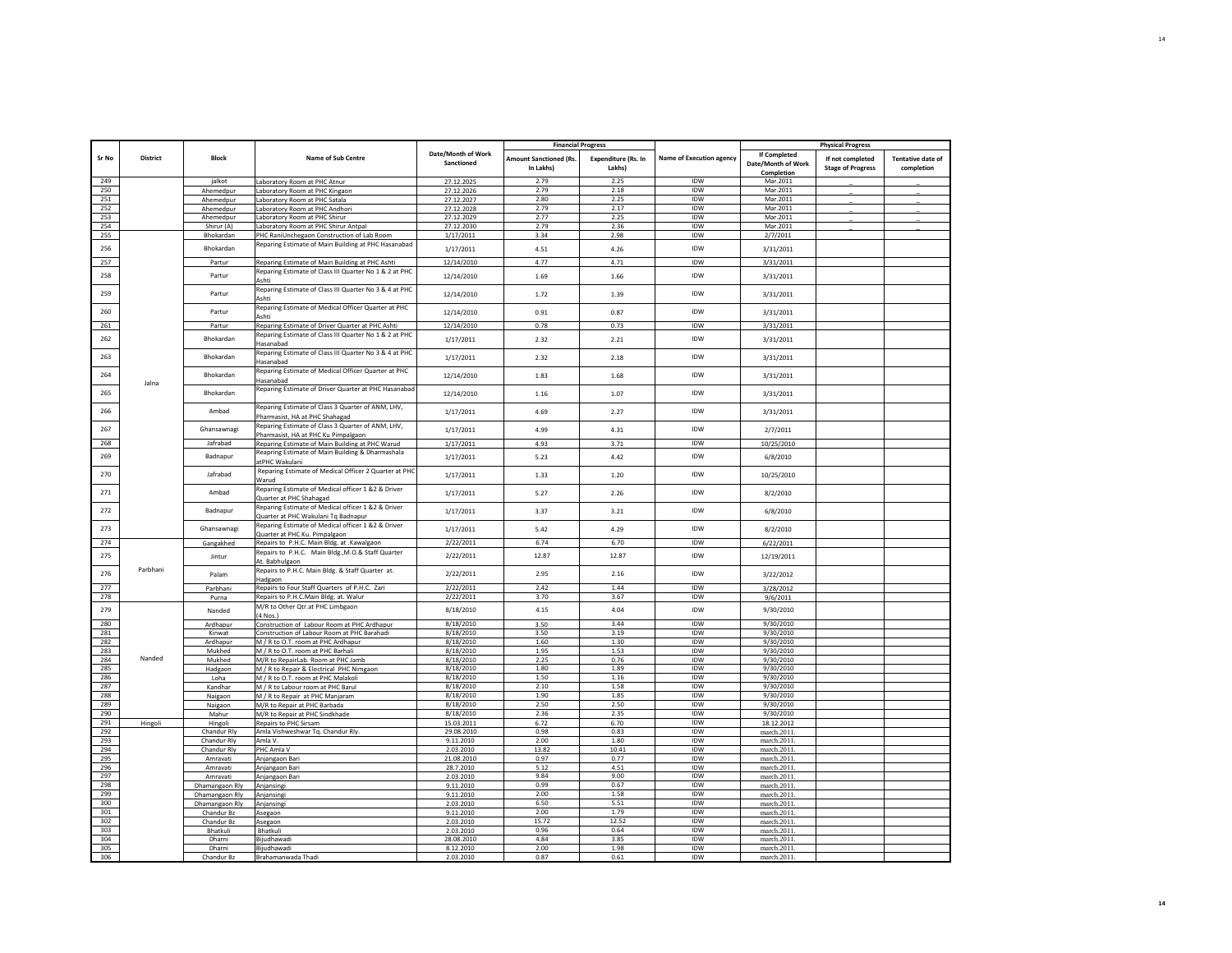|              |                 |                      |                                                                                           |                                  | <b>Financial Progress</b>                  |                                      |                                 |                                                  | <b>Physical Progress</b>                     |                                        |
|--------------|-----------------|----------------------|-------------------------------------------------------------------------------------------|----------------------------------|--------------------------------------------|--------------------------------------|---------------------------------|--------------------------------------------------|----------------------------------------------|----------------------------------------|
| <b>Sr No</b> | <b>District</b> | <b>Block</b>         | <b>Name of Sub Centre</b>                                                                 | Date/Month of Work<br>Sanctioned | <b>Amount Sanctioned (Rs.</b><br>In Lakhs) | <b>Expenditure (Rs. In</b><br>Lakhsl | <b>Name of Execution agency</b> | If Completed<br>Date/Month of Work<br>Completion | If not completed<br><b>Stage of Progress</b> | <b>Tentative date of</b><br>completion |
| 249          |                 | jalkot               | Laboratory Room at PHC Atnur                                                              | 27.12.2025                       | 2.79                                       | 2.25                                 | IDW                             | Mar.2011                                         |                                              |                                        |
| 250          |                 | Ahemedpur            | Laboratory Room at PHC Kingaon                                                            | 27.12.2026                       | 2.79                                       | 2.18                                 | IDW                             | Mar.2011                                         |                                              |                                        |
| 251          |                 | Ahemedpur            | aboratory Room at PHC Satala                                                              | 27.12.2027                       | 2.80                                       | 2.25                                 | <b>IDW</b>                      | Mar.2011                                         |                                              |                                        |
| 252          |                 | Ahemedpur            | Laboratory Room at PHC Andhori                                                            | 27.12.2028                       | 2.79                                       | 2.17                                 | IDW                             | Mar.2011                                         |                                              |                                        |
| 253          |                 | Ahemedpur            | Laboratory Room at PHC Shirur                                                             | 27.12.2029                       | 2.77                                       | 2.25                                 | <b>IDW</b>                      | Mar.2011                                         |                                              |                                        |
| 254          |                 | Shirur (A)           | Laboratory Room at PHC Shirur Antpal                                                      | 27.12.2030                       | 2.79                                       | 2.36                                 | <b>IDW</b>                      | Mar.2011                                         |                                              |                                        |
| 255          |                 | Bhokardan            | PHC RaniUnchegaon Construction of Lab Room                                                | 1/17/2011                        | 3.34                                       | 2.98                                 | IDW                             | 2/7/2011                                         |                                              |                                        |
| 256          |                 | Bhokardan            | Reparing Estimate of Main Building at PHC Hasanabad                                       | 1/17/2011                        | 4.51                                       | 4.26                                 | IDW                             | 3/31/2011                                        |                                              |                                        |
| 257          |                 | Partur               | Reparing Estimate of Main Building at PHC Ashti                                           | 12/14/2010                       | 4.77                                       | 4.71                                 | IDW                             | 3/31/2011                                        |                                              |                                        |
| 258          |                 | Partur               | Reparing Estimate of Class III Quarter No 1 & 2 at PHC<br>Ashti                           | 12/14/2010                       | 1.69                                       | 1.66                                 | IDW                             | 3/31/2011                                        |                                              |                                        |
| 259          |                 | Partur               | Reparing Estimate of Class III Quarter No 3 & 4 at PHC<br>Ashti                           | 12/14/2010                       | 1.72                                       | 1.39                                 | IDW                             | 3/31/2011                                        |                                              |                                        |
| 260          |                 | Partur               | Reparing Estimate of Medical Officer Quarter at PHC<br>Ashti                              | 12/14/2010                       | 0.91                                       | 0.87                                 | IDW                             | 3/31/2011                                        |                                              |                                        |
| 261          |                 | Partur               | Reparing Estimate of Driver Quarter at PHC Ashti                                          | 12/14/2010                       | 0.78                                       | 0.73                                 | IDW                             | 3/31/2011                                        |                                              |                                        |
| 262          |                 | Bhokardan            | Reparing Estimate of Class III Quarter No 1 & 2 at PHC<br><b>Hasanabad</b>                | 1/17/2011                        | 2.32                                       | 2.21                                 | IDW                             | 3/31/2011                                        |                                              |                                        |
| 263          |                 | Bhokardan            | Reparing Estimate of Class III Quarter No 3 & 4 at PHC<br>lasanabad                       | 1/17/2011                        | 2.32                                       | 2.18                                 | <b>IDW</b>                      | 3/31/2011                                        |                                              |                                        |
| 264          |                 | Bhokardan            | Reparing Estimate of Medical Officer Quarter at PHC<br>Hasanabad                          | 12/14/2010                       | 1.83                                       | 1.68                                 | IDW                             | 3/31/2011                                        |                                              |                                        |
| 265          | Jalna           | Bhokardan            | Reparing Estimate of Driver Quarter at PHC Hasanabad                                      | 12/14/2010                       | 1.16                                       | 1.07                                 | IDW                             | 3/31/2011                                        |                                              |                                        |
| 266          |                 | Ambad                | Reparing Estimate of Class 3 Quarter of ANM, LHV,<br>Pharmasist, HA at PHC Shahagad       | 1/17/2011                        | 4.69                                       | 2.27                                 | IDW                             | 3/31/2011                                        |                                              |                                        |
| 267          |                 | Ghansawnagi          | Reparing Estimate of Class 3 Quarter of ANM, LHV,                                         | 1/17/2011                        | 4.99                                       | 4.31                                 | <b>IDW</b>                      | 2/7/2011                                         |                                              |                                        |
| 268          |                 | Jafrabad             | Pharmasist, HA at PHC Ku Pimpalgaon<br>Reparing Estimate of Main Building at PHC Warud    | 1/17/2011                        | 4.93                                       | 3.71                                 | IDW                             | 10/25/2010                                       |                                              |                                        |
| 269          |                 | Badnapur             | Reapring Estimate of Main Building & Dharmashala                                          | 1/17/2011                        | 5.23                                       | 4.42                                 | IDW                             | 6/8/2010                                         |                                              |                                        |
| 270          |                 | Jafrabad             | atPHC Wakulani<br>Reparing Estimate of Medical Officer 2 Quarter at PHC                   | 1/17/2011                        | 1.33                                       | 1.20                                 | <b>IDW</b>                      | 10/25/2010                                       |                                              |                                        |
| 271          |                 | Ambad                | Narud<br>Reparing Estimate of Medical officer 1 &2 & Driver                               | 1/17/2011                        | 5.27                                       | 2.26                                 | IDW                             | 8/2/2010                                         |                                              |                                        |
|              |                 |                      | Quarter at PHC Shahagad<br>Reparing Estimate of Medical officer 1 &2 & Driver             |                                  |                                            |                                      |                                 |                                                  |                                              |                                        |
| 272          |                 | Badnapur             | Quarter at PHC Wakulani Tq Badnapur<br>Reparing Estimate of Medical officer 1 &2 & Driver | 1/17/2011                        | 3.37                                       | 3.21                                 | IDW                             | 6/8/2010                                         |                                              |                                        |
| 273          |                 | Ghansawnagi          | Quarter at PHC Ku. Pimpalgaon                                                             | 1/17/2011                        | 5.42                                       | 4.29                                 | IDW<br>IDW                      | 8/2/2010                                         |                                              |                                        |
| 274          |                 | Gangakhed            | Repairs to P.H.C. Main Bldg. at .Kawalgaon                                                | 2/22/2011                        | 6.74                                       | 6.70                                 |                                 | 6/22/2011                                        |                                              |                                        |
| 275          |                 | Jintur               | Repairs to P.H.C. Main Bldg., M.O.& Staff Quarter<br>At. Babhulgaon                       | 2/22/2011                        | 12.87                                      | 12.87                                | IDW                             | 12/19/2011                                       |                                              |                                        |
| 276          | Parbhani        | Palam                | Repairs to P.H.C. Main Bldg. & Staff Quarter at.<br>Hadgaon                               | 2/22/2011                        | 2.95                                       | 2.16                                 | IDW                             | 3/22/2012                                        |                                              |                                        |
| 277          |                 | Parbhani             | Repairs to Four Staff Quarters of P.H.C. Zari                                             | 2/22/2011                        | 2.42                                       | 1.44                                 | IDW                             | 3/28/2012                                        |                                              |                                        |
| 278          |                 | Purna                | Repairs to P.H.C.Main Bldg. at. Walur                                                     | 2/22/2011                        | 3.70                                       | 3.67                                 | IDW                             | 9/6/2011                                         |                                              |                                        |
| 279          |                 | Nanded               | M/R to Other Qtr.at PHC Limbgaon<br>4 Nos.)                                               | 8/18/2010                        | 4.15                                       | 4.04                                 | IDW                             | 9/30/2010                                        |                                              |                                        |
| 280          |                 | Ardhapur             | Construction of Labour Room at PHC Ardhapur                                               | 8/18/2010                        | 3.50                                       | 3.44                                 | IDW                             | 9/30/2010                                        |                                              |                                        |
| 281          |                 | Kinwat               | Construction of Labour Room at PHC Barahadi                                               | 8/18/2010                        | 3.50                                       | 3.19                                 | IDW                             | 9/30/2010                                        |                                              |                                        |
| 282          |                 | Ardhapur             | M / R to O.T. room at PHC Ardhapur                                                        | 8/18/2010                        | 1.60                                       | 1.30                                 | IDW                             | 9/30/2010                                        |                                              |                                        |
| 283<br>284   | Nanded          | Mukhed               | M / R to O.T. room at PHC Barhali                                                         | 8/18/2010<br>8/18/2010           | 1.95<br>2.25                               | 1.53<br>0.76                         | IDW<br><b>IDW</b>               | 9/30/2010<br>9/30/2010                           |                                              |                                        |
| 285          |                 | Mukhed<br>Hadgaon    | M/R to RepairLab. Room at PHC Jamb<br>M / R to Repair & Electrical PHC Nimgaon            | 8/18/2010                        | 1.80                                       | 1.89                                 | <b>IDW</b>                      | 9/30/2010                                        |                                              |                                        |
| 286          |                 | Loha                 | M / R to O.T. room at PHC Malakol                                                         | 8/18/2010                        | 1.50                                       | 1.16                                 | IDW                             | 9/30/2010                                        |                                              |                                        |
| 287          |                 | Kandhar              | M / R to Labour room at PHC Barul                                                         | 8/18/2010                        | 2.10                                       | 1.58                                 | <b>IDW</b>                      | 9/30/2010                                        |                                              |                                        |
| 288          |                 | Naigaon              | M / R to Repair at PHC Manjaram                                                           | 8/18/2010                        | 1.90                                       | 1.85                                 | IDW                             | 9/30/2010                                        |                                              |                                        |
| 289          |                 | Naigaon              | M/R to Repair at PHC Barbada                                                              | 8/18/2010                        | 2.50                                       | 2.50                                 | IDW                             | 9/30/2010                                        |                                              |                                        |
| 290          |                 | Mahur                | M/R to Repair at PHC Sindkhade                                                            | 8/18/2010                        | 2.36                                       | 2.35                                 | <b>IDW</b>                      | 9/30/2010                                        |                                              |                                        |
| 291          | Hingoli         | Hingoli              | Repairs to PHC Sirsam                                                                     | 15.03.2011                       | 6.72                                       | 6.70                                 | <b>IDW</b>                      | 18.12.2012                                       |                                              |                                        |
| 292          |                 | Chandur Rly          | Amla Vishweshwar Tq. Chandur Rly.                                                         | 29.08.2010                       | 0.98                                       | 0.83                                 | IDW                             | march.2011.                                      |                                              |                                        |
| 293          |                 | Chandur Rly          | Amla V.                                                                                   | 9.11.2010                        | 2.00                                       | 1.80                                 | IDW                             | march.2011.                                      |                                              |                                        |
| 294<br>295   |                 | Chandur Rly          | PHC Amla V                                                                                | 2.03.2010                        | 13.82<br>0.97                              | 10.41<br>0.77                        | IDW<br>IDW                      | march.2011.                                      |                                              |                                        |
| 296          |                 | Amravati<br>Amravati | Anjangaon Bari<br>Aniangaon Bari                                                          | 21.08.2010<br>28.7.2010          | 5.12                                       | 4.51                                 | IDW                             | march.2011<br>march.2011.                        |                                              |                                        |
| 297          |                 | Amravati             | Anjangaon Bari                                                                            | 2.03.2010                        | 9.84                                       | 9.00                                 | IDW                             | march.2011.                                      |                                              |                                        |
| 298          |                 | Dhamangaon Rly       | Anjansingi                                                                                | 9.11.2010                        | 0.99                                       | 0.67                                 | <b>IDW</b>                      | march.2011.                                      |                                              |                                        |
| 299          |                 | Dhamangaon Rly       | Anjansing                                                                                 | 9.11.2010                        | 2.00                                       | 1.58                                 | IDW                             | march.2011.                                      |                                              |                                        |
| 300          |                 | Dhamangaon Rly       | Aniansing                                                                                 | 2.03.2010                        | 6.50                                       | 5.51                                 | IDW                             | march.2011.                                      |                                              |                                        |
| 301          |                 | Chandur Bz           | Asegaon                                                                                   | 9.11.2010                        | 2.00                                       | 1.79                                 | <b>IDW</b>                      | march.2011                                       |                                              |                                        |
| 302          |                 | Chandur Bz           | Asegaon                                                                                   | 2.03.2010                        | 15.72                                      | 12.52                                | IDW                             | march. 2011                                      |                                              |                                        |
| 303          |                 | Bhatkuli             | Bhatkuli                                                                                  | 2.03.2010                        | 0.96                                       | 0.64                                 | <b>IDW</b>                      | march.2011                                       |                                              |                                        |
| 304          |                 | Dharni               | Bijudhawadi                                                                               | 28.08.2010                       | 4.84                                       | 3.85                                 | <b>IDW</b>                      | march.2011                                       |                                              |                                        |
| 305<br>306   |                 | Dharni               | Bijudhawadi                                                                               | 8.12.2010<br>2.03.2010           | 2.00<br>0.87                               | 1.98<br>0.61                         | IDW<br><b>IDW</b>               | march.2011.<br>march 2011                        |                                              |                                        |
|              |                 | Chandur Bz           | Brahamanwada Thadi                                                                        |                                  |                                            |                                      |                                 |                                                  |                                              |                                        |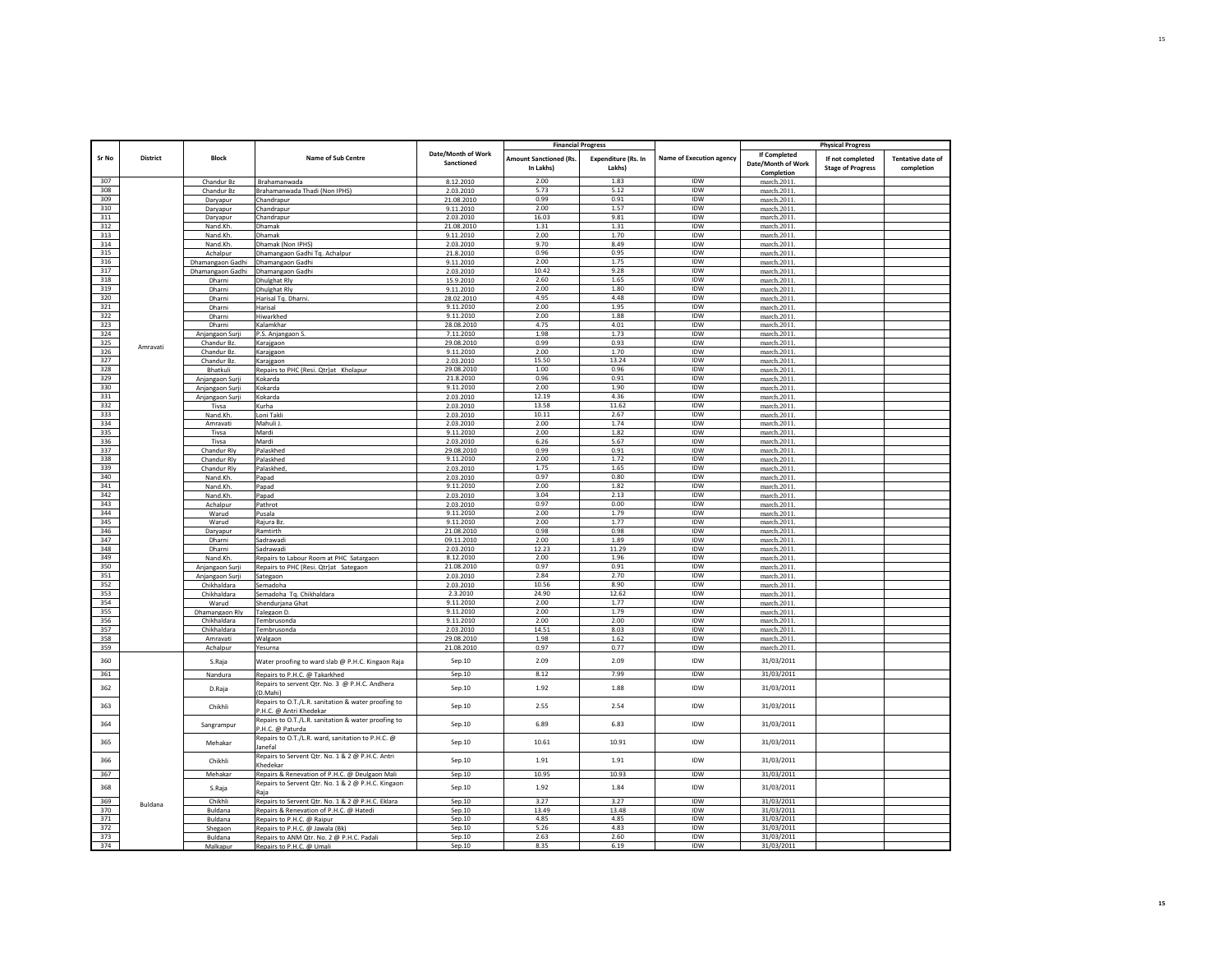|            |                 |                          |                                                                                |                                  | <b>Financial Progress</b>                  |                                      |                                 |                                           | <b>Physical Progress</b>                     |                                        |
|------------|-----------------|--------------------------|--------------------------------------------------------------------------------|----------------------------------|--------------------------------------------|--------------------------------------|---------------------------------|-------------------------------------------|----------------------------------------------|----------------------------------------|
| Sr No      | <b>District</b> | <b>Block</b>             | Name of Sub Centre                                                             | Date/Month of Work<br>Sanctioned | <b>Amount Sanctioned (Rs.</b><br>In Lakhs) | <b>Expenditure (Rs. In</b><br>Lakhs) | <b>Name of Execution agency</b> | <b>If Completed</b><br>Date/Month of Work | If not completed<br><b>Stage of Progress</b> | <b>Tentative date of</b><br>completion |
|            |                 |                          |                                                                                |                                  |                                            |                                      |                                 | Completion                                |                                              |                                        |
| 307<br>308 |                 | Chandur Bz               | Brahamanwada                                                                   | 8.12.2010                        | 2.00<br>5.73                               | 1.83<br>5.12                         | IDW<br>IDW                      | march.2011                                |                                              |                                        |
| 309        |                 | Chandur Bz               | Brahamanwada Thadi (Non IPHS)                                                  | 2.03.2010                        | 0.99                                       | 0.91                                 | IDW                             | march.2011                                |                                              |                                        |
| 310        |                 | Daryapur                 | Chandrapur<br>Chandrapur                                                       | 21.08.2010<br>9.11.2010          | 2.00                                       | 1.57                                 | IDW                             | march.2011<br>march.2011                  |                                              |                                        |
| 311        |                 | Daryapur<br>Daryapur     | Chandrapur                                                                     | 2.03.2010                        | 16.03                                      | 9.81                                 | IDW                             | march.2011                                |                                              |                                        |
| 312        |                 | Nand.Kh.                 | Dhamak                                                                         | 21.08.2010                       | 1.31                                       | 1.31                                 | IDW                             | march.2011                                |                                              |                                        |
| 313        |                 | Nand.Kh.                 | Dhamak                                                                         | 9.11.2010                        | 2.00                                       | 1.70                                 | IDW                             | march.2011                                |                                              |                                        |
| 314        |                 | Nand.Kh.                 | Dhamak (Non IPHS)                                                              | 2.03.2010                        | 9.70                                       | 8.49                                 | IDW                             | march.2011                                |                                              |                                        |
| 315        |                 | Achalpur                 | Dhamangaon Gadhi Tq. Achalpur                                                  | 21.8.2010                        | 0.96                                       | 0.95                                 | IDW                             | march.2011                                |                                              |                                        |
| 316        |                 | Dhamangaon Gadhi         | Dhamangaon Gadhi                                                               | 9.11.2010                        | 2.00                                       | 1.75                                 | IDW                             | march.2011                                |                                              |                                        |
| 317        |                 | Dhamangaon Gadhi         | Dhamangaon Gadhi                                                               | 2.03.2010                        | 10.42                                      | 9.28                                 | IDW                             | march.2011                                |                                              |                                        |
| 318<br>319 |                 | Dharni                   | <b>Dhulghat Rly</b>                                                            | 15.9.2010                        | 2.60<br>2.00                               | 1.65<br>1.80                         | IDW<br><b>IDW</b>               | march.2011<br>march.2011                  |                                              |                                        |
| 320        |                 | Dharni<br>Dharni         | Dhulghat Rly<br>Harisal Tq. Dharni.                                            | 9.11.2010<br>28.02.2010          | 4.95                                       | 4.48                                 | IDW                             | march.2011                                |                                              |                                        |
| 321        |                 | Dharni                   | Harisal                                                                        | 9.11.2010                        | 2.00                                       | 1.95                                 | IDW                             | march.2011                                |                                              |                                        |
| 322        |                 | Dharni                   | Hiwarkhed                                                                      | 9.11.2010                        | 2.00                                       | 1.88                                 | <b>IDW</b>                      | march.2011                                |                                              |                                        |
| 323        |                 | Dharni                   | Kalamkhar                                                                      | 28.08.2010                       | 4.75                                       | 4.01                                 | IDW                             | march.2011                                |                                              |                                        |
| 324        |                 | Anjangaon Surji          | P.S. Anjangaon S.                                                              | 7.11.2010                        | 1.98                                       | 1.73                                 | IDW                             | march.2011                                |                                              |                                        |
| 325        | Amravati        | Chandur Bz.              | Karajgaon                                                                      | 29.08.2010                       | 0.99                                       | 0.93                                 | IDW                             | march.2011                                |                                              |                                        |
| 326        |                 | Chandur Bz.              | Karajgaon                                                                      | 9.11.2010                        | 2.00                                       | 1.70                                 | IDW                             | march.2011                                |                                              |                                        |
| 327        |                 | Chandur Bz.              | Karajgaon                                                                      | 2.03.2010                        | 15.50                                      | 13.24                                | <b>IDW</b>                      | march.2011                                |                                              |                                        |
| 328        |                 | Bhatkuli                 | Repairs to PHC (Resi. Qtr)at Kholapur                                          | 29.08.2010                       | 1.00                                       | 0.96                                 | <b>IDW</b>                      | march.2011                                |                                              |                                        |
| 329<br>330 |                 | Anjangaon Surji          | Kokarda                                                                        | 21.8.2010<br>9.11.2010           | 0.96<br>2.00                               | 0.91<br>1.90                         | IDW<br>IDW                      | march.2011                                |                                              |                                        |
| 331        |                 | Anjangaon Surji          | Kokarda                                                                        |                                  | 12.19                                      | 4.36                                 | IDW                             | march.2011                                |                                              |                                        |
| 332        |                 | Anjangaon Surji<br>Tivsa | Kokarda<br>Kurha                                                               | 2.03.2010<br>2.03.2010           | 13.58                                      | 11.62                                | <b>IDW</b>                      | march.2011<br>march.2011                  |                                              |                                        |
| 333        |                 | Nand.Kh                  | Loni Takli                                                                     | 2.03.2010                        | 10.11                                      | 2.67                                 | IDW                             | march 2011                                |                                              |                                        |
| 334        |                 | Amravati                 | Mahuli J.                                                                      | 2.03.2010                        | 2.00                                       | 1.74                                 | IDW                             | march.2011                                |                                              |                                        |
| 335        |                 | Tivsa                    | Mardi                                                                          | 9.11.2010                        | 2.00                                       | 1.82                                 | IDW                             | march.2011                                |                                              |                                        |
| 336        |                 | Tivsa                    | Mardi                                                                          | 2.03.2010                        | 6.26                                       | 5.67                                 | <b>IDW</b>                      | march.2011                                |                                              |                                        |
| 337        |                 | Chandur Rly              | Palaskhed                                                                      | 29.08.2010                       | 0.99                                       | 0.91                                 | IDW                             | march.2011                                |                                              |                                        |
| 338        |                 | Chandur Rly              | Palaskhed                                                                      | 9.11.2010                        | 2.00                                       | 1.72                                 | <b>IDW</b>                      | march.2011                                |                                              |                                        |
| 339        |                 | Chandur Rlv              | Palaskhed                                                                      | 2.03.2010                        | 1.75                                       | 1.65                                 | IDW                             | march.2011                                |                                              |                                        |
| 340        |                 | Nand.Kh.                 | Papad                                                                          | 2.03.2010                        | 0.97                                       | 0.80                                 | <b>IDW</b>                      | march.2011                                |                                              |                                        |
| 341<br>342 |                 | Nand, Kh                 | Papad                                                                          | 9.11.2010                        | 2.00<br>3.04                               | 1.82<br>2.13                         | IDW<br>IDW                      | march.2011                                |                                              |                                        |
| 343        |                 | Nand.Kh.<br>Achalpur     | Papad<br>Pathrot                                                               | 2.03.2010<br>2.03.2010           | 0.97                                       | 0.00                                 | IDW                             | march.2011<br>march.2011                  |                                              |                                        |
| 344        |                 | Warud                    | Pusala                                                                         | 9.11.2010                        | 2.00                                       | 1.79                                 | IDW                             | march.2011                                |                                              |                                        |
| 345        |                 | Warud                    | Rajura Bz                                                                      | 9.11.2010                        | 2.00                                       | 1.77                                 | IDW                             | march.2011                                |                                              |                                        |
| 346        |                 | Daryapur                 | Ramtirth                                                                       | 21.08.2010                       | 0.98                                       | 0.98                                 | IDW                             | march.2011                                |                                              |                                        |
| 347        |                 | Dharni                   | Sadrawadi                                                                      | 09.11.2010                       | 2.00                                       | 1.89                                 | IDW                             | march.2011                                |                                              |                                        |
| 348        |                 | Dharni                   | Sadrawadi                                                                      | 2.03.2010                        | 12.23                                      | 11.29                                | IDW                             | march.2011                                |                                              |                                        |
| 349        |                 | Nand.Kh.                 | Repairs to Labour Room at PHC Satargaon                                        | 8.12.2010                        | 2.00                                       | 1.96                                 | <b>IDW</b>                      | march.2011                                |                                              |                                        |
| 350        |                 | Anjangaon Surji          | Repairs to PHC (Resi. Qtr)at Sategaon                                          | 21.08.2010                       | 0.97                                       | 0.91                                 | IDW                             | march.2011                                |                                              |                                        |
| 351        |                 | Anjangaon Surji          | Sategaon                                                                       | 2.03.2010                        | 2.84                                       | 2.70                                 | IDW                             | march.2011                                |                                              |                                        |
| 352        |                 | Chikhaldara              | Semadoha                                                                       | 2.03.2010                        | 10.56                                      | 8.90                                 | IDW                             | march.2011                                |                                              |                                        |
| 353<br>354 |                 | Chikhaldara              | Semadoha Tg. Chikhaldara                                                       | 2.3.2010<br>9.11.2010            | 24.90<br>2.00                              | 12.62<br>1.77                        | <b>IDW</b><br><b>IDW</b>        | march.2011                                |                                              |                                        |
| 355        |                 | Warud<br>Dhamangaon Rly  | Shendurjana Ghat<br>Talegaon D.                                                | 9.11.2010                        | 2.00                                       | 1.79                                 | <b>IDW</b>                      | march.2011<br>march.2011                  |                                              |                                        |
| 356        |                 | Chikhaldara              | Tembrusonda                                                                    | 9.11.2010                        | 2.00                                       | 2.00                                 | IDW                             | march.2011                                |                                              |                                        |
| 357        |                 | Chikhaldara              | Tembrusonda                                                                    | 2.03.2010                        | 14.51                                      | 8.03                                 | <b>IDW</b>                      | march.2011                                |                                              |                                        |
| 358        |                 | Amravati                 | Walgaon                                                                        | 29.08.2010                       | 1.98                                       | 1.62                                 | IDW                             | march.2011                                |                                              |                                        |
| 359        |                 | Achalpur                 | Yesurna                                                                        | 21.08.2010                       | 0.97                                       | 0.77                                 | IDW                             | march.2011                                |                                              |                                        |
| 360        |                 | S.Raja                   | Water proofing to ward slab @ P.H.C. Kingaon Raja                              | Sep.10                           | 2.09                                       | 2.09                                 | IDW                             | 31/03/2011                                |                                              |                                        |
| 361        |                 | Nandura                  | Repairs to P.H.C. @ Takarkhed                                                  | Sep.10                           | 8.12                                       | 7.99                                 | IDW                             | 31/03/2011                                |                                              |                                        |
| 362        |                 | D.Raja                   | Repairs to servent Qtr. No. 3 @ P.H.C. Andhera                                 | Sep.10                           | 1.92                                       | 1.88                                 | IDW                             | 31/03/2011                                |                                              |                                        |
|            |                 |                          | (D.Mahi)<br>Repairs to O.T./L.R. sanitation & water proofing to                |                                  |                                            |                                      | <b>IDW</b>                      |                                           |                                              |                                        |
| 363        |                 | Chikhli                  | P.H.C. @ Antri Khedekar<br>Repairs to O.T./L.R. sanitation & water proofing to | Sep.10                           | 2.55                                       | 2.54                                 |                                 | 31/03/2011                                |                                              |                                        |
| 364        |                 | Sangrampur               | P.H.C. @ Paturda                                                               | Sep.10                           | 6.89                                       | 6.83                                 | IDW                             | 31/03/2011                                |                                              |                                        |
| 365        |                 | Mehakar                  | Repairs to O.T./L.R. ward, sanitation to P.H.C. @<br>anefal                    | Sep.10                           | 10.61                                      | 10.91                                | IDW                             | 31/03/2011                                |                                              |                                        |
| 366        |                 | Chikhli                  | Repairs to Servent Qtr. No. 1 & 2 @ P.H.C. Antri<br>Khedekar                   | Sep.10                           | 1.91                                       | 1.91                                 | <b>IDW</b>                      | 31/03/2011                                |                                              |                                        |
| 367        |                 | Mehakar                  | Repairs & Renevation of P.H.C. @ Deulgaon Mali                                 | Sep.10                           | 10.95                                      | 10.93                                | <b>IDW</b>                      | 31/03/2011                                |                                              |                                        |
| 368        |                 | S.Raja                   | Repairs to Servent Qtr. No. 1 & 2 @ P.H.C. Kingaon<br>Raia                     | Sep.10                           | 1.92                                       | 1.84                                 | IDW                             | 31/03/2011                                |                                              |                                        |
| 369        | Buldana         | Chikhli                  | Repairs to Servent Qtr. No. 1 & 2 @ P.H.C. Eklara                              | Sep.10                           | 3.27                                       | 3.27                                 | IDW                             | 31/03/2011                                |                                              |                                        |
| 370        |                 | Buldana                  | Repairs & Renevation of P.H.C. @ Hatedi                                        | Sep.10                           | 13.49                                      | 13.48                                | IDW                             | 31/03/2011                                |                                              |                                        |
| 371        |                 | Buldana                  | Repairs to P.H.C. @ Raipur                                                     | Sep.10                           | 4.85                                       | 4.85                                 | IDW                             | 31/03/2011                                |                                              |                                        |
| 372        |                 | Shegaon                  | Repairs to P.H.C. @ Jawala (Bk)                                                | Sep.10                           | 5.26                                       | 4.83                                 | <b>IDW</b>                      | 31/03/2011                                |                                              |                                        |
| 373<br>374 |                 | Buldana                  | Repairs to ANM Qtr. No. 2 @ P.H.C. Padali                                      | Sep.10                           | 2.63<br>835                                | 2.60<br>6.19                         | IDW<br><b>IDW</b>               | 31/03/2011<br>31/03/2011                  |                                              |                                        |
|            |                 | Malkapur                 | Repairs to P.H.C. @ Umali                                                      | Sep.10                           |                                            |                                      |                                 |                                           |                                              |                                        |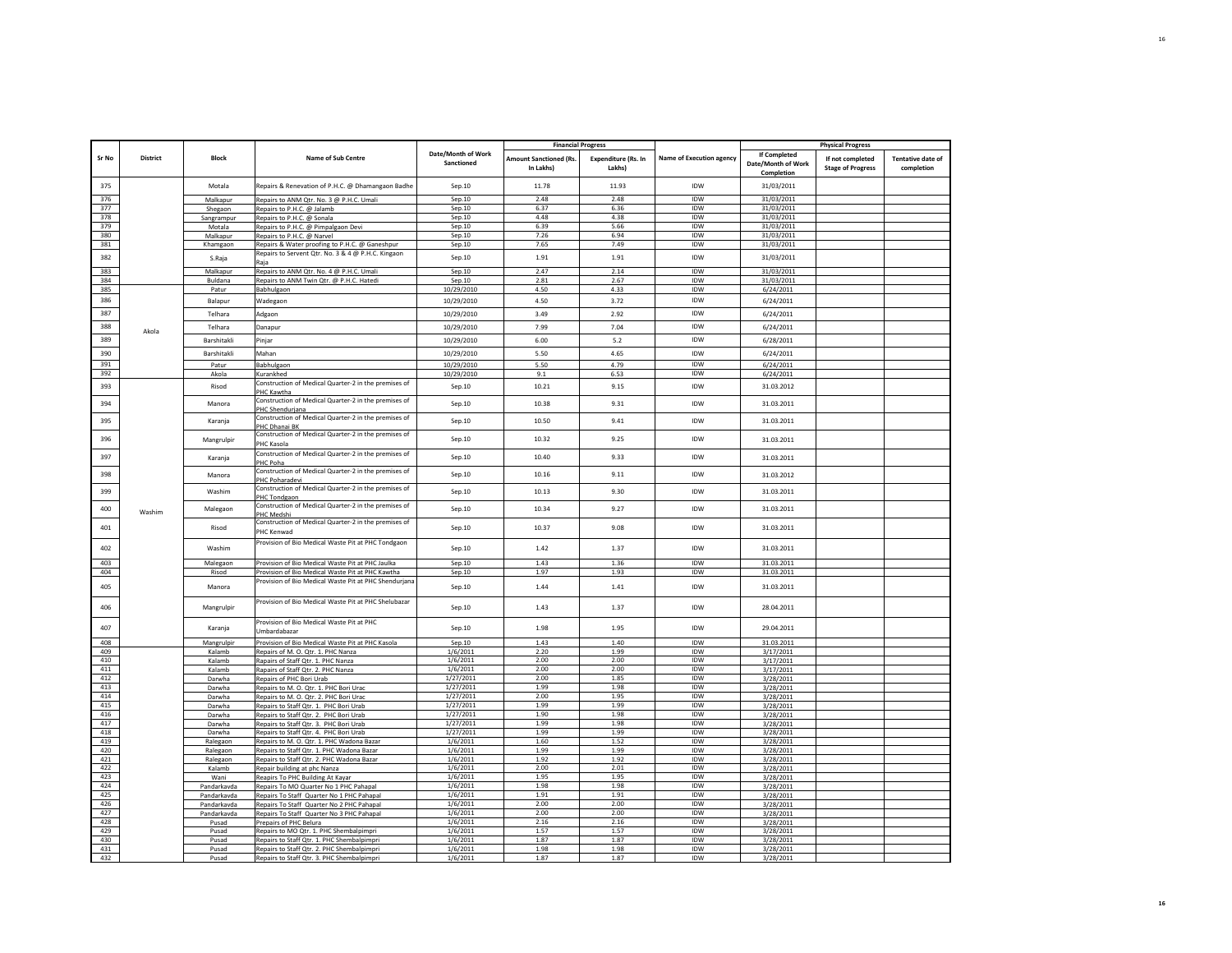|              |                 |                  |                                                                              |                                  | <b>Financial Progress</b>                  |                                      |                                 |                                                         | <b>Physical Progress</b>                     |                                        |
|--------------|-----------------|------------------|------------------------------------------------------------------------------|----------------------------------|--------------------------------------------|--------------------------------------|---------------------------------|---------------------------------------------------------|----------------------------------------------|----------------------------------------|
| <b>Sr No</b> | <b>District</b> | <b>Block</b>     | Name of Sub Centre                                                           | Date/Month of Work<br>Sanctioned | <b>Amount Sanctioned (Rs.</b><br>In Lakhs) | <b>Expenditure (Rs. In</b><br>Lakhsl | <b>Name of Execution agency</b> | <b>If Completed</b><br>Date/Month of Work<br>Completion | If not completed<br><b>Stage of Progress</b> | <b>Tentative date of</b><br>completion |
| 375          |                 | Motala           | Repairs & Renevation of P.H.C. @ Dhamangaon Badhe                            | Sep.10                           | 11.78                                      | 11.93                                | IDW                             | 31/03/2011                                              |                                              |                                        |
| 376          |                 | Malkapur         | Repairs to ANM Qtr. No. 3 @ P.H.C. Umali                                     | Sep.10                           | 2.48                                       | 2.48                                 | <b>IDW</b>                      | 31/03/2011                                              |                                              |                                        |
| 377          |                 | Shegaon          | Repairs to P.H.C. @ Jalamb                                                   | Sep.10                           | 6.37                                       | 6.36                                 | <b>IDW</b>                      | 31/03/2011                                              |                                              |                                        |
| 378          |                 | Sangrampur       | Repairs to P.H.C. @ Sonala                                                   | Sep.10                           | 4.48                                       | 4.38                                 | IDW                             | 31/03/2011                                              |                                              |                                        |
| 379          |                 | Motala           | Repairs to P.H.C. @ Pimpalgaon Devi                                          | Sep.10                           | 6.39                                       | 5.66                                 | IDW                             | 31/03/2011                                              |                                              |                                        |
| 380          |                 | Malkapur         | Repairs to P.H.C. @ Narvel                                                   | Sep.10                           | 7.26                                       | 6.94                                 | IDW                             | 31/03/2011                                              |                                              |                                        |
| 381          |                 | Khamgaon         | Repairs & Water proofing to P.H.C. @ Ganeshpur                               | Sep.10                           | 7.65                                       | 7.49                                 | IDW                             | 31/03/2011                                              |                                              |                                        |
| 382          |                 | S.Raja           | Repairs to Servent Qtr. No. 3 & 4 @ P.H.C. Kingaon                           | Sep.10                           | 1.91                                       | 1.91                                 | IDW                             | 31/03/2011                                              |                                              |                                        |
| 383          |                 | Malkapur         | Repairs to ANM Qtr. No. 4 @ P.H.C. Umali                                     | Sep.10                           | 2.47                                       | 2.14                                 | IDW                             | 31/03/2011                                              |                                              |                                        |
| 384          |                 | Buldana          | Repairs to ANM Twin Qtr. @ P.H.C. Hatedi                                     | Sep.10                           | 2.81                                       | 2.67                                 | <b>IDW</b>                      | 31/03/2011                                              |                                              |                                        |
| 385          |                 | Patur            | Babhulgaon                                                                   | 10/29/2010                       | 4.50                                       | 4.33                                 | IDW                             | 6/24/2011                                               |                                              |                                        |
| 386          |                 | Balapur          | Wadegaon                                                                     | 10/29/2010                       | 4.50                                       | 3.72                                 | IDW                             | 6/24/2011                                               |                                              |                                        |
| 387          |                 | Telhara          | Adgaon                                                                       | 10/29/2010                       | 3.49                                       | 2.92                                 | IDW                             | 6/24/2011                                               |                                              |                                        |
| 388          |                 | Telhara          | Danapur                                                                      | 10/29/2010                       | 7.99                                       | 7.04                                 | IDW                             | 6/24/2011                                               |                                              |                                        |
| 389          | Akola           | Barshitakli      | Pinjar                                                                       | 10/29/2010                       | 6.00                                       | 5.2                                  | IDW                             | 6/28/2011                                               |                                              |                                        |
| 390          |                 | Barshitakli      | Mahan                                                                        | 10/29/2010                       | 5.50                                       | 4.65                                 | IDW                             | 6/24/2011                                               |                                              |                                        |
| 391          |                 |                  |                                                                              |                                  |                                            |                                      | IDW                             |                                                         |                                              |                                        |
| 392          |                 | Patur            | Babhulgaon                                                                   | 10/29/2010                       | 5.50                                       | 4.79                                 | <b>IDW</b>                      | 6/24/2011                                               |                                              |                                        |
|              |                 | Akola            | Kurankhed                                                                    | 10/29/2010                       | 9.1                                        | 6.53                                 |                                 | 6/24/2011                                               |                                              |                                        |
| 393          |                 | Risod            | Construction of Medical Quarter-2 in the premises of<br>PHC Kawtha           | Sep.10                           | 10.21                                      | 9.15                                 | IDW                             | 31.03.2012                                              |                                              |                                        |
| 394          |                 | Manora           | Construction of Medical Quarter-2 in the premises of<br>PHC Shenduriana      | Sep.10                           | 10.38                                      | 9.31                                 | IDW                             | 31.03.2011                                              |                                              |                                        |
| 395          |                 | Karanja          | Construction of Medical Quarter-2 in the premises of<br>PHC Dhanai BK        | Sep.10                           | 10.50                                      | 9.41                                 | IDW                             | 31.03.2011                                              |                                              |                                        |
| 396          |                 | Mangrulpir       | Construction of Medical Quarter-2 in the premises of<br>PHC Kasola           | Sep.10                           | 10.32                                      | 9.25                                 | <b>IDW</b>                      | 31.03.2011                                              |                                              |                                        |
| 397          |                 | Karania          | Construction of Medical Quarter-2 in the premises of<br>PHC Poha             | Sep.10                           | 10.40                                      | 9.33                                 | IDW                             | 31.03.2011                                              |                                              |                                        |
| 398          |                 | Manora           | Construction of Medical Quarter-2 in the premises of<br><b>PHC Poharadev</b> | Sep.10                           | 10.16                                      | 9.11                                 | IDW                             | 31.03.2012                                              |                                              |                                        |
| 399          |                 | Washim           | Construction of Medical Quarter-2 in the premises of<br>PHC Tondgaon         | Sep.10                           | 10.13                                      | 9.30                                 | <b>IDW</b>                      | 31.03.2011                                              |                                              |                                        |
| 400          | Washim          | Malegaon         | Construction of Medical Quarter-2 in the premises of<br>HC Medshi            | Sep.10                           | 10.34                                      | 9.27                                 | <b>IDW</b>                      | 31.03.2011                                              |                                              |                                        |
| 401          |                 | Risod            | Construction of Medical Quarter-2 in the premises of<br>PHC Kenwad           | Sep.10                           | 10.37                                      | 9.08                                 | <b>IDW</b>                      | 31.03.2011                                              |                                              |                                        |
| 402          |                 | Washim           | Provision of Bio Medical Waste Pit at PHC Tondgaon                           | Sep.10                           | 1.42                                       | 1.37                                 | IDW                             | 31.03.2011                                              |                                              |                                        |
| 403          |                 | Malegaon         | Provision of Bio Medical Waste Pit at PHC Jaulka                             | Sep.10                           | 1.43                                       | 1.36                                 | IDW                             | 31.03.2011                                              |                                              |                                        |
| 404          |                 | Risod            | Provision of Bio Medical Waste Pit at PHC Kawtha                             | Sep.10                           | 1.97                                       | 1.93                                 | <b>IDW</b>                      | 31.03.2011                                              |                                              |                                        |
| 405          |                 | Manora           | Provision of Bio Medical Waste Pit at PHC Shendurjana                        | Sep.10                           | 1.44                                       | 1.41                                 | IDW                             | 31.03.2011                                              |                                              |                                        |
| 406          |                 | Mangrulpir       | Provision of Bio Medical Waste Pit at PHC Shelubazar                         | Sep.10                           | 1.43                                       | 1.37                                 | <b>IDW</b>                      | 28.04.2011                                              |                                              |                                        |
| 407          |                 | Karanja          | Provision of Bio Medical Waste Pit at PHC                                    | Sep.10                           | 1.98                                       | 1.95                                 | IDW                             | 29.04.2011                                              |                                              |                                        |
| 408          |                 |                  | Umbardabazar<br>Provision of Bio Medical Waste Pit at PHC Kasola             | Sep.10                           | 1.43                                       | 1.40                                 | IDW                             |                                                         |                                              |                                        |
|              |                 | Mangrulpir       |                                                                              |                                  |                                            |                                      |                                 | 31.03.2011                                              |                                              |                                        |
| 409<br>410   |                 | Kalamb           | Repairs of M. O. Qtr. 1. PHC Nanza                                           | 1/6/2011<br>1/6/2011             | 2.20<br>2.00                               | 1.99<br>2.00                         | IDW<br><b>IDW</b>               | 3/17/2011                                               |                                              |                                        |
| 411          |                 | Kalamb           | Rapairs of Staff Qtr. 1. PHC Nanza                                           | 1/6/2011                         | 2.00                                       | 2.00                                 | IDW                             | 3/17/2011                                               |                                              |                                        |
| 412          |                 | Kalamb<br>Darwha | Rapairs of Staff Qtr. 2. PHC Nanza<br>Repairs of PHC Bori Urab               | 1/27/2011                        | 2.00                                       | 1.85                                 | IDW                             | 3/17/2011<br>3/28/2011                                  |                                              |                                        |
| 413          |                 | Darwha           | Repairs to M. O. Qtr. 1. PHC Bori Urac                                       | 1/27/2011                        | 1.99                                       | 1.98                                 | IDW                             | 3/28/2011                                               |                                              |                                        |
| 414          |                 | Darwha           | Repairs to M. O. Qtr. 2. PHC Bori Urac                                       | 1/27/2011                        | 2.00                                       | 1.95                                 | <b>IDW</b>                      | 3/28/2011                                               |                                              |                                        |
| 415          |                 | Darwha           | Repairs to Staff Qtr. 1. PHC Bori Urab                                       | 1/27/2011                        | 1.99                                       | 1.99                                 | <b>IDW</b>                      | 3/28/2011                                               |                                              |                                        |
| 416          |                 | Darwha           | Repairs to Staff Qtr. 2. PHC Bori Urab                                       | 1/27/2011                        | 1.90                                       | 1.98                                 | <b>IDW</b>                      | 3/28/2011                                               |                                              |                                        |
| 417          |                 | Darwha           | Repairs to Staff Qtr. 3. PHC Bori Urab                                       | 1/27/2011                        | 1.99                                       | 1.98                                 | IDW                             | 3/28/2011                                               |                                              |                                        |
| 418          |                 | Darwha           | Repairs to Staff Qtr. 4. PHC Bori Urab                                       | 1/27/2011                        | 1.99                                       | 1.99                                 | IDW                             | 3/28/2011                                               |                                              |                                        |
| 419          |                 | Ralegaon         | Repairs to M. O. Qtr. 1. PHC Wadona Bazar                                    | 1/6/2011                         | 1.60                                       | 1.52                                 | IDW                             | 3/28/2011                                               |                                              |                                        |
| 420          |                 | Ralegaon         | Repairs to Staff Qtr. 1. PHC Wadona Bazar                                    | 1/6/2011                         | 1.99                                       | 1.99                                 | IDW                             | 3/28/2011                                               |                                              |                                        |
| 421          |                 | Ralegaon         | Repairs to Staff Qtr. 2. PHC Wadona Bazar                                    | 1/6/2011                         | 1.92                                       | 1.92                                 | <b>IDW</b>                      | 3/28/2011                                               |                                              |                                        |
| 422          |                 | Kalamb           | Repair building at phc Nanza                                                 | 1/6/2011                         | 2.00                                       | 2.01                                 | IDW                             | 3/28/2011                                               |                                              |                                        |
| 423          |                 | Wani             | Reapirs To PHC Building At Kayar                                             | 1/6/2011                         | 1.95                                       | 1.95                                 | IDW                             | 3/28/2011                                               |                                              |                                        |
| 424          |                 | Pandarkavda      | Repairs To MO Quarter No 1 PHC Pahapal                                       | 1/6/2011                         | 1.98                                       | 1.98                                 | <b>IDW</b>                      | 3/28/2011                                               |                                              |                                        |
| 425          |                 | Pandarkavda      | Repairs To Staff Quarter No 1 PHC Pahapal                                    | 1/6/2011                         | 1.91                                       | 1.91                                 | IDW                             | 3/28/2011                                               |                                              |                                        |
| 426          |                 | Pandarkayda      | Repairs To Staff Quarter No 2 PHC Pahapal                                    | 1/6/2011                         | 2.00                                       | 2.00                                 | <b>IDW</b>                      | 3/28/2011                                               |                                              |                                        |
| 427          |                 | Pandarkavda      | Repairs To Staff Quarter No 3 PHC Pahapal                                    | 1/6/2011                         | 2.00                                       | 2.00                                 | IDW                             | 3/28/2011                                               |                                              |                                        |
| 428          |                 | Pusad            | Prepairs of PHC Belura                                                       | 1/6/2011                         | 2.16                                       | 2.16                                 | <b>IDW</b>                      | 3/28/2011                                               |                                              |                                        |
| 429          |                 | Pusad            | Repairs to MO Qtr. 1. PHC Shembalpimpri                                      | 1/6/2011                         | 1.57                                       | 1.57                                 | <b>IDW</b>                      | 3/28/2011                                               |                                              |                                        |
| 430          |                 | Pusad            | Repairs to Staff Qtr. 1. PHC Shembalpimpri                                   | 1/6/2011                         | 1.87                                       | 1.87                                 | <b>IDW</b>                      | 3/28/2011                                               |                                              |                                        |
| 431          |                 | Pusad            | Repairs to Staff Qtr. 2. PHC Shembalpimpri                                   | 1/6/2011                         | 1.98                                       | 1.98                                 | IDW                             | 3/28/2011                                               |                                              |                                        |
| 432          |                 | Pusad            | Repairs to Staff Qtr. 3. PHC Shembalpimpri                                   | 1/6/2011                         | 1.87                                       | 1.87                                 | IDW                             | 3/28/201                                                |                                              |                                        |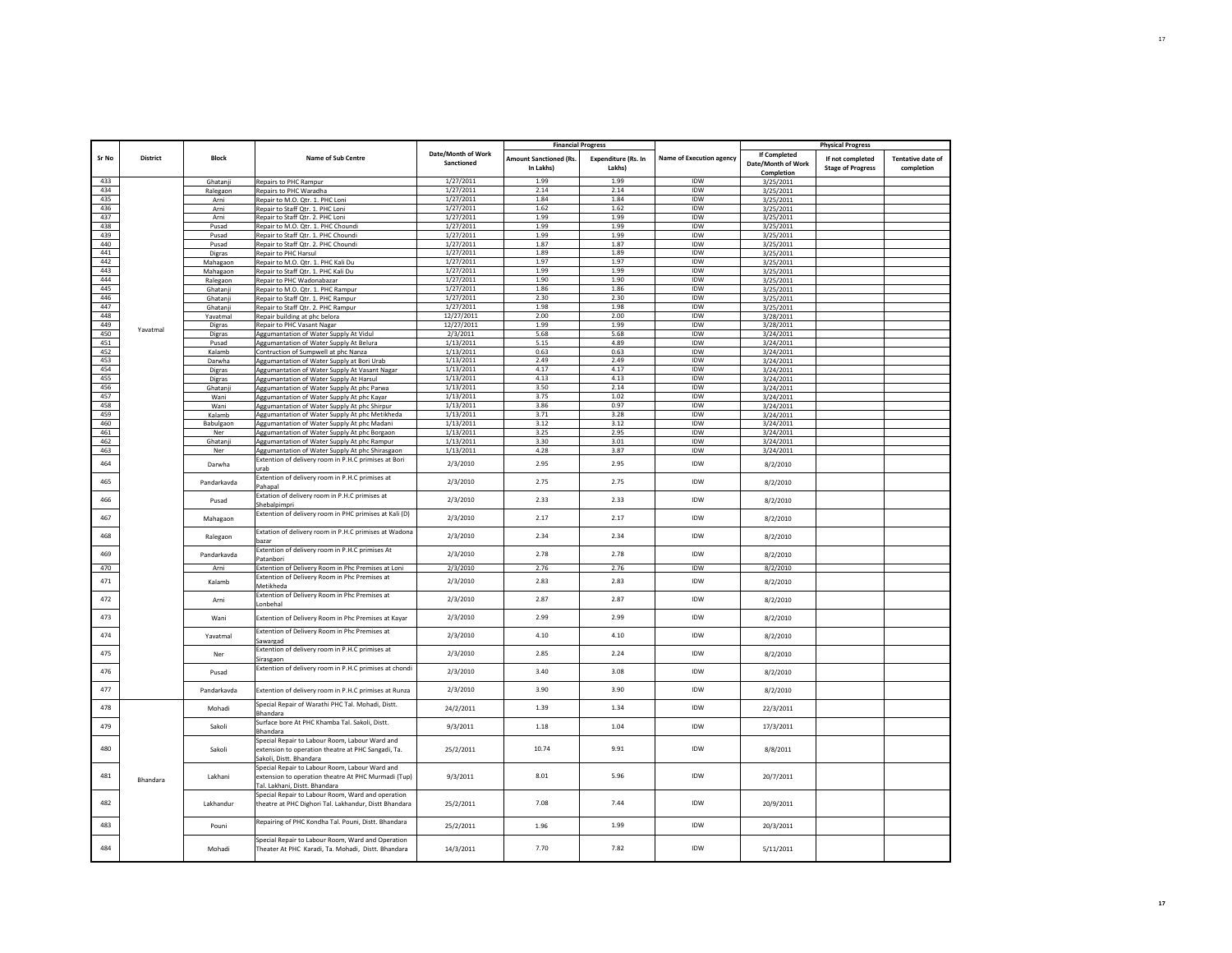| <b>Sr No</b> |                 |                      |                                                                                                                                               |                                  |                                            |                                      |                                 |                                                  |                                              |                                        |
|--------------|-----------------|----------------------|-----------------------------------------------------------------------------------------------------------------------------------------------|----------------------------------|--------------------------------------------|--------------------------------------|---------------------------------|--------------------------------------------------|----------------------------------------------|----------------------------------------|
|              | <b>District</b> | <b>Block</b>         | <b>Name of Sub Centre</b>                                                                                                                     | Date/Month of Work<br>Sanctioned | <b>Amount Sanctioned (Rs.</b><br>In Lakhs) | <b>Expenditure (Rs. In</b><br>Lakhs) | <b>Name of Execution agency</b> | If Completed<br>Date/Month of Work<br>Completion | If not completed<br><b>Stage of Progress</b> | <b>Tentative date of</b><br>completion |
| 433          |                 | Ghatanji             | Repairs to PHC Rampur                                                                                                                         | 1/27/2011                        | 1.99                                       | 1.99                                 | IDW                             | 3/25/2011                                        |                                              |                                        |
| 434          |                 | Ralegaor             | Repairs to PHC Waradha                                                                                                                        | 1/27/2011                        | 2.14                                       | 2.14                                 | <b>IDW</b>                      | 3/25/2011                                        |                                              |                                        |
| 435          |                 | Arni                 | Repair to M.O. Qtr. 1. PHC Loni                                                                                                               | 1/27/2011                        | 1.84                                       | 1.84                                 | <b>IDW</b>                      | 3/25/2011                                        |                                              |                                        |
| 436          |                 | Arni                 | Repair to Staff Qtr. 1. PHC Loni                                                                                                              | 1/27/2011                        | 1.62                                       | 1.62                                 | <b>IDW</b>                      | 3/25/2011                                        |                                              |                                        |
| 437          |                 | Arni                 | Repair to Staff Qtr. 2. PHC Loni                                                                                                              | 1/27/2011                        | 1.99                                       | 1.99                                 | <b>IDW</b>                      | 3/25/2011                                        |                                              |                                        |
| 438          |                 | Pusad                | Repair to M.O. Qtr. 1. PHC Choundi                                                                                                            | 1/27/2011                        | 1.99                                       | 1.99                                 | IDW                             | 3/25/2011                                        |                                              |                                        |
| 439          |                 | Pusad                | Repair to Staff Qtr. 1. PHC Choundi                                                                                                           | 1/27/2011                        | 1.99                                       | 1.99                                 | IDW                             | 3/25/2011                                        |                                              |                                        |
| 440          |                 | Pusad                | Repair to Staff Qtr. 2. PHC Choundi                                                                                                           | 1/27/2011                        | 1.87                                       | 1.87                                 | IDW                             | 3/25/2011                                        |                                              |                                        |
| 441<br>442   |                 | Digras               | Repair to PHC Harsul                                                                                                                          | 1/27/2011<br>1/27/2011           | 1.89<br>1.97                               | 1.89<br>1.97                         | IDW<br>IDW                      | 3/25/2011                                        |                                              |                                        |
| 443          |                 | Mahagaon<br>Mahagaon | Repair to M.O. Qtr. 1. PHC Kali Du<br>Repair to Staff Qtr. 1. PHC Kali Du                                                                     | 1/27/2011                        | 1.99                                       | 1.99                                 | <b>IDW</b>                      | 3/25/2011<br>3/25/2011                           |                                              |                                        |
| 444          |                 | Ralegaon             | Repair to PHC Wadonabazar                                                                                                                     | 1/27/2011                        | 1.90                                       | 1.90                                 | <b>IDW</b>                      | 3/25/2011                                        |                                              |                                        |
| 445          |                 | Ghatanji             | Repair to M.O. Qtr. 1. PHC Rampur                                                                                                             | 1/27/2011                        | 1.86                                       | 1.86                                 | <b>IDW</b>                      | 3/25/2011                                        |                                              |                                        |
| 446          |                 | Ghatanj              | Repair to Staff Qtr. 1. PHC Rampur                                                                                                            | 1/27/2011                        | 2.30                                       | 2.30                                 | IDW                             | 3/25/2011                                        |                                              |                                        |
| 447          |                 | Ghatanj              | Repair to Staff Qtr. 2. PHC Rampur                                                                                                            | 1/27/2011                        | 1.98                                       | 1.98                                 | IDW                             | 3/25/2011                                        |                                              |                                        |
| 448          |                 | Yavatmal             | Repair building at phc belora                                                                                                                 | 12/27/2011                       | 2.00                                       | 2.00                                 | IDW                             | 3/28/2011                                        |                                              |                                        |
| 449          | Yavatmal        | Digras               | Repair to PHC Vasant Nagar                                                                                                                    | 12/27/2011                       | 1.99                                       | 1.99                                 | IDW                             | 3/28/2011                                        |                                              |                                        |
| 450          |                 | Digras               | Aggumantation of Water Supply At Vidul                                                                                                        | 2/3/2011                         | 5.68                                       | 5.68                                 | IDW                             | 3/24/2011                                        |                                              |                                        |
| 451          |                 | Pusad                | Aggumantation of Water Supply At Belura                                                                                                       | 1/13/2011                        | 5.15                                       | 4.89                                 | <b>IDW</b>                      | 3/24/2011                                        |                                              |                                        |
| 452          |                 | Kalamb               | Contruction of Sumpwell at phc Nanza                                                                                                          | 1/13/2011                        | 0.63                                       | 0.63                                 | <b>IDW</b>                      | 3/24/2011                                        |                                              |                                        |
| 453          |                 | Darwha               | Aggumantation of Water Supply at Bori Urab                                                                                                    | 1/13/2011                        | 2.49                                       | 2.49                                 | <b>IDW</b>                      | 3/24/2011                                        |                                              |                                        |
| 454<br>455   |                 | Digras               | Aggumantation of Water Supply At Vasant Nagar                                                                                                 | 1/13/2011                        | 4.17<br>4.13                               | 4.17<br>4.13                         | IDW<br><b>IDW</b>               | 3/24/2011                                        |                                              |                                        |
| 456          |                 | Digras<br>Ghatanj    | Aggumantation of Water Supply At Harsul                                                                                                       | 1/13/2011<br>1/13/2011           | 3.50                                       | 2.14                                 | IDW                             | 3/24/2011<br>3/24/2011                           |                                              |                                        |
| 457          |                 | Wani                 | Aggumantation of Water Supply At phc Parwa<br>Aggumantation of Water Supply At phc Kayar                                                      | 1/13/2011                        | 3.75                                       | 1.02                                 | IDW                             | 3/24/2011                                        |                                              |                                        |
| 458          |                 | Wani                 | Aggumantation of Water Supply At phc Shirpur                                                                                                  | 1/13/2011                        | 3.86                                       | 0.97                                 | IDW                             | 3/24/2011                                        |                                              |                                        |
| 459          |                 | Kalamb               | Aggumantation of Water Supply At phc Metikheda                                                                                                | 1/13/2011                        | 3.71                                       | 3.28                                 | IDW                             | 3/24/2011                                        |                                              |                                        |
| 460          |                 | Babulgaor            | Aggumantation of Water Supply At phc Madani                                                                                                   | 1/13/2011                        | 3.12                                       | 3.12                                 | IDW                             | 3/24/2011                                        |                                              |                                        |
| 461          |                 | Ner                  | Aggumantation of Water Supply At phc Borgaon                                                                                                  | 1/13/2011                        | 3.25                                       | 2.95                                 | IDW                             | 3/24/2011                                        |                                              |                                        |
| 462          |                 | Ghatanj              | Aggumantation of Water Supply At phc Rampur                                                                                                   | 1/13/2011                        | 3.30                                       | 3.01                                 | IDW                             | 3/24/2011                                        |                                              |                                        |
| 463          |                 | Ner                  | Aggumantation of Water Supply At phc Shirasgaon                                                                                               | 1/13/2011                        | 4.28                                       | 3.87                                 | IDW                             | 3/24/2011                                        |                                              |                                        |
| 464          |                 | Darwha               | Extention of delivery room in P.H.C primises at Bori<br>ırab                                                                                  | 2/3/2010                         | 2.95                                       | 2.95                                 | <b>IDW</b>                      | 8/2/2010                                         |                                              |                                        |
| 465          |                 | Pandarkavda          | Extention of delivery room in P.H.C primises at<br>ahapal                                                                                     | 2/3/2010                         | 2.75                                       | 2.75                                 | IDW                             | 8/2/2010                                         |                                              |                                        |
| 466          |                 | Pusad                | Extation of delivery room in P.H.C primises at<br>hebalpimpr                                                                                  | 2/3/2010                         | 2.33                                       | 2.33                                 | IDW                             | 8/2/2010                                         |                                              |                                        |
| 467          |                 | Mahagaon             | Extention of delivery room in PHC primises at Kali (D)                                                                                        | 2/3/2010                         | 2.17                                       | 2.17                                 | <b>IDW</b>                      | 8/2/2010                                         |                                              |                                        |
| 468          |                 | Ralegaon             | Extation of delivery room in P.H.C primises at Wadona<br>bazar                                                                                | 2/3/2010                         | 2.34                                       | 2.34                                 | <b>IDW</b>                      | 8/2/2010                                         |                                              |                                        |
| 469          |                 | Pandarkavda          | Extention of delivery room in P.H.C primises At<br>atanbori                                                                                   | 2/3/2010                         | 2.78                                       | 2.78                                 | <b>IDW</b>                      | 8/2/2010                                         |                                              |                                        |
| 470          |                 | Arni                 | Extention of Delivery Room in Phc Premises at Loni                                                                                            | 2/3/2010                         | 2.76                                       | 2.76                                 | IDW                             | 8/2/2010                                         |                                              |                                        |
| 471          |                 | Kalamb               | Extention of Delivery Room in Phc Premises at<br>Metikheda                                                                                    | 2/3/2010                         | 2.83                                       | 2.83                                 | IDW                             | 8/2/2010                                         |                                              |                                        |
| 472          |                 | Arni                 | Extention of Delivery Room in Phc Premises at<br>Lonbehal                                                                                     | 2/3/2010                         | 2.87                                       | 2.87                                 | IDW                             | 8/2/2010                                         |                                              |                                        |
| 473          |                 | Wani                 | Extention of Delivery Room in Phc Premises at Kayar                                                                                           | 2/3/2010                         | 2.99                                       | 2.99                                 | IDW                             | 8/2/2010                                         |                                              |                                        |
| 474          |                 | Yavatmal             | Extention of Delivery Room in Phc Premises at<br>awargao                                                                                      | 2/3/2010                         | 4.10                                       | 4.10                                 | IDW                             | 8/2/2010                                         |                                              |                                        |
| 475          |                 | Ner                  | Extention of delivery room in P.H.C primises at<br>Sirasgaon                                                                                  | 2/3/2010                         | 2.85                                       | 2.24                                 | IDW                             | 8/2/2010                                         |                                              |                                        |
| 476          |                 | Pusad                | Extention of delivery room in P.H.C primises at chondi                                                                                        | 2/3/2010                         | 3.40                                       | 3.08                                 | IDW                             | 8/2/2010                                         |                                              |                                        |
| 477          |                 | Pandarkayda          | Extention of delivery room in P.H.C primises at Runza                                                                                         | 2/3/2010                         | 3.90                                       | 3.90                                 | IDW                             | 8/2/2010                                         |                                              |                                        |
| 478          |                 | Mohadi               | Special Repair of Warathi PHC Tal. Mohadi, Distt.<br><b>Shandara</b>                                                                          | 24/2/2011                        | 1.39                                       | 1.34                                 | IDW                             | 22/3/2011                                        |                                              |                                        |
| 479          |                 | Sakoli               | Surface bore At PHC Khamba Tal. Sakoli, Distt.<br>Bhandara                                                                                    | 9/3/2011                         | 1.18                                       | 1.04                                 | IDW                             | 17/3/2011                                        |                                              |                                        |
| 480          |                 | Sakoli               | Special Repair to Labour Room, Labour Ward and<br>extension to operation theatre at PHC Sangadi, Ta.<br>Sakoli, Distt. Bhandara               | 25/2/2011                        | 10.74                                      | 9.91                                 | <b>IDW</b>                      | 8/8/2011                                         |                                              |                                        |
| 481          | Bhandara        | Lakhani              | Special Repair to Labour Room, Labour Ward and<br>extension to operation theatre At PHC Murmadi (Tup)<br><b>Tal. Lakhani, Distt. Bhandara</b> | 9/3/2011                         | 8.01                                       | 5.96                                 | <b>IDW</b>                      | 20/7/2011                                        |                                              |                                        |
| 482          |                 | Lakhandur            | Special Repair to Labour Room, Ward and operation<br>theatre at PHC Dighori Tal. Lakhandur, Distt Bhandara                                    | 25/2/2011                        | 7.08                                       | 7.44                                 | <b>IDW</b>                      | 20/9/2011                                        |                                              |                                        |
| 483          |                 | Pouni                | Repairing of PHC Kondha Tal. Pouni, Distt. Bhandara                                                                                           | 25/2/2011                        | 1.96                                       | 1.99                                 | IDW                             | 20/3/2011                                        |                                              |                                        |
| 484          |                 | Mohadi               | Special Repair to Labour Room, Ward and Operation<br>Theater At PHC Karadi, Ta. Mohadi, Distt. Bhandara                                       | 14/3/2011                        | 7.70                                       | 7.82                                 | <b>IDW</b>                      | 5/11/2011                                        |                                              |                                        |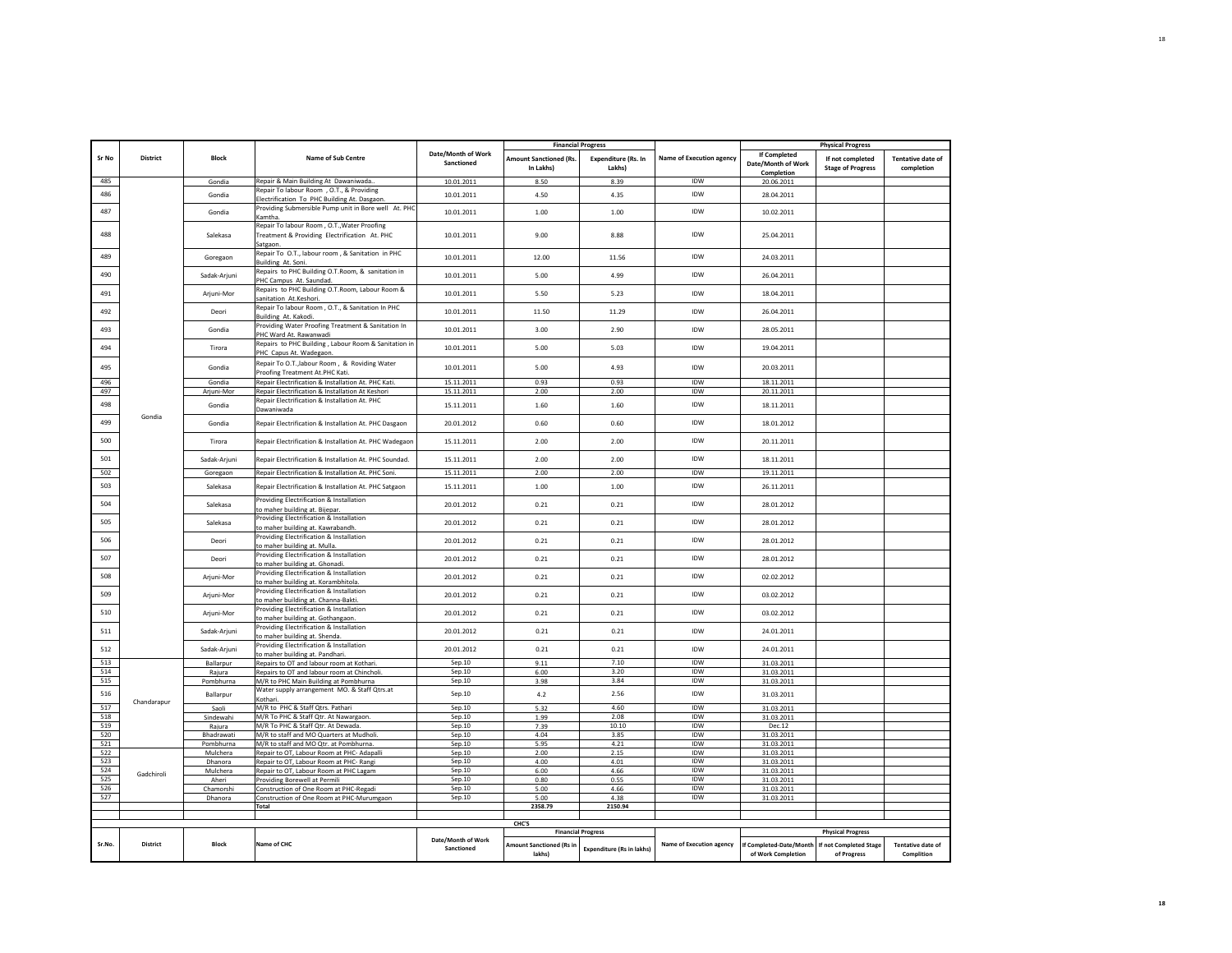|            |             |                       |                                                                                                          |                                  | <b>Financial Progress</b>                  |                                      |                                 |                                                  | <b>Physical Progress</b>                     |                                        |
|------------|-------------|-----------------------|----------------------------------------------------------------------------------------------------------|----------------------------------|--------------------------------------------|--------------------------------------|---------------------------------|--------------------------------------------------|----------------------------------------------|----------------------------------------|
| Sr No      | District    | <b>Block</b>          | Name of Sub Centre                                                                                       | Date/Month of Work<br>Sanctioned | <b>Amount Sanctioned (Rs.</b><br>In Lakhs) | <b>Expenditure (Rs. In</b><br>Lakhs) | <b>Name of Execution agency</b> | If Completed<br>Date/Month of Work<br>Completion | If not completed<br><b>Stage of Progress</b> | <b>Tentative date of</b><br>completion |
| 485        |             | Gondia                | Repair & Main Building At Dawaniwada                                                                     | 10.01.2011                       | 8.50                                       | 8.39                                 | IDW                             | 20.06.2011                                       |                                              |                                        |
| 486        |             | Gondia                | Repair To labour Room, O.T., & Providing<br>lectrification To PHC Building At. Dasgaon.                  | 10.01.2011                       | 4.50                                       | 4.35                                 | IDW                             | 28.04.2011                                       |                                              |                                        |
| 487        |             | Gondia                | Providing Submersible Pump unit in Bore well At. PHC<br>Kamtha                                           | 10.01.2011                       | 1.00                                       | 1.00                                 | IDW                             | 10.02.2011                                       |                                              |                                        |
| 488        |             | Salekasa              | Repair To labour Room, O.T., Water Proofing<br>Treatment & Providing Electrification At. PHC<br>Satgaon. | 10.01.2011                       | 9.00                                       | 8.88                                 | <b>IDW</b>                      | 25.04.2011                                       |                                              |                                        |
| 489        |             | Goregaon              | Repair To O.T., labour room, & Sanitation in PHC<br>Building At. Soni.                                   | 10.01.2011                       | 12.00                                      | 11.56                                | IDW                             | 24.03.2011                                       |                                              |                                        |
| 490        |             | Sadak-Arjuni          | Repairs to PHC Building O.T.Room, & sanitation in<br>PHC Campus At. Saundad.                             | 10.01.2011                       | 5.00                                       | 4.99                                 | IDW                             | 26.04.2011                                       |                                              |                                        |
| 491        |             | Ariuni-Mor            | Repairs to PHC Building O.T.Room, Labour Room &<br>sanitation At.Keshori.                                | 10.01.2011                       | 5.50                                       | 5.23                                 | IDW                             | 18.04.2011                                       |                                              |                                        |
| 492        |             | Deori                 | Repair To labour Room, O.T., & Sanitation In PHC<br>Building At. Kakodi.                                 | 10.01.2011                       | 11.50                                      | 11.29                                | <b>IDW</b>                      | 26.04.2011                                       |                                              |                                        |
| 493        |             | Gondia                | Providing Water Proofing Treatment & Sanitation In<br>PHC Ward At. Rawanwadi                             | 10.01.2011                       | 3.00                                       | 2.90                                 | IDW                             | 28.05.2011                                       |                                              |                                        |
| 494        |             | Tirora                | Repairs to PHC Building, Labour Room & Sanitation in<br>PHC Capus At. Wadegaon                           | 10.01.2011                       | 5.00                                       | 5.03                                 | IDW                             | 19.04.2011                                       |                                              |                                        |
| 495        |             | Gondia                | Repair To O.T., labour Room, & Roviding Water                                                            | 10.01.2011                       | 5.00                                       | 4.93                                 | IDW                             | 20.03.2011                                       |                                              |                                        |
| 496        |             | Gondia                | Proofing Treatment At.PHC Kati.<br>Repair Electrification & Installation At. PHC Kati.                   | 15.11.2011                       | 0.93                                       | 0.93                                 | IDW                             | 18.11.2011                                       |                                              |                                        |
| 497        |             | Arjuni-Mor            | Repair Electrification & Installation At Keshori                                                         | 15.11.2011                       | 2.00                                       | 2.00                                 | IDW                             | 20.11.2011                                       |                                              |                                        |
| 498        |             | Gondia                | Repair Electrification & Installation At. PHC<br>Dawaniwada                                              | 15.11.2011                       | 1.60                                       | 1.60                                 | IDW                             | 18.11.2011                                       |                                              |                                        |
| 499        | Gondia      | Gondia                | Repair Electrification & Installation At. PHC Dasgaon                                                    | 20.01.2012                       | 0.60                                       | 0.60                                 | <b>IDW</b>                      | 18.01.2012                                       |                                              |                                        |
| 500        |             | Tirora                | Repair Electrification & Installation At. PHC Wadegaon                                                   | 15.11.2011                       | 2.00                                       | 2.00                                 | <b>IDW</b>                      | 20.11.2011                                       |                                              |                                        |
| 501        |             | Sadak-Arjuni          | Repair Electrification & Installation At. PHC Soundad.                                                   | 15.11.2011                       | 2.00                                       | 2.00                                 | <b>IDW</b>                      | 18.11.2011                                       |                                              |                                        |
| 502        |             | Goregaon              | Repair Electrification & Installation At. PHC Soni.                                                      | 15.11.2011                       | 2.00                                       | 2.00                                 | IDW                             | 19.11.2011                                       |                                              |                                        |
| 503        |             | Salekasa              | Repair Electrification & Installation At. PHC Satgaon                                                    | 15.11.2011                       | 1.00                                       | 1.00                                 | IDW                             | 26.11.2011                                       |                                              |                                        |
| 504        |             | Salekasa              | Providing Electrification & Installation<br>to maher building at. Bijepar.                               | 20.01.2012                       | 0.21                                       | 0.21                                 | IDW                             | 28.01.2012                                       |                                              |                                        |
| 505        |             | Salekasa              | Providing Electrification & Installation<br>to maher building at. Kawrabandh.                            | 20.01.2012                       | 0.21                                       | 0.21                                 | IDW                             | 28.01.2012                                       |                                              |                                        |
| 506        |             | Deori                 | Providing Electrification & Installation<br>to maher building at. Mulla.                                 | 20.01.2012                       | 0.21                                       | 0.21                                 | IDW                             | 28.01.2012                                       |                                              |                                        |
| 507        |             | Deori                 | Providing Electrification & Installation<br>to maher building at. Ghonadi.                               | 20.01.2012                       | 0.21                                       | 0.21                                 | <b>IDW</b>                      | 28.01.2012                                       |                                              |                                        |
| 508        |             | Arjuni-Mor            | Providing Electrification & Installation<br>to maher building at. Korambhitola.                          | 20.01.2012                       | 0.21                                       | 0.21                                 | <b>IDW</b>                      | 02.02.2012                                       |                                              |                                        |
| 509        |             | Ariuni-Mor            | Providing Electrification & Installation<br>o maher building at. Channa-Bakti.                           | 20.01.2012                       | 0.21                                       | 0.21                                 | <b>IDW</b>                      | 03.02.2012                                       |                                              |                                        |
| 510        |             | Arjuni-Mor            | Providing Electrification & Installation<br>o maher building at. Gothangaon.                             | 20.01.2012                       | 0.21                                       | 0.21                                 | <b>IDW</b>                      | 03.02.2012                                       |                                              |                                        |
| 511        |             | Sadak-Arjuni          | Providing Electrification & Installation<br>to maher building at. Shenda.                                | 20.01.2012                       | 0.21                                       | 0.21                                 | IDW                             | 24.01.2011                                       |                                              |                                        |
| 512        |             | Sadak-Arjuni          | Providing Electrification & Installation<br>o maher building at. Pandhari.                               | 20.01.2012                       | 0.21                                       | 0.21                                 | <b>IDW</b>                      | 24.01.2011                                       |                                              |                                        |
| 513        |             | Ballarpur             | Repairs to OT and labour room at Kothari.                                                                | Sep.10                           | 9.11                                       | 7.10                                 | IDW                             | 31.03.2011                                       |                                              |                                        |
| 514        |             | Rajura                | Repairs to OT and labour room at Chincholi.                                                              | Sep.10                           | 6.00                                       | 3.20                                 | <b>IDW</b>                      | 31.03.2011                                       |                                              |                                        |
| 515        |             | Pombhurna             | M/R to PHC Main Building at Pombhurna                                                                    | Sep.10                           | 3.98                                       | 3.84                                 | <b>IDW</b>                      | 31.03.2011                                       |                                              |                                        |
| 516        | Chandarapur | Ballarpur             | Water supply arrangement MO. & Staff Qtrs.at<br>Kothari.                                                 | Sep.10                           | 4.2                                        | 2.56                                 | IDW                             | 31.03.2011                                       |                                              |                                        |
| 517        |             | Saoli                 | M/R to PHC & Staff Qtrs. Pathari                                                                         | Sep.10                           | 5.32                                       | 4.60                                 | IDW                             | 31.03.2011                                       |                                              |                                        |
| 518        |             | Sindewahi             | M/R To PHC & Staff Qtr. At Nawargaon.                                                                    | Sep.10                           | 1.99                                       | 2.08                                 | IDW                             | 31.03.2011                                       |                                              |                                        |
| 519<br>520 |             | Rajura                | M/R To PHC & Staff Qtr. At Dewada.                                                                       | Sep.10<br>Sep.10                 | 7.39<br>4.04                               | 10.10<br>3.85                        | IDW<br>IDW                      | Dec.12                                           |                                              |                                        |
|            |             | Bhadrawati            | M/R to staff and MO Quarters at Mudholi.                                                                 |                                  |                                            |                                      |                                 | 31.03.2011                                       |                                              |                                        |
| 521<br>522 |             | Pombhurna<br>Mulchera | M/R to staff and MO Qtr. at Pombhurna.<br>Repair to OT, Labour Room at PHC- Adapalli                     | Sep.10<br>Sep.10                 | 5.95<br>2.00                               | 4.21<br>2.15                         | IDW<br><b>IDW</b>               | 31.03.2011<br>31.03.2011                         |                                              |                                        |
| 523        |             | Dhanora               | Repair to OT, Labour Room at PHC- Rangi                                                                  | Sep.10                           | 4.00                                       | 4.01                                 | <b>IDW</b>                      | 31.03.2011                                       |                                              |                                        |
| 524        |             | Mulchera              | Repair to OT, Labour Room at PHC Lagam                                                                   | Sep.10                           | 6.00                                       | 4.66                                 | IDW                             | 31.03.2011                                       |                                              |                                        |
| 525        | Gadchiroli  | Aheri                 | Providing Borewell at Permili                                                                            | Sep.10                           | 0.80                                       | 0.55                                 | <b>IDW</b>                      | 31.03.2011                                       |                                              |                                        |
| 526        |             | Chamorshi             | Construction of One Room at PHC-Regadi                                                                   | Sep.10                           | 5.00                                       | 4.66                                 | IDW                             | 31.03.2011                                       |                                              |                                        |
| 527        |             | Dhanora               | Construction of One Room at PHC-Murumgaon                                                                | Sep.10                           | 5.00                                       | 4.38                                 | IDW                             | 31.03.2011                                       |                                              |                                        |
|            |             |                       | Total                                                                                                    |                                  | 2358.79                                    | 2150.94                              |                                 |                                                  |                                              |                                        |
|            |             |                       |                                                                                                          |                                  |                                            |                                      |                                 |                                                  |                                              |                                        |
|            |             |                       |                                                                                                          |                                  | CHC'S                                      | <b>Financial Progress</b>            |                                 |                                                  | <b>Physical Progress</b>                     |                                        |
|            |             |                       |                                                                                                          | Date/Month of Work               |                                            |                                      |                                 |                                                  |                                              |                                        |
| Sr.No.     | District    | Block                 | Name of CHC                                                                                              | Sanctioned                       | Amount Sanctioned (Rs in<br>lakhs)         | <b>Expenditure (Rs in lakhs)</b>     | Name of Execution agency        | If Completed-Date/Month<br>of Work Completion    | If not Completed Stage<br>of Progress        | <b>Tentative date of</b><br>Complition |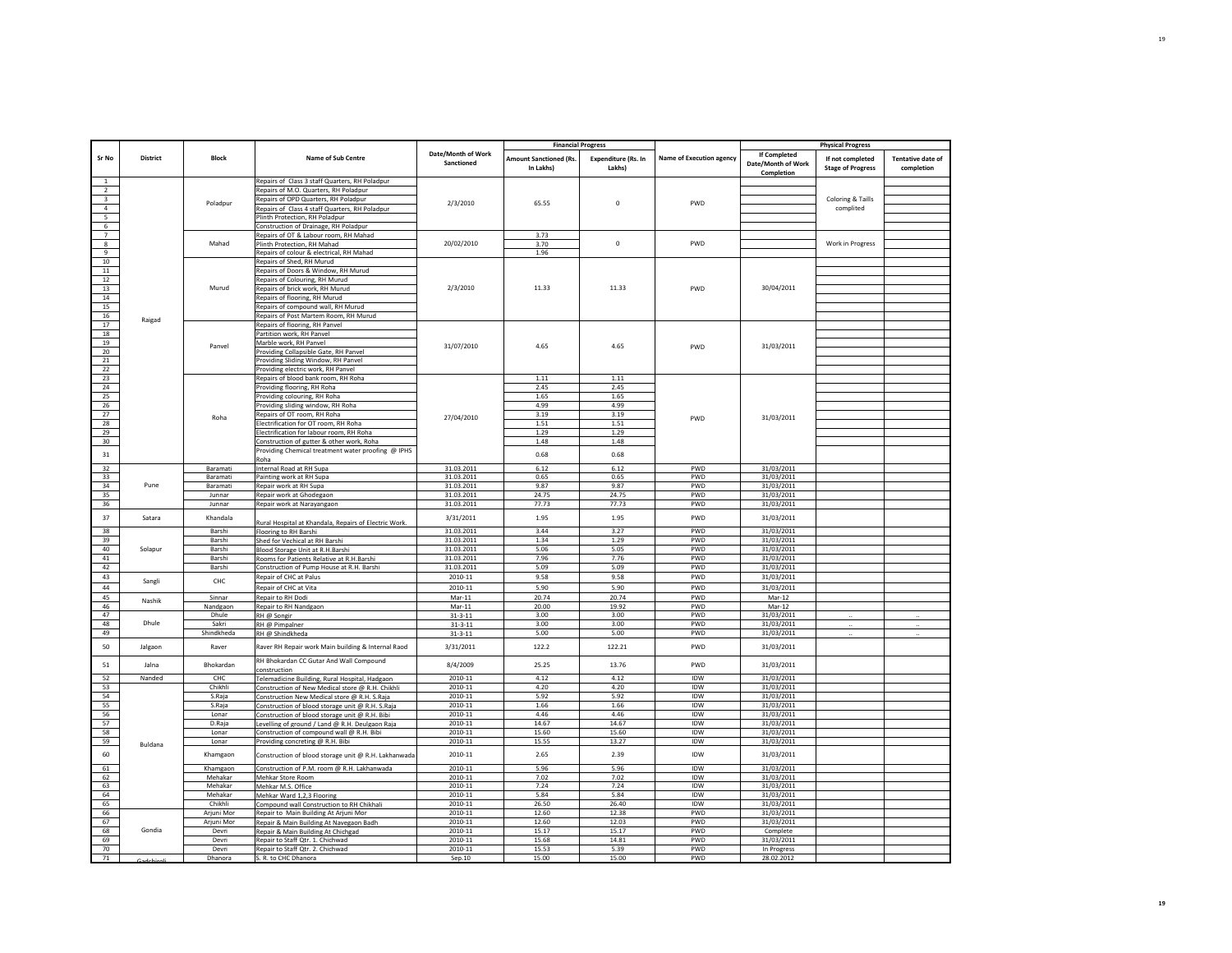|                         |                 |                          |                                                                                                    |                                  |                                            | <b>Financial Progress</b>            |                                 |                                                         | <b>Physical Progress</b>                     |                                        |
|-------------------------|-----------------|--------------------------|----------------------------------------------------------------------------------------------------|----------------------------------|--------------------------------------------|--------------------------------------|---------------------------------|---------------------------------------------------------|----------------------------------------------|----------------------------------------|
| Sr No                   | <b>District</b> | <b>Block</b>             | Name of Sub Centre                                                                                 | Date/Month of Work<br>Sanctioned | <b>Amount Sanctioned (Rs.</b><br>In Lakhs) | <b>Expenditure (Rs. In</b><br>Lakhs) | <b>Name of Execution agency</b> | <b>If Completed</b><br>Date/Month of Work<br>Completion | If not completed<br><b>Stage of Progress</b> | <b>Tentative date of</b><br>completion |
| $\,1\,$                 |                 |                          | Repairs of Class 3 staff Quarters, RH Poladpur                                                     |                                  |                                            |                                      |                                 |                                                         |                                              |                                        |
| $\overline{2}$          |                 |                          | Repairs of M.O. Quarters, RH Poladpur                                                              |                                  |                                            |                                      |                                 |                                                         |                                              |                                        |
| $\overline{\mathbf{3}}$ |                 | Poladpur                 | Repairs of OPD Quarters, RH Poladpur                                                               | 2/3/2010                         | 65.55                                      | $\mathbf 0$                          | PWD                             |                                                         | Coloring & Taills                            |                                        |
| $\overline{4}$          |                 |                          | Repairs of Class 4 staff Quarters, RH Poladpur                                                     |                                  |                                            |                                      |                                 |                                                         | complited                                    |                                        |
| 5<br>6                  |                 |                          | Plinth Protection, RH Poladpur<br>Construction of Drainage, RH Poladpur                            |                                  |                                            |                                      |                                 |                                                         |                                              |                                        |
| $\overline{7}$          |                 |                          | Repairs of OT & Labour room, RH Mahad                                                              |                                  | 3.73                                       |                                      |                                 |                                                         |                                              |                                        |
| $^{\circ}$              |                 | Mahad                    | Plinth Protection, RH Mahad                                                                        | 20/02/2010                       | 3.70                                       | $\mathbf 0$                          | PWD                             |                                                         | Work in Progress                             |                                        |
| $\alpha$                |                 |                          | Repairs of colour & electrical, RH Mahad                                                           |                                  | 1.96                                       |                                      |                                 |                                                         |                                              |                                        |
| 10                      |                 |                          | Repairs of Shed, RH Murud                                                                          |                                  |                                            |                                      |                                 |                                                         |                                              |                                        |
| $11\,$                  |                 |                          | Repairs of Doors & Window, RH Murud                                                                |                                  |                                            |                                      |                                 |                                                         |                                              |                                        |
| 12                      |                 |                          | Repairs of Colouring, RH Murud                                                                     |                                  |                                            |                                      |                                 |                                                         |                                              |                                        |
| 13                      |                 | Murud                    | Repairs of brick work, RH Murud                                                                    | 2/3/2010                         | 11.33                                      | 11.33                                | PWD                             | 30/04/2011                                              |                                              |                                        |
| 14<br>15                |                 |                          | Repairs of flooring, RH Murud                                                                      |                                  |                                            |                                      |                                 |                                                         |                                              |                                        |
| 16                      |                 |                          | Repairs of compound wall, RH Murud<br>Repairs of Post Martem Room, RH Murud                        |                                  |                                            |                                      |                                 |                                                         |                                              |                                        |
| 17                      | Raigad          |                          | Repairs of flooring, RH Panvel                                                                     |                                  |                                            |                                      |                                 |                                                         |                                              |                                        |
| 18                      |                 |                          | Partition work, RH Panvel                                                                          |                                  |                                            |                                      |                                 |                                                         |                                              |                                        |
| 19                      |                 | Panvel                   | Marble work, RH Panvel                                                                             | 31/07/2010                       | 4.65                                       | 4.65                                 | <b>PWD</b>                      | 31/03/2011                                              |                                              |                                        |
| 20                      |                 |                          | Providing Collapsible Gate, RH Panvel                                                              |                                  |                                            |                                      |                                 |                                                         |                                              |                                        |
| 21                      |                 |                          | Providing Sliding Window, RH Panvel                                                                |                                  |                                            |                                      |                                 |                                                         |                                              |                                        |
| 22                      |                 |                          | Providing electric work, RH Panvel                                                                 |                                  |                                            |                                      |                                 |                                                         |                                              |                                        |
| 23                      |                 |                          | Repairs of blood bank room, RH Roha                                                                |                                  | 1.11                                       | 1.11                                 |                                 |                                                         |                                              |                                        |
| 24                      |                 |                          | Providing flooring, RH Roha                                                                        |                                  | 2.45                                       | 2.45                                 |                                 |                                                         |                                              |                                        |
| 25<br>26                |                 |                          | Providing colouring, RH Roha<br>Providing sliding window, RH Roha                                  |                                  | 1.65<br>4.99                               | 1.65<br>4.99                         |                                 |                                                         |                                              |                                        |
| 27                      |                 |                          | Repairs of OT room, RH Roha                                                                        |                                  | 3.19                                       | 3.19                                 |                                 |                                                         |                                              |                                        |
| 28                      |                 | Roha                     | Electrification for OT room, RH Roha                                                               | 27/04/2010                       | 1.51                                       | 1.51                                 | PWD                             | 31/03/2011                                              |                                              |                                        |
| 29                      |                 |                          | Electrification for labour room, RH Roha                                                           |                                  | 1.29                                       | 1.29                                 |                                 |                                                         |                                              |                                        |
| 30                      |                 |                          | Construction of gutter & other work, Roha                                                          |                                  | 1.48                                       | 1.48                                 |                                 |                                                         |                                              |                                        |
| $31\,$                  |                 |                          | Providing Chemical treatment water proofing @ IPHS                                                 |                                  | 0.68                                       | 0.68                                 |                                 |                                                         |                                              |                                        |
| 32                      |                 | Baramati                 | Roha<br>Internal Road at RH Supa                                                                   | 31.03.2011                       | 6.12                                       | 6.12                                 | PWD                             | 31/03/2011                                              |                                              |                                        |
| 33                      |                 | Baramati                 | Painting work at RH Supa                                                                           | 31.03.2011                       | 0.65                                       | 0.65                                 | PWD                             | 31/03/2011                                              |                                              |                                        |
| 34                      | Pune            | Baramati                 | Repair work at RH Supa                                                                             | 31.03.2011                       | 9.87                                       | 9.87                                 | PWD                             | 31/03/2011                                              |                                              |                                        |
| 35                      |                 | lunnar                   | Repair work at Ghodegaon                                                                           | 31.03.2011                       | 24.75                                      | 24.75                                | PWD                             | 31/03/2011                                              |                                              |                                        |
| 36                      |                 | Junnar                   | Repair work at Narayangaon                                                                         | 31.03.2011                       | 77.73                                      | 77.73                                | PWD                             | 31/03/2011                                              |                                              |                                        |
| 37                      | Satara          | Khandala                 | Rural Hospital at Khandala, Repairs of Electric Work.                                              | 3/31/2011                        | 1.95                                       | 1.95                                 | PWD                             | 31/03/2011                                              |                                              |                                        |
| 38                      |                 | Barshi                   | Flooring to RH Barshi                                                                              | 31.03.2011                       | 3.44                                       | 3.27                                 | PWD                             | 31/03/2011                                              |                                              |                                        |
| 39<br>40                |                 | Barshi<br>Barshi         | Shed for Vechical at RH Barshi                                                                     | 31.03.2011                       | 1.34<br>5.06                               | 1.29<br>5.05                         | PWD<br>PWD                      | 31/03/2011                                              |                                              |                                        |
| 41                      | Solapur         | Barshi                   | Blood Storage Unit at R.H.Barshi                                                                   | 31.03.2011<br>31.03.2011         | 7.96                                       | 7.76                                 | <b>PWD</b>                      | 31/03/2011<br>31/03/2011                                |                                              |                                        |
| 42                      |                 | Barshi                   | Rooms for Patients Relative at R.H.Barshi<br>Construction of Pump House at R.H. Barshi             | 31.03.2011                       | 5.09                                       | 5.09                                 | PWD                             | 31/03/2011                                              |                                              |                                        |
| 43                      |                 |                          | Repair of CHC at Palus                                                                             | 2010-11                          | 9.58                                       | 9.58                                 | PWD                             | 31/03/2011                                              |                                              |                                        |
| 44                      | Sangli          | CHC                      | Repair of CHC at Vita                                                                              | 2010-11                          | 5.90                                       | 5.90                                 | PWD                             | 31/03/2011                                              |                                              |                                        |
| 45                      |                 | Sinnar                   | Repair to RH Dodi                                                                                  | Mar-11                           | 20.74                                      | 20.74                                | PWD                             | Mar-12                                                  |                                              |                                        |
| 46                      | Nashik          | Nandgaon                 | Repair to RH Nandgaon                                                                              | $Mar-11$                         | 20.00                                      | 19.92                                | PWD                             | Mar-12                                                  |                                              |                                        |
| 47                      |                 | Dhule                    | RH @ Songir                                                                                        | $31 - 3 - 11$                    | 3.00                                       | 3.00                                 | PWD                             | 31/03/2011                                              |                                              |                                        |
| 48                      | Dhule           | Sakri                    | RH @ Pimpalner                                                                                     | $31 - 3 - 11$                    | 3.00                                       | 3.00                                 | <b>PWD</b>                      | 31/03/2011                                              |                                              |                                        |
| 49                      |                 | Shindkheda               | RH @ Shindkheda                                                                                    | $31 - 3 - 11$                    | 5.00                                       | 5.00                                 | PWD                             | 31/03/2011                                              |                                              |                                        |
| 50                      | Jalgaon         | Raver                    | Raver RH Repair work Main building & Internal Raod                                                 | 3/31/2011                        | 122.2                                      | 122.21                               | PWD                             | 31/03/2011                                              |                                              |                                        |
| 51                      | Jalna           | <b>Bhokardan</b>         | RH Bhokardan CC Gutar And Wall Compound<br>construction                                            | 8/4/2009                         | 25.25                                      | 13.76                                | PWD                             | 31/03/2011                                              |                                              |                                        |
| 52                      | Nanded          | CHC                      | Telemadicine Building, Rural Hospital, Hadgaon                                                     | 2010-11                          | 4.12                                       | 4.12                                 | IDW                             | 31/03/2011                                              |                                              |                                        |
| 53                      |                 | Chikhli                  | Construction of New Medical store @ R.H. Chikhli                                                   | 2010-11                          | 4.20                                       | 4.20                                 | IDW                             | 31/03/2011                                              |                                              |                                        |
| 54<br>55                |                 | S.Raja                   | Construction New Medical store @ R.H. S.Raja                                                       | 2010-11<br>2010-11               | 5.92<br>1.66                               | 5.92<br>1.66                         | <b>IDW</b><br>IDW               | 31/03/2011<br>31/03/2011                                |                                              |                                        |
| 56                      |                 | S.Raja<br>Lonar          | Construction of blood storage unit @ R.H. S.Raja<br>Construction of blood storage unit @ R.H. Bibi | 2010-11                          | 4.46                                       | 4.46                                 | IDW                             | 31/03/2011                                              |                                              |                                        |
| 57                      |                 | D.Raja                   | Levelling of ground / Land @ R.H. Deulgaon Raja                                                    | 2010-11                          | 14.67                                      | 14.67                                | <b>IDW</b>                      | 31/03/2011                                              |                                              |                                        |
| 58                      |                 | Lonar                    | Construction of compound wall @ R.H. Bibi                                                          | 2010-11                          | 15.60                                      | 15.60                                | <b>IDW</b>                      | 31/03/2011                                              |                                              |                                        |
| 59                      | Buldana         | Lonar                    | Providing concreting @ R.H. Bibi                                                                   | 2010-11                          | 15.55                                      | 13.27                                | IDW                             | 31/03/2011                                              |                                              |                                        |
| 60                      |                 | Khamgaon                 | Construction of blood storage unit @ R.H. Lakhanwada                                               | 2010-11                          | 2.65                                       | 2.39                                 | <b>IDW</b>                      | 31/03/2011                                              |                                              |                                        |
| 61                      |                 | Khamgaon                 | Construction of P.M. room @ R.H. Lakhanwada                                                        | 2010-11                          | 5.96                                       | 5.96                                 | IDW                             | 31/03/2011                                              |                                              |                                        |
| 62                      |                 | Mehakar                  | Mehkar Store Room                                                                                  | 2010-11                          | 7.02                                       | 7.02                                 | <b>IDW</b>                      | 31/03/2011                                              |                                              |                                        |
| 63                      |                 | Mehakar                  | Mehkar M.S. Office                                                                                 | 2010-11                          | 7.24                                       | 7.24                                 | IDW                             | 31/03/2011                                              |                                              |                                        |
| 64                      |                 | Mehakar                  | Mehkar Ward 1,2,3 Flooring                                                                         | 2010-11                          | 5.84                                       | 5.84                                 | IDW                             | 31/03/2011                                              |                                              |                                        |
| 65<br>66                |                 | Chikhli                  | Compound wall Construction to RH Chikhali                                                          | 2010-11<br>2010-11               | 26.50<br>12.60                             | 26.40<br>12.38                       | IDW<br><b>PWD</b>               | 31/03/2011                                              |                                              |                                        |
| 67                      |                 | Arjuni Mor<br>Arjuni Mor | Repair to Main Building At Arjuni Mor<br>Repair & Main Building At Navegaon Badh                   | 2010-11                          | 12.60                                      | 12.03                                | PWD                             | 31/03/2011<br>31/03/2011                                |                                              |                                        |
| 68                      | Gondia          | Devri                    | Repair & Main Building At Chichgad                                                                 | 2010-11                          | 15.17                                      | 15.17                                | PWD                             | Complete                                                |                                              |                                        |
| 69                      |                 | Devri                    | Repair to Staff Qtr. 1. Chichwad                                                                   | 2010-11                          | 15.68                                      | 14.81                                | PWD                             | 31/03/2011                                              |                                              |                                        |
| 70                      |                 | Devri                    | Repair to Staff Qtr. 2. Chichwad                                                                   | 2010-11                          | 15.53                                      | 5.39                                 | PWD                             | In Progress                                             |                                              |                                        |
| 71                      |                 | Dhanora                  | S. R. to CHC Dhanora                                                                               | Sep.10                           | 15.00                                      | 15.00                                | PWD                             | 28.02.2012                                              |                                              |                                        |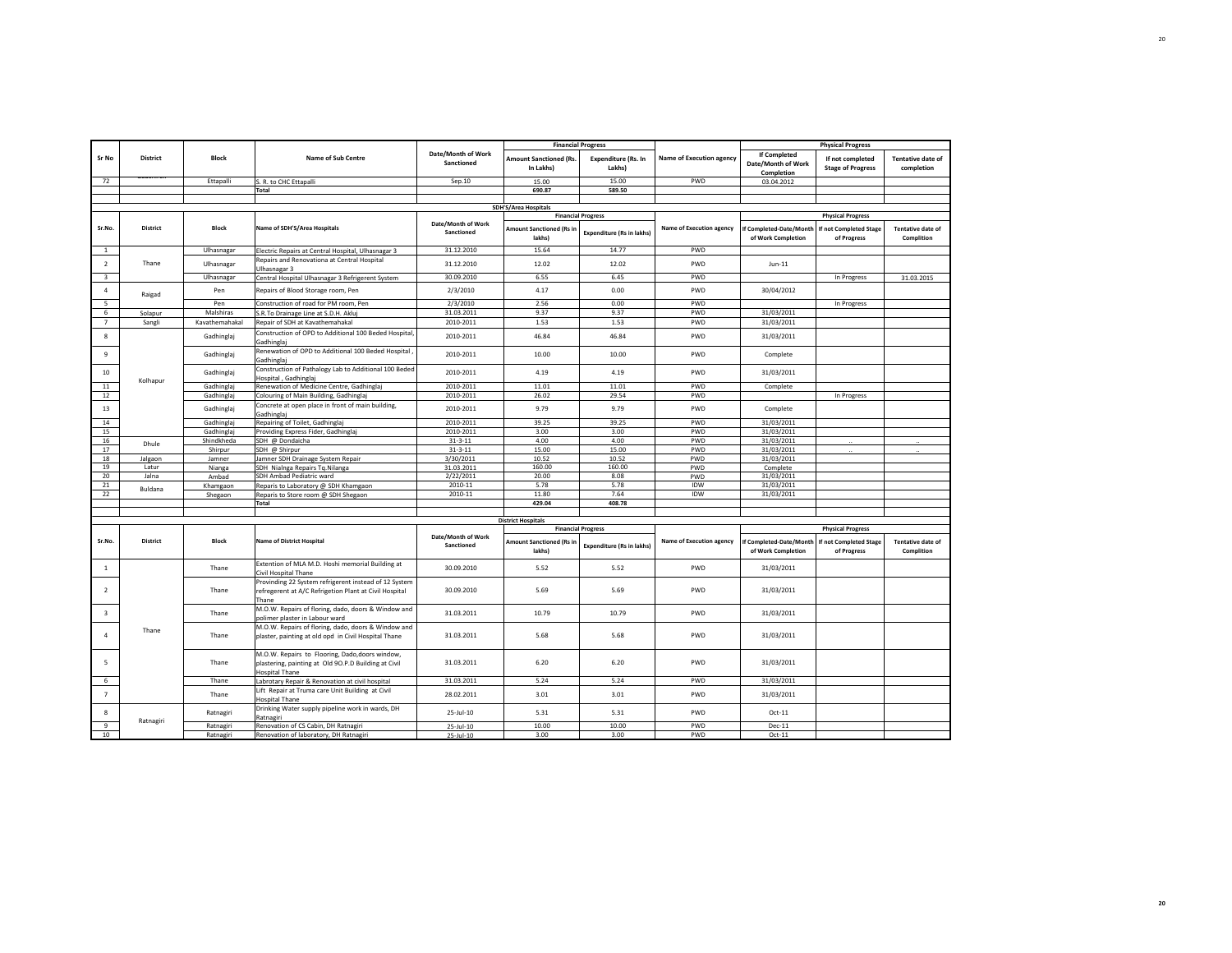|                         |                                                          |                     |                                                                                                                                 |                                  |                                            | <b>Financial Progress</b>            |                                 |                                                  | <b>Physical Progress</b>                           |                                        |
|-------------------------|----------------------------------------------------------|---------------------|---------------------------------------------------------------------------------------------------------------------------------|----------------------------------|--------------------------------------------|--------------------------------------|---------------------------------|--------------------------------------------------|----------------------------------------------------|----------------------------------------|
| Sr No                   | District                                                 | Block               | <b>Name of Sub Centre</b>                                                                                                       | Date/Month of Work<br>Sanctioned | <b>Amount Sanctioned (Rs.</b><br>In Lakhs) | <b>Expenditure (Rs. In</b><br>Lakhs) | <b>Name of Execution agency</b> | If Completed<br>Date/Month of Work<br>Completion | If not completed<br><b>Stage of Progress</b>       | <b>Tentative date of</b><br>completion |
| 72                      |                                                          | Ettapalli           | S. R. to CHC Ettapalli                                                                                                          | Sep.10                           | 15.00                                      | 15.00                                | PWD                             | 03.04.2012                                       |                                                    |                                        |
|                         |                                                          |                     | <b>Total</b>                                                                                                                    |                                  | 690.87                                     | 589.50                               |                                 |                                                  |                                                    |                                        |
|                         |                                                          |                     |                                                                                                                                 |                                  |                                            |                                      |                                 |                                                  |                                                    |                                        |
|                         | <b>SDH'S/Area Hospitals</b><br><b>Financial Progress</b> |                     |                                                                                                                                 |                                  |                                            |                                      |                                 |                                                  |                                                    |                                        |
| Sr.No.                  | <b>District</b>                                          | Block               | Name of SDH'S/Area Hospitals                                                                                                    | Date/Month of Work<br>Sanctioned | <b>Amount Sanctioned (Rs in</b>            | <b>Expenditure (Rs in lakhs)</b>     | Name of Execution agency        | If Completed-Date/Month                          | <b>Physical Progress</b><br>If not Completed Stage | <b>Tentative date of</b>               |
|                         |                                                          |                     |                                                                                                                                 |                                  | lakhs)                                     |                                      |                                 | of Work Completion                               | of Progress                                        | Complition                             |
| 1                       |                                                          | Ulhasnagar          | Electric Repairs at Central Hospital, Ulhasnagar 3                                                                              | 31.12.2010                       | 15.64                                      | 14.77                                | PWD                             |                                                  |                                                    |                                        |
| $\overline{2}$          | Thane                                                    | Ulhasnagar          | Repairs and Renovationa at Central Hospital<br>Ulhasnagar 3                                                                     | 31.12.2010                       | 12.02                                      | 12.02                                | PWD                             | $Jun-11$                                         |                                                    |                                        |
| $\overline{\mathbf{3}}$ |                                                          | Ulhasnagar          | Central Hospital Ulhasnagar 3 Refrigerent System                                                                                | 30.09.2010                       | 6.55                                       | 6.45                                 | PWD                             |                                                  | In Progress                                        | 31.03.2015                             |
| 4                       | Raigad                                                   | Pen                 | Repairs of Blood Storage room, Pen                                                                                              | 2/3/2010                         | 4.17                                       | 0.00                                 | PWD                             | 30/04/2012                                       |                                                    |                                        |
|                         |                                                          | Pen                 | Construction of road for PM room, Pen                                                                                           | 2/3/2010                         | 2.56                                       | 0.00                                 | PWD                             |                                                  | In Progress                                        |                                        |
| 6                       | Solapur                                                  | Malshiras           | S.R.To Drainage Line at S.D.H. Akluj                                                                                            | 31.03.2011                       | 9.37                                       | 9.37                                 | PWD                             | 31/03/2011                                       |                                                    |                                        |
| $\overline{7}$          | Sangli                                                   | Kavathemahakal      | Repair of SDH at Kavathemahakal                                                                                                 | 2010-2011                        | 1.53                                       | 1.53                                 | PWD                             | 31/03/2011                                       |                                                    |                                        |
| 8                       |                                                          | Gadhinglaj          | Construction of OPD to Additional 100 Beded Hospital,<br>Gadhinglaj                                                             | 2010-2011                        | 46.84                                      | 46.84                                | PWD                             | 31/03/2011                                       |                                                    |                                        |
| 9                       |                                                          | Gadhinglaj          | Renewation of OPD to Additional 100 Beded Hospital<br>Gadhinglaj                                                                | 2010-2011                        | 10.00                                      | 10.00                                | PWD                             | Complete                                         |                                                    |                                        |
| 10                      | Kolhapur                                                 | Gadhinglaj          | Construction of Pathalogy Lab to Additional 100 Beded<br>Hospital, Gadhinglaj                                                   | 2010-2011                        | 4.19                                       | 4.19                                 | PWD                             | 31/03/2011                                       |                                                    |                                        |
| 11                      |                                                          | Gadhinglaj          | Renewation of Medicine Centre, Gadhinglaj                                                                                       | 2010-2011                        | 11.01                                      | 11.01                                | PWD                             | Complete                                         |                                                    |                                        |
| 12                      |                                                          | Gadhinglaj          | Colouring of Main Building, Gadhinglaj                                                                                          | 2010-2011                        | 26.02                                      | 29.54                                | PWD                             |                                                  | In Progress                                        |                                        |
| 13                      |                                                          | Gadhinglaj          | Concrete at open place in front of main building,<br>Gadhinglaj                                                                 | 2010-2011                        | 9.79                                       | 9.79                                 | PWD                             | Complete                                         |                                                    |                                        |
| 14                      |                                                          | Gadhinglaj          | Repairing of Toilet, Gadhinglaj                                                                                                 | 2010-2011                        | 39.25                                      | 39.25                                | PWD                             | 31/03/2011                                       |                                                    |                                        |
| 15                      |                                                          | Gadhinglaj          | Providing Express Fider, Gadhinglaj                                                                                             | 2010-2011                        | 3.00                                       | 3.00                                 | PWD                             | 31/03/2011                                       |                                                    |                                        |
| 16                      | Dhule                                                    | Shindkheda          | SDH @ Dondaicha                                                                                                                 | $31 - 3 - 11$                    | 4.00                                       | 4.00                                 | PWD                             | 31/03/2011                                       | $\ddotsc$                                          |                                        |
| 17                      |                                                          | Shirpur             | SDH @ Shirpur                                                                                                                   | $31 - 3 - 11$                    | 15.00                                      | 15.00                                | PWD                             | 31/03/2011                                       |                                                    |                                        |
| 18                      | Jalgaon                                                  | Jamner              | Jamner SDH Drainage System Repair                                                                                               | 3/30/2011                        | 10.52                                      | 10.52                                | PWD                             | 31/03/2011                                       |                                                    |                                        |
| 19                      | Latur                                                    | Nianga              | SDH Nialnga Repairs Tq.Nilanga                                                                                                  | 31.03.2011                       | 160.00                                     | 160.00                               | PWD                             | Complete                                         |                                                    |                                        |
| 20<br>21                | Jalna                                                    | Ambad               | SDH Ambad Pediatric ward                                                                                                        | 2/22/2011<br>2010-11             | 20.00<br>5.78                              | 8.08<br>5.78                         | PWD<br><b>IDW</b>               | 31/03/2011<br>31/03/2011                         |                                                    |                                        |
| 22                      | Buldana                                                  | Khamgaon<br>Shegaon | Reparis to Laboratory @ SDH Khamgaon<br>Reparis to Store room @ SDH Shegaon                                                     | 2010-11                          | 11.80                                      | 7.64                                 | IDW                             | 31/03/2011                                       |                                                    |                                        |
|                         |                                                          |                     | <b>Total</b>                                                                                                                    |                                  | 429.04                                     | 408.78                               |                                 |                                                  |                                                    |                                        |
|                         |                                                          |                     |                                                                                                                                 |                                  |                                            |                                      |                                 |                                                  |                                                    |                                        |
|                         |                                                          |                     |                                                                                                                                 |                                  | <b>District Hospitals</b>                  |                                      |                                 |                                                  |                                                    |                                        |
|                         |                                                          |                     |                                                                                                                                 |                                  |                                            | <b>Financial Progress</b>            |                                 |                                                  | <b>Physical Progress</b>                           |                                        |
| Sr.No.                  | District                                                 | <b>Block</b>        | <b>Name of District Hospital</b>                                                                                                | Date/Month of Work<br>Sanctioned | <b>Amount Sanctioned (Rs in</b><br>lakhs)  | <b>Expenditure (Rs in lakhs)</b>     | <b>Name of Execution agency</b> | f Completed-Date/Month<br>of Work Completion     | If not Completed Stage<br>of Progress              | <b>Tentative date of</b><br>Complition |
| $\mathbf{1}$            |                                                          | Thane               | Extention of MLA M.D. Hoshi memorial Building at<br>Civil Hospital Thane                                                        | 30.09.2010                       | 5.52                                       | 5.52                                 | PWD                             | 31/03/2011                                       |                                                    |                                        |
| $\overline{2}$          |                                                          | Thane               | Provinding 22 System refrigerent instead of 12 System<br>refregerent at A/C Refrigetion Plant at Civil Hospital<br>Thane        | 30.09.2010                       | 5.69                                       | 5.69                                 | PWD                             | 31/03/2011                                       |                                                    |                                        |
| $\overline{\mathbf{3}}$ |                                                          | Thane               | M.O.W. Repairs of floring, dado, doors & Window and<br>polimer plaster in Labour ward                                           | 31.03.2011                       | 10.79                                      | 10.79                                | PWD                             | 31/03/2011                                       |                                                    |                                        |
|                         | Thane                                                    | Thane               | M.O.W. Repairs of floring, dado, doors & Window and<br>plaster, painting at old opd in Civil Hospital Thane                     | 31.03.2011                       | 5.68                                       | 5.68                                 | PWD                             | 31/03/2011                                       |                                                    |                                        |
| 5                       |                                                          | Thane               | M.O.W. Repairs to Flooring, Dado,doors window,<br>plastering, painting at Old 90.P.D Building at Civil<br><b>Hospital Thane</b> | 31.03.2011                       | 6.20                                       | 6.20                                 | PWD                             | 31/03/2011                                       |                                                    |                                        |
| 6                       |                                                          | Thane               | Labrotary Repair & Renovation at civil hospital                                                                                 | 31.03.2011                       | 5.24                                       | 5.24                                 | PWD                             | 31/03/2011                                       |                                                    |                                        |
| $\overline{7}$          |                                                          | Thane               | Lift Repair at Truma care Unit Building at Civil                                                                                | 28.02.2011                       | 3.01                                       | 3.01                                 | PWD                             | 31/03/2011                                       |                                                    |                                        |
| 8                       |                                                          | Ratnagiri           | <b>Hospital Thane</b><br>Drinking Water supply pipeline work in wards, DH                                                       | $25 -$ Jul-10                    | 5.31                                       | 5.31                                 | PWD                             | $Oct-11$                                         |                                                    |                                        |
|                         | Ratnagiri                                                |                     | Ratnagiri                                                                                                                       |                                  |                                            |                                      |                                 |                                                  |                                                    |                                        |
| 9                       |                                                          | Ratnagiri           | Renovation of CS Cabin, DH Ratnagiri                                                                                            | $25$ -Jul-10                     | 10.00                                      | 10.00                                | PWD                             | Dec-11                                           |                                                    |                                        |
| 10                      |                                                          | Ratnagiri           | Renovation of laboratory, DH Ratnagiri                                                                                          | 25-Jul-10                        | 3.00                                       | 3.00                                 | PWD                             | $Oct-11$                                         |                                                    |                                        |